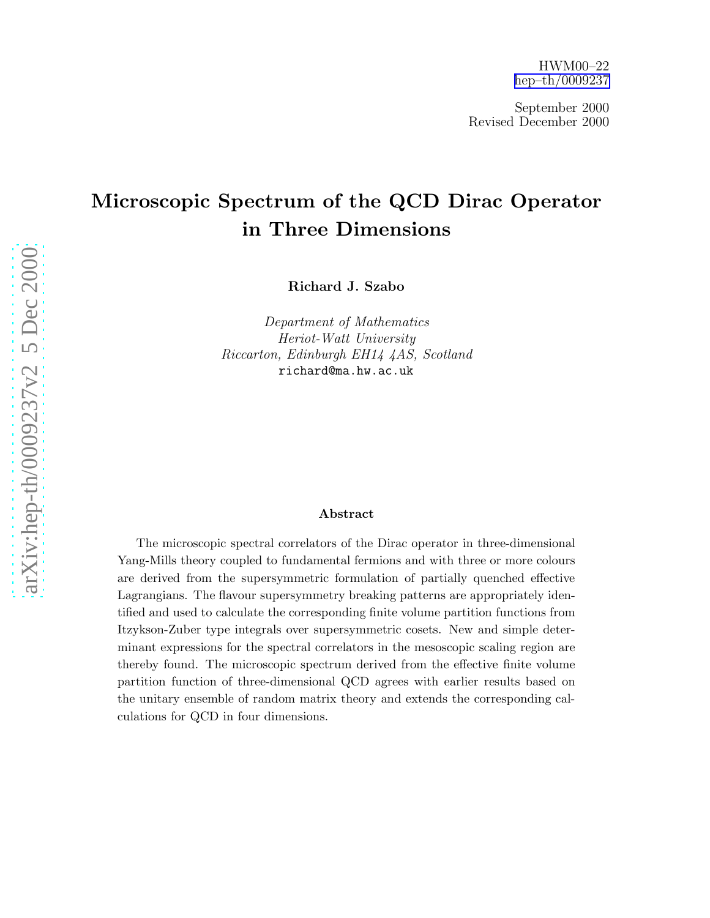September 2000 Revised December 2000

# Microscopic Spectrum of the QCD Dirac Operator in Three Dimensions

Richard J. Szabo

Department of Mathematics Heriot-Watt University Riccarton, Edinburgh EH14 4AS, Scotland richard@ma.hw.ac.uk

#### Abstract

The microscopic spectral correlators of the Dirac operator in three-dimensional Yang-Mills theory coupled to fundamental fermions and with three or more colours are derived from the supersymmetric formulation of partially quenched effective Lagrangians. The flavour supersymmetry breaking patterns are appropriately identified and used to calculate the corresponding finite volume partition functions from Itzykson-Zuber type integrals over supersymmetric cosets. New and simple determinant expressions for the spectral correlators in the mesoscopic scaling region are thereby found. The microscopic spectrum derived from the effective finite volume partition function of three-dimensional QCD agrees with earlier results based on the unitary ensemble of random matrix theory and extends the corresponding calculations for QCD in four dimensions.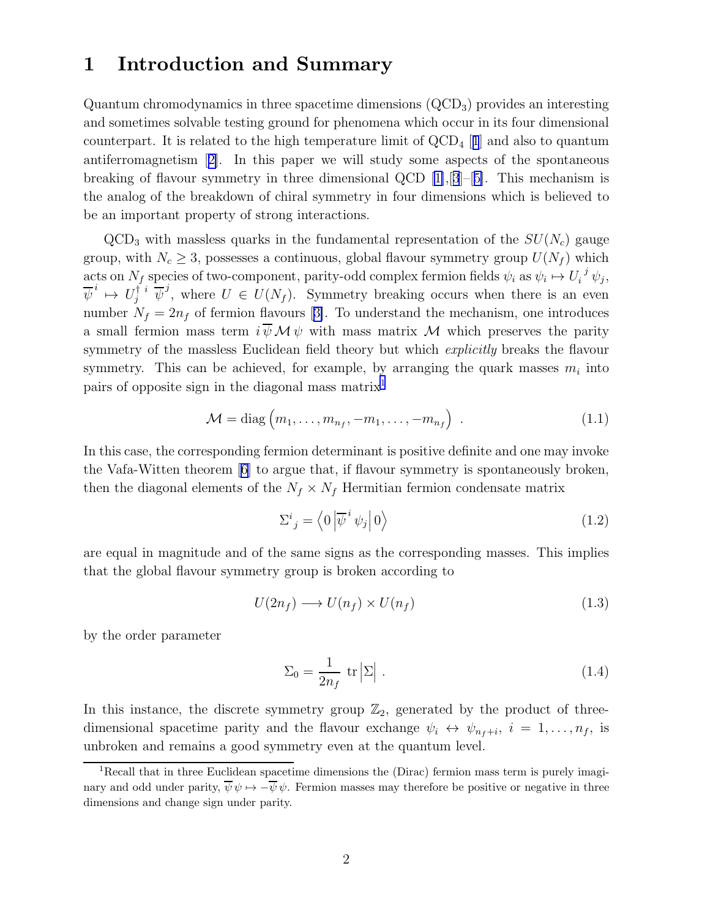### <span id="page-1-0"></span>1 Introduction and Summary

Quantum chromodynamics in three spacetime dimensions (QCD3) provides an interesting and sometimes solvable testing ground for phenomena which occur in its four dimensional counterpart. It is related to the high temperature limit of  $\rm QCD_4$  [[1](#page-38-0)] and also to quantum antiferromagnetism[[2\]](#page-38-0). In this paper we will study some aspects of the spontaneous breaking of flavour symmetry in three dimensional QCD [\[1\]](#page-38-0),[[3](#page-38-0)]–[[5\]](#page-38-0). This mechanism is the analog of the breakdown of chiral symmetry in four dimensions which is believed to be an important property of strong interactions.

 $QCD<sub>3</sub>$  with massless quarks in the fundamental representation of the  $SU(N<sub>c</sub>)$  gauge group, with  $N_c \geq 3$ , possesses a continuous, global flavour symmetry group  $U(N_f)$  which acts on  $N_f$  species of two-component, parity-odd complex fermion fields  $\psi_i$  as  $\psi_i \mapsto U_i^j \psi_j$ ,  $\overline{\psi}^i \mapsto U_j^{\dagger i} \overline{\psi}^j$ , where  $U \in U(N_f)$ . Symmetry breaking occurs when there is an even number $N_f = 2n_f$  of fermion flavours [[3\]](#page-38-0). To understand the mechanism, one introduces a small fermion mass term  $i \overline{\psi} \mathcal{M} \psi$  with mass matrix  $\mathcal M$  which preserves the parity symmetry of the massless Euclidean field theory but which *explicitly* breaks the flavour symmetry. This can be achieved, for example, by arranging the quark masses  $m_i$  into pairs of opposite sign in the diagonal mass matrix<sup>1</sup>

$$
\mathcal{M} = \text{diag}\left(m_1, \dots, m_{n_f}, -m_1, \dots, -m_{n_f}\right) \tag{1.1}
$$

In this case, the corresponding fermion determinant is positive definite and one may invoke the Vafa-Witten theorem[[6\]](#page-38-0) to argue that, if flavour symmetry is spontaneously broken, then the diagonal elements of the  $N_f \times N_f$  Hermitian fermion condensate matrix

$$
\Sigma^{i}{}_{j} = \left\langle 0 \left| \overline{\psi}^{i} \psi_{j} \right| 0 \right\rangle \tag{1.2}
$$

are equal in magnitude and of the same signs as the corresponding masses. This implies that the global flavour symmetry group is broken according to

$$
U(2n_f) \longrightarrow U(n_f) \times U(n_f) \tag{1.3}
$$

by the order parameter

$$
\Sigma_0 = \frac{1}{2n_f} \text{ tr} |\Sigma| \ . \tag{1.4}
$$

In this instance, the discrete symmetry group  $\mathbb{Z}_2$ , generated by the product of threedimensional spacetime parity and the flavour exchange  $\psi_i \leftrightarrow \psi_{n_f+i}, i = 1, \ldots, n_f$ , is unbroken and remains a good symmetry even at the quantum level.

<sup>&</sup>lt;sup>1</sup>Recall that in three Euclidean spacetime dimensions the (Dirac) fermion mass term is purely imaginary and odd under parity,  $\overline{\psi} \psi \mapsto -\overline{\psi} \psi$ . Fermion masses may therefore be positive or negative in three dimensions and change sign under parity.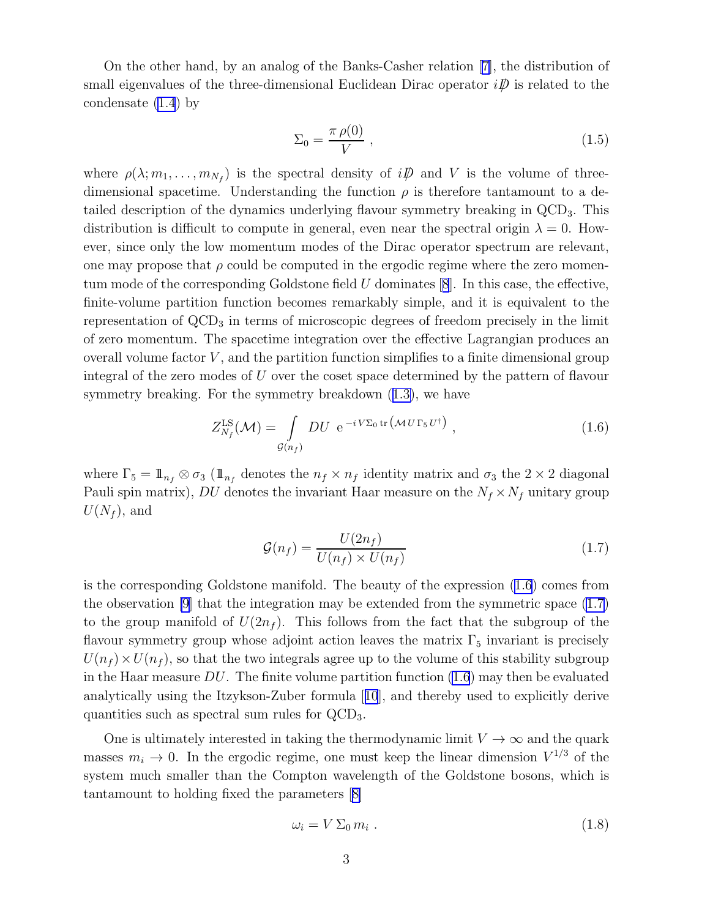<span id="page-2-0"></span>On the other hand, by an analog of the Banks-Casher relation[[7\]](#page-38-0), the distribution of small eigenvalues of the three-dimensional Euclidean Dirac operator  $i\mathcal{D}$  is related to the condensate [\(1.4](#page-1-0)) by

$$
\Sigma_0 = \frac{\pi \,\rho(0)}{V} \,, \tag{1.5}
$$

where  $\rho(\lambda; m_1, \ldots, m_{N_f})$  is the spectral density of  $i\rlap{\,/}D$  and V is the volume of threedimensional spacetime. Understanding the function  $\rho$  is therefore tantamount to a detailed description of the dynamics underlying flavour symmetry breaking in QCD3. This distribution is difficult to compute in general, even near the spectral origin  $\lambda = 0$ . However, since only the low momentum modes of the Dirac operator spectrum are relevant, one may propose that  $\rho$  could be computed in the ergodic regime where the zero momentummode of the corresponding Goldstone field  $U$  dominates  $[8]$  $[8]$  $[8]$ . In this case, the effective, finite-volume partition function becomes remarkably simple, and it is equivalent to the representation of  $\text{QCD}_3$  in terms of microscopic degrees of freedom precisely in the limit of zero momentum. The spacetime integration over the effective Lagrangian produces an overall volume factor  $V$ , and the partition function simplifies to a finite dimensional group integral of the zero modes of U over the coset space determined by the pattern of flavour symmetry breaking. For the symmetry breakdown([1.3\)](#page-1-0), we have

$$
Z_{N_f}^{\text{LS}}(\mathcal{M}) = \int\limits_{\mathcal{G}(n_f)} DU \ e^{-i \, V \Sigma_0 \, \text{tr} \left(\mathcal{M} \, U \, \Gamma_5 \, U^\dagger \right)} \,, \tag{1.6}
$$

where  $\Gamma_5 = \mathbb{1}_{n_f} \otimes \sigma_3$  ( $\mathbb{1}_{n_f}$  denotes the  $n_f \times n_f$  identity matrix and  $\sigma_3$  the  $2 \times 2$  diagonal Pauli spin matrix), DU denotes the invariant Haar measure on the  $N_f \times N_f$  unitary group  $U(N_f)$ , and

$$
\mathcal{G}(n_f) = \frac{U(2n_f)}{U(n_f) \times U(n_f)}\tag{1.7}
$$

is the corresponding Goldstone manifold. The beauty of the expression (1.6) comes from the observation  $[9]$  that the integration may be extended from the symmetric space  $(1.7)$ to the group manifold of  $U(2n_f)$ . This follows from the fact that the subgroup of the flavour symmetry group whose adjoint action leaves the matrix  $\Gamma_5$  invariant is precisely  $U(n_f) \times U(n_f)$ , so that the two integrals agree up to the volume of this stability subgroup in the Haar measure  $DU$ . The finite volume partition function  $(1.6)$  may then be evaluated analytically using the Itzykson-Zuber formula[[10](#page-38-0)], and thereby used to explicitly derive quantities such as spectral sum rules for QCD3.

One is ultimately interested in taking the thermodynamic limit  $V \to \infty$  and the quark masses  $m_i \to 0$ . In the ergodic regime, one must keep the linear dimension  $V^{1/3}$  of the system much smaller than the Compton wavelength of the Goldstone bosons, which is tantamount to holding fixed the parameters[[8\]](#page-38-0)

$$
\omega_i = V \Sigma_0 m_i \tag{1.8}
$$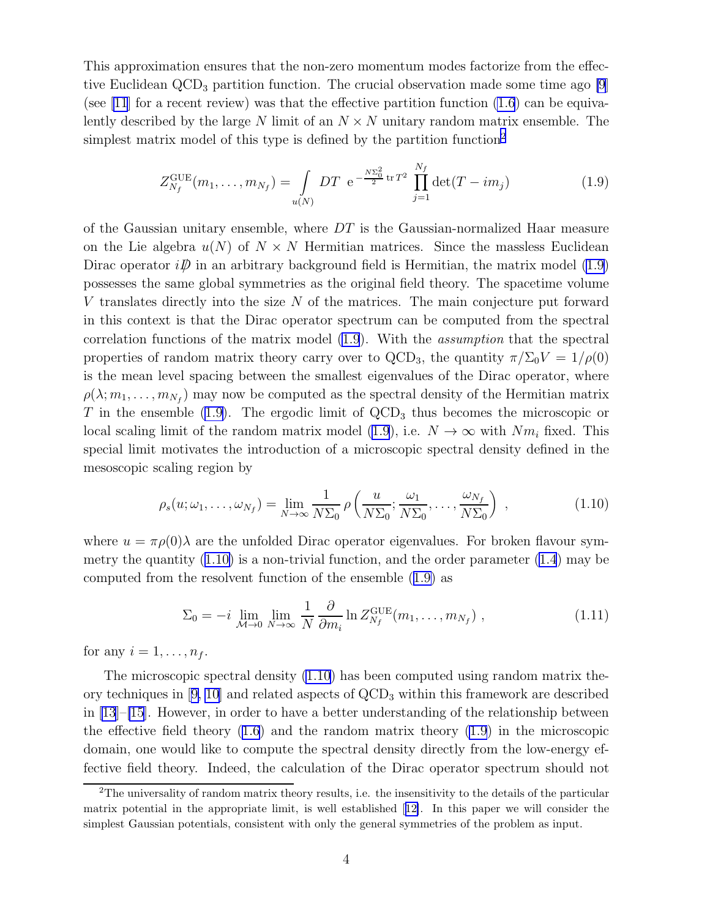This approximation ensures that the non-zero momentum modes factorize from the effective Euclidean  $\text{QCD}_3$  partition function. The crucial observation made some time ago [\[9](#page-38-0)] (see [\[11](#page-38-0)] for a recent review) was that the effective partition function  $(1.6)$  can be equivalently described by the large N limit of an  $N \times N$  unitary random matrix ensemble. The simplest matrix model of this type is defined by the partition function<sup>2</sup>

$$
Z_{N_f}^{\text{GUE}}(m_1, \dots, m_{N_f}) = \int\limits_{u(N)} DT \ e^{-\frac{N\Sigma_0^2}{2} \text{tr} T^2} \prod_{j=1}^{N_f} \det(T - im_j)
$$
(1.9)

of the Gaussian unitary ensemble, where  $DT$  is the Gaussian-normalized Haar measure on the Lie algebra  $u(N)$  of  $N \times N$  Hermitian matrices. Since the massless Euclidean Dirac operator  $i\mathcal{D}$  in an arbitrary background field is Hermitian, the matrix model (1.9) possesses the same global symmetries as the original field theory. The spacetime volume V translates directly into the size N of the matrices. The main conjecture put forward in this context is that the Dirac operator spectrum can be computed from the spectral correlation functions of the matrix model (1.9). With the assumption that the spectral properties of random matrix theory carry over to QCD<sub>3</sub>, the quantity  $\pi/\Sigma_0 V = 1/\rho(0)$ is the mean level spacing between the smallest eigenvalues of the Dirac operator, where  $\rho(\lambda; m_1, \ldots, m_{N_f})$  may now be computed as the spectral density of the Hermitian matrix T in the ensemble  $(1.9)$ . The ergodic limit of  $\text{QCD}_3$  thus becomes the microscopic or local scaling limit of the random matrix model (1.9), i.e.  $N \to \infty$  with  $Nm_i$  fixed. This special limit motivates the introduction of a microscopic spectral density defined in the mesoscopic scaling region by

$$
\rho_s(u; \omega_1, \dots, \omega_{N_f}) = \lim_{N \to \infty} \frac{1}{N \Sigma_0} \rho\left(\frac{u}{N \Sigma_0}; \frac{\omega_1}{N \Sigma_0}, \dots, \frac{\omega_{N_f}}{N \Sigma_0}\right) , \qquad (1.10)
$$

where  $u = \pi \rho(0) \lambda$  are the unfolded Dirac operator eigenvalues. For broken flavour symmetry the quantity  $(1.10)$  is a non-trivial function, and the order parameter  $(1.4)$  may be computed from the resolvent function of the ensemble (1.9) as

$$
\Sigma_0 = -i \lim_{\mathcal{M}\to 0} \lim_{N\to\infty} \frac{1}{N} \frac{\partial}{\partial m_i} \ln Z_{N_f}^{\text{GUE}}(m_1, \dots, m_{N_f}), \qquad (1.11)
$$

for any  $i = 1, \ldots, n_f$ .

The microscopic spectral density (1.10) has been computed using random matrix the-orytechniques in [[9, 10](#page-38-0)] and related aspects of  $\rm{QCD}_3$  within this framework are described in  $[13]$ – $[15]$  $[15]$ . However, in order to have a better understanding of the relationship between the effective field theory [\(1.6](#page-2-0)) and the random matrix theory (1.9) in the microscopic domain, one would like to compute the spectral density directly from the low-energy effective field theory. Indeed, the calculation of the Dirac operator spectrum should not

<sup>&</sup>lt;sup>2</sup>The universality of random matrix theory results, i.e. the insensitivity to the details of the particular matrix potential in the appropriate limit, is well established[[12\]](#page-38-0). In this paper we will consider the simplest Gaussian potentials, consistent with only the general symmetries of the problem as input.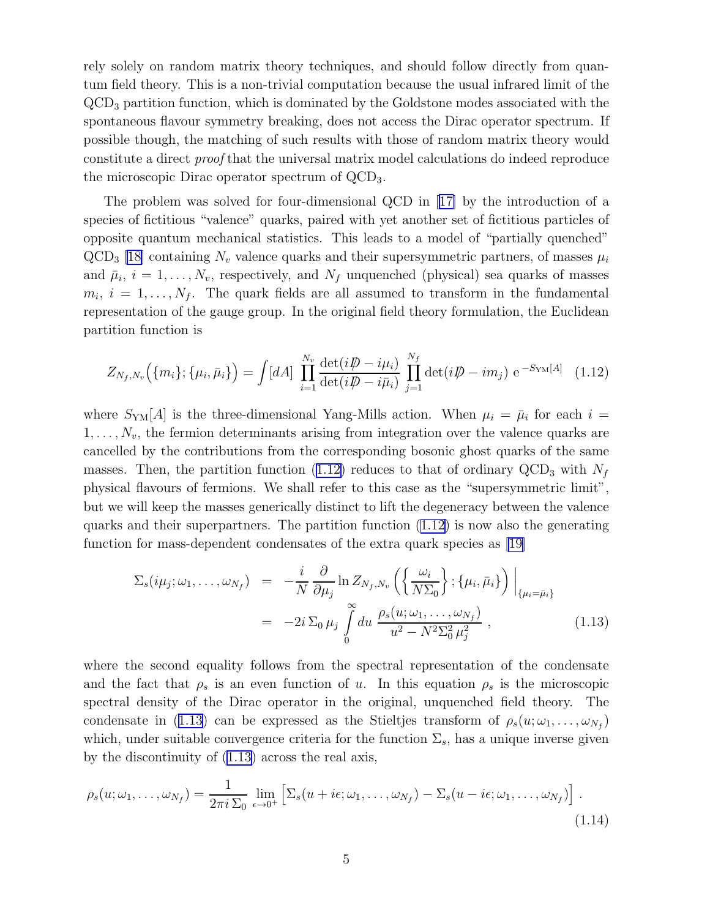<span id="page-4-0"></span>rely solely on random matrix theory techniques, and should follow directly from quantum field theory. This is a non-trivial computation because the usual infrared limit of the QCD<sup>3</sup> partition function, which is dominated by the Goldstone modes associated with the spontaneous flavour symmetry breaking, does not access the Dirac operator spectrum. If possible though, the matching of such results with those of random matrix theory would constitute a direct proof that the universal matrix model calculations do indeed reproduce the microscopic Dirac operator spectrum of QCD3.

The problem was solved for four-dimensional QCD in[[17\]](#page-38-0) by the introduction of a species of fictitious "valence" quarks, paired with yet another set of fictitious particles of opposite quantum mechanical statistics. This leads to a model of "partially quenched"  $QCD<sub>3</sub>$  [\[18\]](#page-38-0) containing  $N<sub>v</sub>$  valence quarks and their supersymmetric partners, of masses  $\mu<sub>i</sub>$ and  $\bar{\mu}_i$ ,  $i = 1, \ldots, N_v$ , respectively, and  $N_f$  unquenched (physical) sea quarks of masses  $m_i, i = 1, \ldots, N_f$ . The quark fields are all assumed to transform in the fundamental representation of the gauge group. In the original field theory formulation, the Euclidean partition function is

$$
Z_{N_f,N_v}(\{m_i\};\{\mu_i,\bar{\mu}_i\}) = \int [dA] \prod_{i=1}^{N_v} \frac{\det(i\rlap{\,/}D - i\mu_i)}{\det(i\rlap{\,/}D - i\bar{\mu}_i)} \prod_{j=1}^{N_f} \det(i\rlap{\,/}D - i m_j) e^{-S_{\text{YM}}[A]} \tag{1.12}
$$

where  $S_{\text{YM}}[A]$  is the three-dimensional Yang-Mills action. When  $\mu_i = \bar{\mu}_i$  for each  $i =$  $1, \ldots, N_v$ , the fermion determinants arising from integration over the valence quarks are cancelled by the contributions from the corresponding bosonic ghost quarks of the same masses. Then, the partition function (1.12) reduces to that of ordinary  $\text{QCD}_3$  with  $N_f$ physical flavours of fermions. We shall refer to this case as the "supersymmetric limit", but we will keep the masses generically distinct to lift the degeneracy between the valence quarks and their superpartners. The partition function  $(1.12)$  is now also the generating function for mass-dependent condensates of the extra quark species as[[19\]](#page-38-0)

$$
\Sigma_s(i\mu_j;\omega_1,\ldots,\omega_{N_f}) = -\frac{i}{N} \frac{\partial}{\partial \mu_j} \ln Z_{N_f,N_v} \left( \left\{ \frac{\omega_i}{N \Sigma_0} \right\}; \{\mu_i, \bar{\mu}_i\} \right) \Big|_{\{\mu_i = \bar{\mu}_i\}}
$$
  

$$
= -2i \Sigma_0 \mu_j \int_0^\infty du \frac{\rho_s(u;\omega_1,\ldots,\omega_{N_f})}{u^2 - N^2 \Sigma_0^2 \mu_j^2}, \qquad (1.13)
$$

where the second equality follows from the spectral representation of the condensate and the fact that  $\rho_s$  is an even function of u. In this equation  $\rho_s$  is the microscopic spectral density of the Dirac operator in the original, unquenched field theory. The condensate in (1.13) can be expressed as the Stieltjes transform of  $\rho_s(u; \omega_1, \ldots, \omega_{N_f})$ which, under suitable convergence criteria for the function  $\Sigma_s$ , has a unique inverse given by the discontinuity of (1.13) across the real axis,

$$
\rho_s(u; \omega_1, \dots, \omega_{N_f}) = \frac{1}{2\pi i \sum_0} \lim_{\epsilon \to 0^+} \left[ \sum_s (u + i\epsilon; \omega_1, \dots, \omega_{N_f}) - \sum_s (u - i\epsilon; \omega_1, \dots, \omega_{N_f}) \right].
$$
\n(1.14)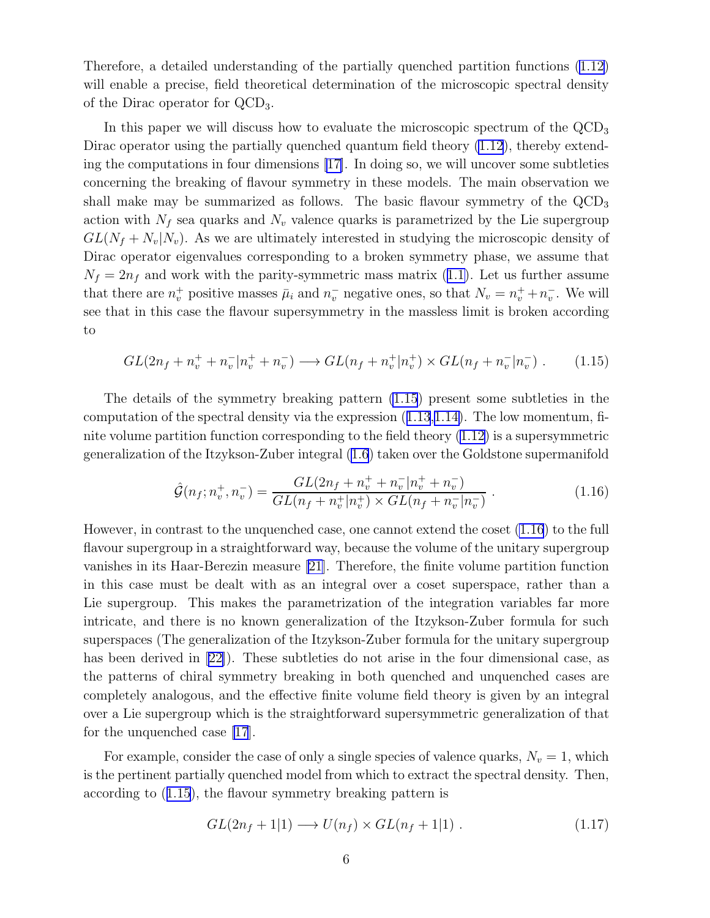<span id="page-5-0"></span>Therefore, a detailed understanding of the partially quenched partition functions [\(1.12](#page-4-0)) will enable a precise, field theoretical determination of the microscopic spectral density of the Dirac operator for QCD3.

In this paper we will discuss how to evaluate the microscopic spectrum of the  $QCD<sub>3</sub>$ Dirac operator using the partially quenched quantum field theory  $(1.12)$ , thereby extending the computations in four dimensions [\[17\]](#page-38-0). In doing so, we will uncover some subtleties concerning the breaking of flavour symmetry in these models. The main observation we shall make may be summarized as follows. The basic flavour symmetry of the  $\rm{QCD}_3$ action with  $N_f$  sea quarks and  $N_v$  valence quarks is parametrized by the Lie supergroup  $GL(N_f + N_v|N_v)$ . As we are ultimately interested in studying the microscopic density of Dirac operator eigenvalues corresponding to a broken symmetry phase, we assume that  $N_f = 2n_f$  $N_f = 2n_f$  $N_f = 2n_f$  and work with the parity-symmetric mass matrix ([1.1\)](#page-1-0). Let us further assume that there are  $n_v^+$  positive masses  $\bar{\mu}_i$  and  $n_v^-$  negative ones, so that  $N_v = n_v^+ + n_v^-$ . We will see that in this case the flavour supersymmetry in the massless limit is broken according to

$$
GL(2n_f + n_v^+ + n_v^- | n_v^+ + n_v^-) \longrightarrow GL(n_f + n_v^+ | n_v^+) \times GL(n_f + n_v^- | n_v^-) . \tag{1.15}
$$

The details of the symmetry breaking pattern (1.15) present some subtleties in the computationof the spectral density via the expression  $(1.13,1.14)$  $(1.13,1.14)$  $(1.13,1.14)$  $(1.13,1.14)$ . The low momentum, finite volume partition function corresponding to the field theory [\(1.12](#page-4-0)) is a supersymmetric generalization of the Itzykson-Zuber integral [\(1.6](#page-2-0)) taken over the Goldstone supermanifold

$$
\hat{\mathcal{G}}(n_f; n_v^+, n_v^-) = \frac{GL(2n_f + n_v^+ + n_v^- | n_v^+ + n_v^-)}{GL(n_f + n_v^+ | n_v^+) \times GL(n_f + n_v^- | n_v^-)}.
$$
\n(1.16)

However, in contrast to the unquenched case, one cannot extend the coset (1.16) to the full flavour supergroup in a straightforward way, because the volume of the unitary supergroup vanishes in its Haar-Berezin measure [\[21](#page-39-0)]. Therefore, the finite volume partition function in this case must be dealt with as an integral over a coset superspace, rather than a Lie supergroup. This makes the parametrization of the integration variables far more intricate, and there is no known generalization of the Itzykson-Zuber formula for such superspaces (The generalization of the Itzykson-Zuber formula for the unitary supergroup has been derived in [\[22\]](#page-39-0)). These subtleties do not arise in the four dimensional case, as the patterns of chiral symmetry breaking in both quenched and unquenched cases are completely analogous, and the effective finite volume field theory is given by an integral over a Lie supergroup which is the straightforward supersymmetric generalization of that for the unquenched case [\[17](#page-38-0)].

For example, consider the case of only a single species of valence quarks,  $N_v = 1$ , which is the pertinent partially quenched model from which to extract the spectral density. Then, according to (1.15), the flavour symmetry breaking pattern is

$$
GL(2n_f+1|1) \longrightarrow U(n_f) \times GL(n_f+1|1) . \tag{1.17}
$$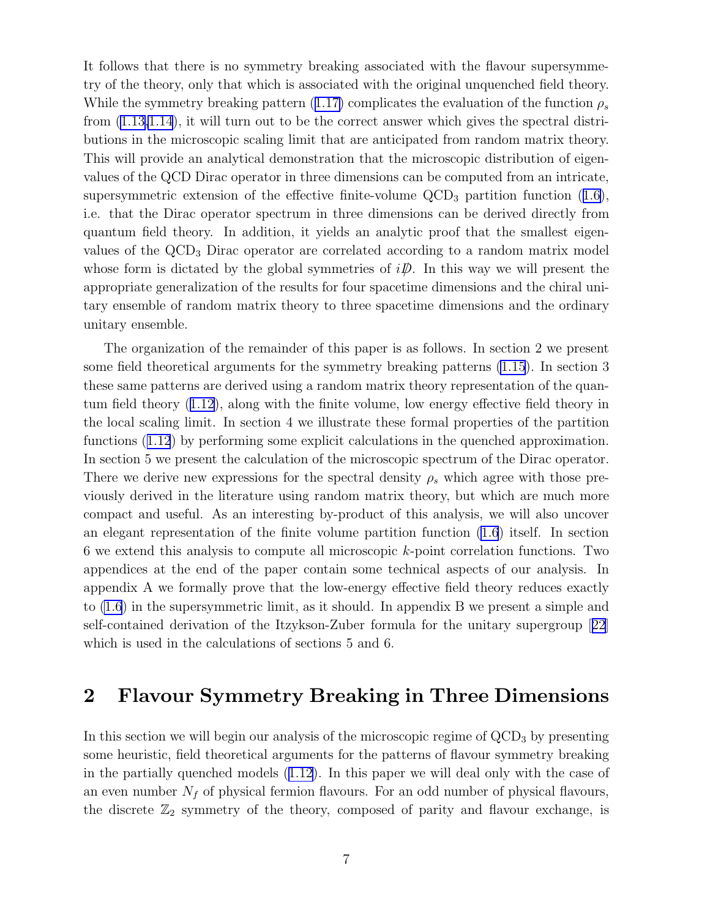It follows that there is no symmetry breaking associated with the flavour supersymmetry of the theory, only that which is associated with the original unquenched field theory. Whilethe symmetry breaking pattern ([1.17\)](#page-5-0) complicates the evaluation of the function  $\rho_s$ from [\(1.13,1.14](#page-4-0)), it will turn out to be the correct answer which gives the spectral distributions in the microscopic scaling limit that are anticipated from random matrix theory. This will provide an analytical demonstration that the microscopic distribution of eigenvalues of the QCD Dirac operator in three dimensions can be computed from an intricate, supersymmetricextension of the effective finite-volume  $\text{QCD}_3$  partition function  $(1.6)$  $(1.6)$ , i.e. that the Dirac operator spectrum in three dimensions can be derived directly from quantum field theory. In addition, it yields an analytic proof that the smallest eigenvalues of the QCD<sub>3</sub> Dirac operator are correlated according to a random matrix model whose form is dictated by the global symmetries of  $i\mathcal{D}$ . In this way we will present the appropriate generalization of the results for four spacetime dimensions and the chiral unitary ensemble of random matrix theory to three spacetime dimensions and the ordinary unitary ensemble.

The organization of the remainder of this paper is as follows. In section 2 we present some field theoretical arguments for the symmetry breaking patterns [\(1.15](#page-5-0)). In section 3 these same patterns are derived using a random matrix theory representation of the quantum field theory([1.12\)](#page-4-0), along with the finite volume, low energy effective field theory in the local scaling limit. In section 4 we illustrate these formal properties of the partition functions([1.12](#page-4-0)) by performing some explicit calculations in the quenched approximation. In section 5 we present the calculation of the microscopic spectrum of the Dirac operator. There we derive new expressions for the spectral density  $\rho_s$  which agree with those previously derived in the literature using random matrix theory, but which are much more compact and useful. As an interesting by-product of this analysis, we will also uncover an elegant representation of the finite volume partition function [\(1.6](#page-2-0)) itself. In section 6 we extend this analysis to compute all microscopic k-point correlation functions. Two appendices at the end of the paper contain some technical aspects of our analysis. In appendix A we formally prove that the low-energy effective field theory reduces exactly to [\(1.6](#page-2-0)) in the supersymmetric limit, as it should. In appendix B we present a simple and self-contained derivation of the Itzykson-Zuber formula for the unitary supergroup[[22](#page-39-0)] which is used in the calculations of sections 5 and 6.

## 2 Flavour Symmetry Breaking in Three Dimensions

In this section we will begin our analysis of the microscopic regime of  $\rm QCD<sub>3</sub>$  by presenting some heuristic, field theoretical arguments for the patterns of flavour symmetry breaking in the partially quenched models([1.12\)](#page-4-0). In this paper we will deal only with the case of an even number  $N_f$  of physical fermion flavours. For an odd number of physical flavours, the discrete  $\mathbb{Z}_2$  symmetry of the theory, composed of parity and flavour exchange, is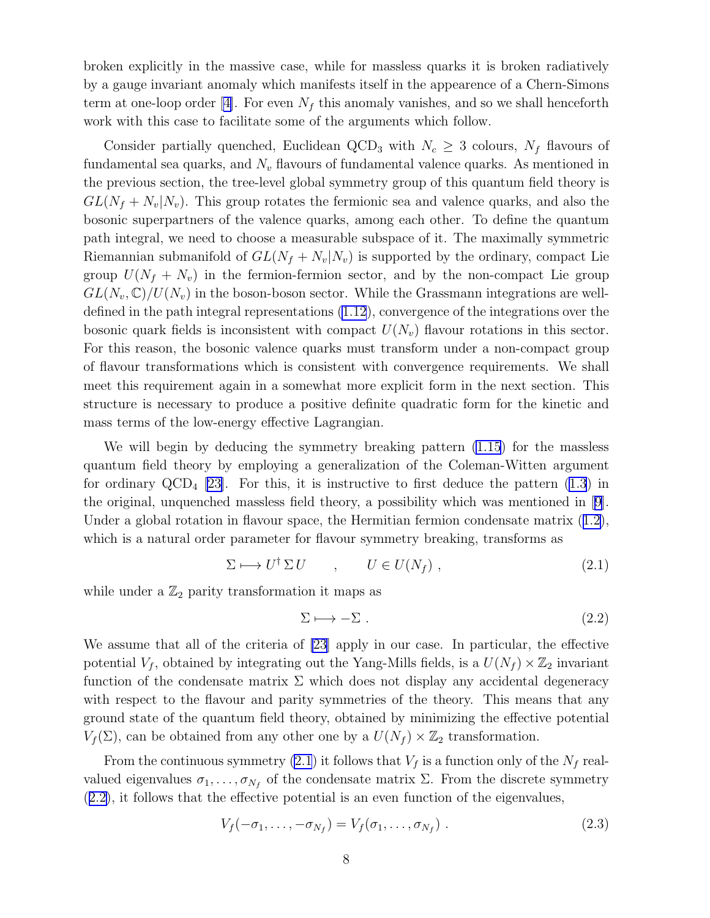<span id="page-7-0"></span>broken explicitly in the massive case, while for massless quarks it is broken radiatively by a gauge invariant anomaly which manifests itself in the appearence of a Chern-Simons termat one-loop order [[4\]](#page-38-0). For even  $N_f$  this anomaly vanishes, and so we shall henceforth work with this case to facilitate some of the arguments which follow.

Consider partially quenched, Euclidean QCD<sub>3</sub> with  $N_c \geq 3$  colours,  $N_f$  flavours of fundamental sea quarks, and  $N_v$  flavours of fundamental valence quarks. As mentioned in the previous section, the tree-level global symmetry group of this quantum field theory is  $GL(N_f + N_v|N_v)$ . This group rotates the fermionic sea and valence quarks, and also the bosonic superpartners of the valence quarks, among each other. To define the quantum path integral, we need to choose a measurable subspace of it. The maximally symmetric Riemannian submanifold of  $GL(N_f + N_v|N_v)$  is supported by the ordinary, compact Lie group  $U(N_f + N_v)$  in the fermion-fermion sector, and by the non-compact Lie group  $GL(N_v, \mathbb{C})/U(N_v)$  in the boson-boson sector. While the Grassmann integrations are welldefined in the path integral representations [\(1.12](#page-4-0)), convergence of the integrations over the bosonic quark fields is inconsistent with compact  $U(N_v)$  flavour rotations in this sector. For this reason, the bosonic valence quarks must transform under a non-compact group of flavour transformations which is consistent with convergence requirements. We shall meet this requirement again in a somewhat more explicit form in the next section. This structure is necessary to produce a positive definite quadratic form for the kinetic and mass terms of the low-energy effective Lagrangian.

We will begin by deducing the symmetry breaking pattern [\(1.15](#page-5-0)) for the massless quantum field theory by employing a generalization of the Coleman-Witten argument for ordinary  $\text{QCD}_4$  [\[23\]](#page-39-0). For this, it is instructive to first deduce the pattern  $(1.3)$  in the original, unquenched massless field theory, a possibility which was mentioned in [\[9\]](#page-38-0). Undera global rotation in flavour space, the Hermitian fermion condensate matrix  $(1.2)$  $(1.2)$ , which is a natural order parameter for flavour symmetry breaking, transforms as

$$
\Sigma \longmapsto U^{\dagger} \Sigma U \qquad , \qquad U \in U(N_f) \; , \tag{2.1}
$$

while under a  $\mathbb{Z}_2$  parity transformation it maps as

$$
\Sigma \longmapsto -\Sigma \ . \tag{2.2}
$$

We assume that all of the criteria of [\[23\]](#page-39-0) apply in our case. In particular, the effective potential  $V_f$ , obtained by integrating out the Yang-Mills fields, is a  $U(N_f) \times \mathbb{Z}_2$  invariant function of the condensate matrix  $\Sigma$  which does not display any accidental degeneracy with respect to the flavour and parity symmetries of the theory. This means that any ground state of the quantum field theory, obtained by minimizing the effective potential  $V_f(\Sigma)$ , can be obtained from any other one by a  $U(N_f) \times \mathbb{Z}_2$  transformation.

From the continuous symmetry (2.1) it follows that  $V_f$  is a function only of the  $N_f$  realvalued eigenvalues  $\sigma_1, \ldots, \sigma_{N_f}$  of the condensate matrix  $\Sigma$ . From the discrete symmetry (2.2), it follows that the effective potential is an even function of the eigenvalues,

$$
V_f(-\sigma_1,\ldots,-\sigma_{N_f})=V_f(\sigma_1,\ldots,\sigma_{N_f})\ .
$$
 (2.3)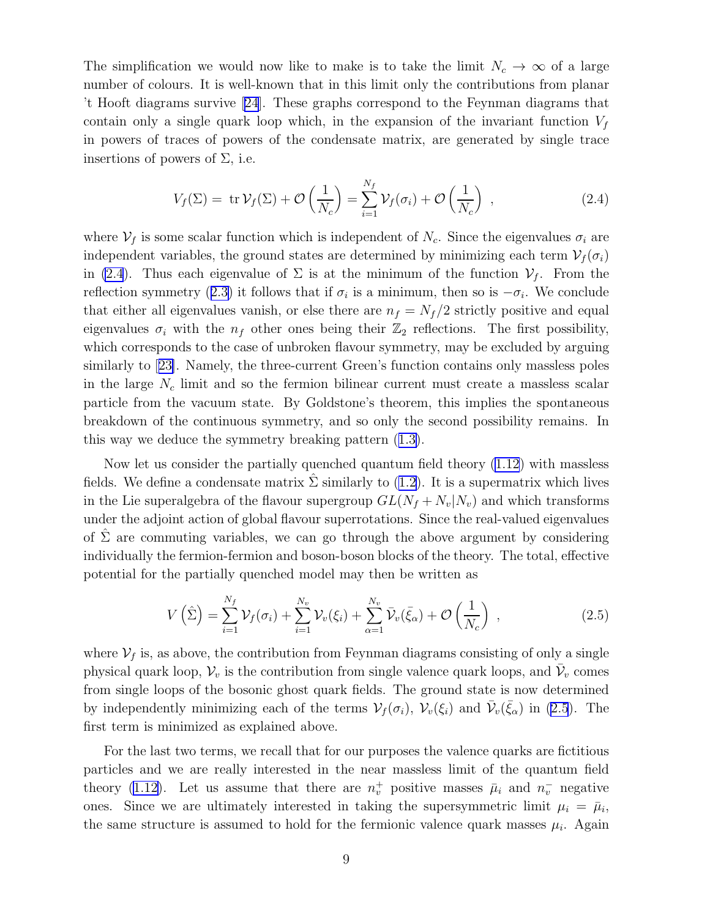<span id="page-8-0"></span>The simplification we would now like to make is to take the limit  $N_c \to \infty$  of a large number of colours. It is well-known that in this limit only the contributions from planar 't Hooft diagrams survive [\[24\]](#page-39-0). These graphs correspond to the Feynman diagrams that contain only a single quark loop which, in the expansion of the invariant function  $V_f$ in powers of traces of powers of the condensate matrix, are generated by single trace insertions of powers of  $\Sigma$ , i.e.

$$
V_f(\Sigma) = \operatorname{tr} \mathcal{V}_f(\Sigma) + \mathcal{O}\left(\frac{1}{N_c}\right) = \sum_{i=1}^{N_f} \mathcal{V}_f(\sigma_i) + \mathcal{O}\left(\frac{1}{N_c}\right) , \qquad (2.4)
$$

where  $V_f$  is some scalar function which is independent of  $N_c$ . Since the eigenvalues  $\sigma_i$  are independent variables, the ground states are determined by minimizing each term  $\mathcal{V}_f(\sigma_i)$ in (2.4). Thus each eigenvalue of  $\Sigma$  is at the minimum of the function  $V_f$ . From the reflectionsymmetry ([2.3\)](#page-7-0) it follows that if  $\sigma_i$  is a minimum, then so is  $-\sigma_i$ . We conclude that either all eigenvalues vanish, or else there are  $n_f = N_f/2$  strictly positive and equal eigenvalues  $\sigma_i$  with the  $n_f$  other ones being their  $\mathbb{Z}_2$  reflections. The first possibility, which corresponds to the case of unbroken flavour symmetry, may be excluded by arguing similarly to[[23\]](#page-39-0). Namely, the three-current Green's function contains only massless poles in the large  $N_c$  limit and so the fermion bilinear current must create a massless scalar particle from the vacuum state. By Goldstone's theorem, this implies the spontaneous breakdown of the continuous symmetry, and so only the second possibility remains. In this way we deduce the symmetry breaking pattern([1.3\)](#page-1-0).

Now let us consider the partially quenched quantum field theory [\(1.12](#page-4-0)) with massless fields. We define a condensate matrix  $\hat{\Sigma}$  similarly to [\(1.2](#page-1-0)). It is a supermatrix which lives in the Lie superalgebra of the flavour supergroup  $GL(N_f + N_v|N_v)$  and which transforms under the adjoint action of global flavour superrotations. Since the real-valued eigenvalues of  $\hat{\Sigma}$  are commuting variables, we can go through the above argument by considering individually the fermion-fermion and boson-boson blocks of the theory. The total, effective potential for the partially quenched model may then be written as

$$
V\left(\hat{\Sigma}\right) = \sum_{i=1}^{N_f} \mathcal{V}_f(\sigma_i) + \sum_{i=1}^{N_v} \mathcal{V}_v(\xi_i) + \sum_{\alpha=1}^{N_v} \bar{\mathcal{V}}_v(\bar{\xi}_{\alpha}) + \mathcal{O}\left(\frac{1}{N_c}\right) ,\qquad (2.5)
$$

where  $V_f$  is, as above, the contribution from Feynman diagrams consisting of only a single physical quark loop,  $\mathcal{V}_v$  is the contribution from single valence quark loops, and  $\bar{\mathcal{V}}_v$  comes from single loops of the bosonic ghost quark fields. The ground state is now determined by independently minimizing each of the terms  $\mathcal{V}_f(\sigma_i)$ ,  $\mathcal{V}_v(\xi_i)$  and  $\bar{\mathcal{V}}_v(\bar{\xi}_{\alpha})$  in (2.5). The first term is minimized as explained above.

For the last two terms, we recall that for our purposes the valence quarks are fictitious particles and we are really interested in the near massless limit of the quantum field theory [\(1.12](#page-4-0)). Let us assume that there are  $n_v^+$  positive masses  $\bar{\mu}_i$  and  $n_v^-$  negative ones. Since we are ultimately interested in taking the supersymmetric limit  $\mu_i = \bar{\mu}_i$ , the same structure is assumed to hold for the fermionic valence quark masses  $\mu_i$ . Again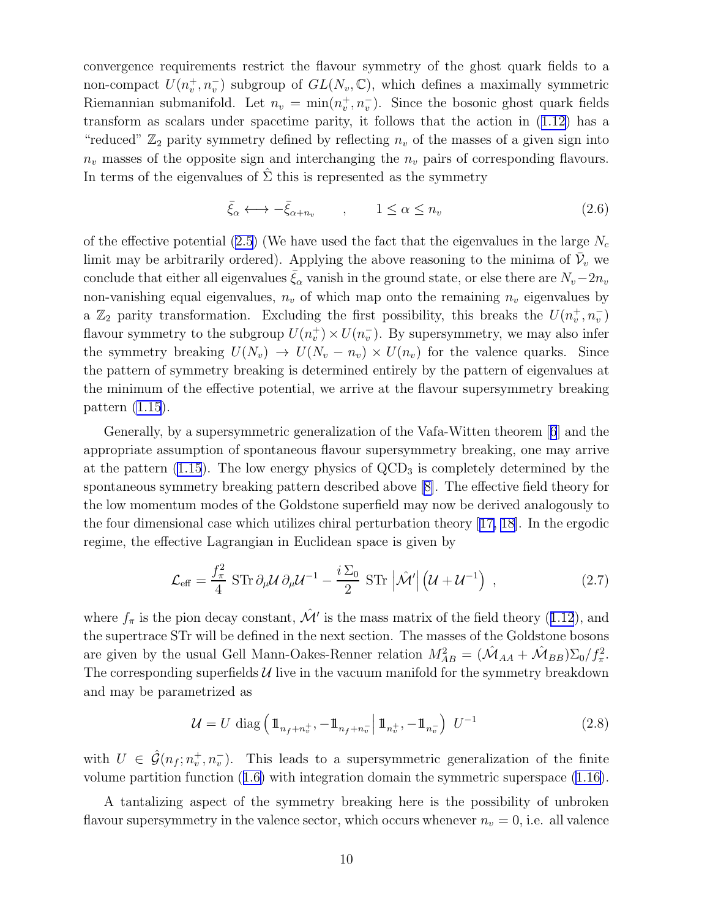convergence requirements restrict the flavour symmetry of the ghost quark fields to a non-compact  $U(n_v^+, n_v^-)$  subgroup of  $GL(N_v, \mathbb{C})$ , which defines a maximally symmetric Riemannian submanifold. Let  $n_v = \min(n_v^+, n_v^-)$ . Since the bosonic ghost quark fields transform as scalars under spacetime parity, it follows that the action in([1.12\)](#page-4-0) has a "reduced"  $\mathbb{Z}_2$  parity symmetry defined by reflecting  $n_v$  of the masses of a given sign into  $n_v$  masses of the opposite sign and interchanging the  $n_v$  pairs of corresponding flavours. In terms of the eigenvalues of  $\hat{\Sigma}$  this is represented as the symmetry

$$
\bar{\xi}_{\alpha} \longleftrightarrow -\bar{\xi}_{\alpha+n_v} \qquad , \qquad 1 \le \alpha \le n_v \tag{2.6}
$$

of the effective potential [\(2.5](#page-8-0)) (We have used the fact that the eigenvalues in the large  $N_c$ limit may be arbitrarily ordered). Applying the above reasoning to the minima of  $\bar{\mathcal{V}}_v$  we conclude that either all eigenvalues  $\xi_{\alpha}$  vanish in the ground state, or else there are  $N_v-2n_v$ non-vanishing equal eigenvalues,  $n_v$  of which map onto the remaining  $n_v$  eigenvalues by a  $\mathbb{Z}_2$  parity transformation. Excluding the first possibility, this breaks the  $U(n_v^+, n_v^-)$ flavour symmetry to the subgroup  $U(n_v^+) \times U(n_v^-)$ . By supersymmetry, we may also infer the symmetry breaking  $U(N_v) \to U(N_v - n_v) \times U(n_v)$  for the valence quarks. Since the pattern of symmetry breaking is determined entirely by the pattern of eigenvalues at the minimum of the effective potential, we arrive at the flavour supersymmetry breaking pattern [\(1.15](#page-5-0)).

Generally, by a supersymmetric generalization of the Vafa-Witten theorem[[6](#page-38-0)] and the appropriate assumption of spontaneous flavour supersymmetry breaking, one may arrive at the pattern  $(1.15)$ . The low energy physics of  $\text{QCD}_3$  is completely determined by the spontaneous symmetry breaking pattern described above [\[8\]](#page-38-0). The effective field theory for the low momentum modes of the Goldstone superfield may now be derived analogously to the four dimensional case which utilizes chiral perturbation theory [[17, 18\]](#page-38-0). In the ergodic regime, the effective Lagrangian in Euclidean space is given by

$$
\mathcal{L}_{\text{eff}} = \frac{f_{\pi}^2}{4} \operatorname{STr} \partial_{\mu} \mathcal{U} \partial_{\mu} \mathcal{U}^{-1} - \frac{i \Sigma_0}{2} \operatorname{STr} \left| \hat{\mathcal{M}}' \right| \left( \mathcal{U} + \mathcal{U}^{-1} \right) , \qquad (2.7)
$$

where $f_{\pi}$  is the pion decay constant,  $\hat{\mathcal{M}}'$  is the mass matrix of the field theory ([1.12](#page-4-0)), and the supertrace STr will be defined in the next section. The masses of the Goldstone bosons are given by the usual Gell Mann-Oakes-Renner relation  $M_{AB}^2 = (\hat{M}_{AA} + \hat{M}_{BB})\Sigma_0/f_\pi^2$ . The corresponding superfields  $U$  live in the vacuum manifold for the symmetry breakdown and may be parametrized as

$$
\mathcal{U} = U \text{ diag}\left(\mathbb{1}_{n_f + n_v^+}, -\mathbb{1}_{n_f + n_v^-} \middle| \mathbb{1}_{n_v^+}, -\mathbb{1}_{n_v^-} \right) U^{-1}
$$
\n(2.8)

with  $U \in \hat{\mathcal{G}}(n_f; n_v^+, n_v^-)$ . This leads to a supersymmetric generalization of the finite volume partition function([1.6\)](#page-2-0) with integration domain the symmetric superspace([1.16\)](#page-5-0).

A tantalizing aspect of the symmetry breaking here is the possibility of unbroken flavour supersymmetry in the valence sector, which occurs whenever  $n_v = 0$ , i.e. all valence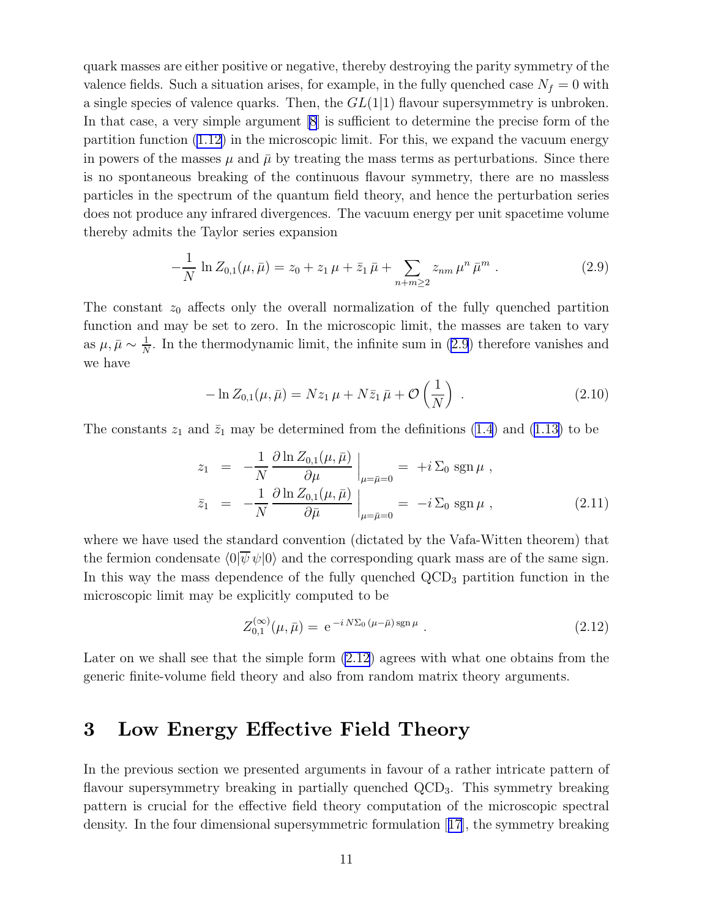<span id="page-10-0"></span>quark masses are either positive or negative, thereby destroying the parity symmetry of the valence fields. Such a situation arises, for example, in the fully quenched case  $N_f = 0$  with a single species of valence quarks. Then, the  $GL(1|1)$  flavour supersymmetry is unbroken. In that case, a very simple argument [\[8](#page-38-0)] is sufficient to determine the precise form of the partition function [\(1.12](#page-4-0)) in the microscopic limit. For this, we expand the vacuum energy in powers of the masses  $\mu$  and  $\bar{\mu}$  by treating the mass terms as perturbations. Since there is no spontaneous breaking of the continuous flavour symmetry, there are no massless particles in the spectrum of the quantum field theory, and hence the perturbation series does not produce any infrared divergences. The vacuum energy per unit spacetime volume thereby admits the Taylor series expansion

$$
-\frac{1}{N}\ln Z_{0,1}(\mu,\bar{\mu}) = z_0 + z_1\,\mu + \bar{z}_1\,\bar{\mu} + \sum_{n+m\geq 2} z_{nm}\,\mu^n\,\bar{\mu}^m \ . \tag{2.9}
$$

The constant  $z_0$  affects only the overall normalization of the fully quenched partition function and may be set to zero. In the microscopic limit, the masses are taken to vary as  $\mu, \bar{\mu} \sim \frac{1}{N}$  $\frac{1}{N}$ . In the thermodynamic limit, the infinite sum in (2.9) therefore vanishes and we have

$$
-\ln Z_{0,1}(\mu,\bar{\mu}) = Nz_1 \mu + N\bar{z}_1 \bar{\mu} + \mathcal{O}\left(\frac{1}{N}\right) . \tag{2.10}
$$

Theconstants  $z_1$  and  $\bar{z}_1$  may be determined from the definitions [\(1.4](#page-1-0)) and ([1.13\)](#page-4-0) to be

$$
z_1 = -\frac{1}{N} \frac{\partial \ln Z_{0,1}(\mu, \bar{\mu})}{\partial \mu} \Big|_{\mu = \bar{\mu} = 0} = +i \Sigma_0 \operatorname{sgn} \mu ,
$$
  

$$
\bar{z}_1 = -\frac{1}{N} \frac{\partial \ln Z_{0,1}(\mu, \bar{\mu})}{\partial \bar{\mu}} \Big|_{\mu = \bar{\mu} = 0} = -i \Sigma_0 \operatorname{sgn} \mu , \qquad (2.11)
$$

where we have used the standard convention (dictated by the Vafa-Witten theorem) that the fermion condensate  $\langle 0|\overline{\psi}\psi|0\rangle$  and the corresponding quark mass are of the same sign. In this way the mass dependence of the fully quenched QCD<sub>3</sub> partition function in the microscopic limit may be explicitly computed to be

$$
Z_{0,1}^{(\infty)}(\mu,\bar{\mu}) = e^{-i N \Sigma_0 (\mu - \bar{\mu}) \operatorname{sgn} \mu} . \qquad (2.12)
$$

Later on we shall see that the simple form  $(2.12)$  agrees with what one obtains from the generic finite-volume field theory and also from random matrix theory arguments.

### 3 Low Energy Effective Field Theory

In the previous section we presented arguments in favour of a rather intricate pattern of flavour supersymmetry breaking in partially quenched QCD<sub>3</sub>. This symmetry breaking pattern is crucial for the effective field theory computation of the microscopic spectral density. In the four dimensional supersymmetric formulation[[17](#page-38-0)], the symmetry breaking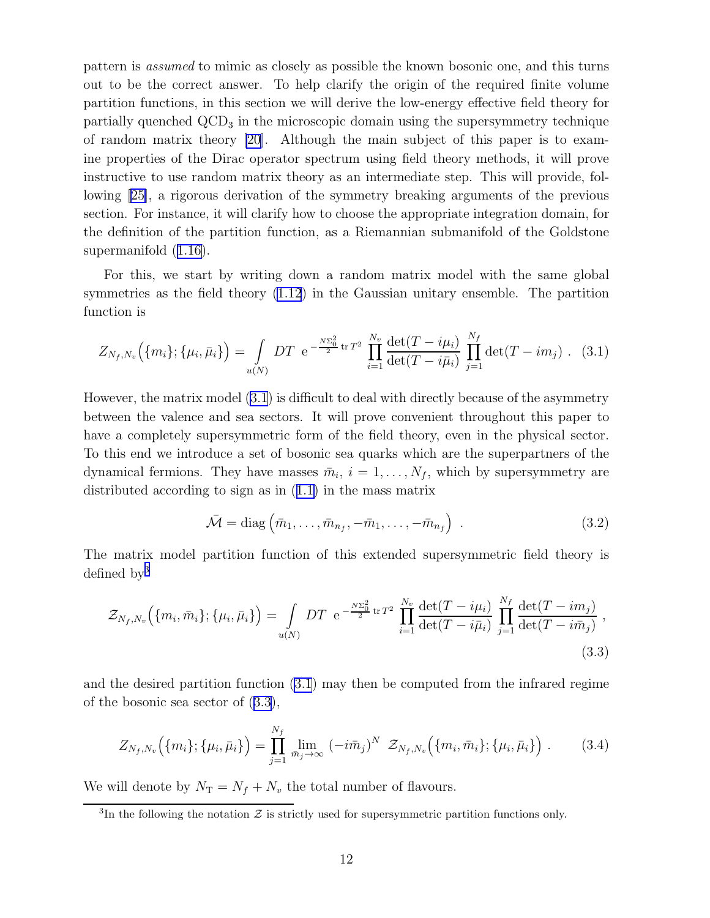<span id="page-11-0"></span>pattern is assumed to mimic as closely as possible the known bosonic one, and this turns out to be the correct answer. To help clarify the origin of the required finite volume partition functions, in this section we will derive the low-energy effective field theory for partially quenched  $\text{QCD}_3$  in the microscopic domain using the supersymmetry technique of random matrix theory [\[20\]](#page-38-0). Although the main subject of this paper is to examine properties of the Dirac operator spectrum using field theory methods, it will prove instructive to use random matrix theory as an intermediate step. This will provide, following [\[25\]](#page-39-0), a rigorous derivation of the symmetry breaking arguments of the previous section. For instance, it will clarify how to choose the appropriate integration domain, for the definition of the partition function, as a Riemannian submanifold of the Goldstone supermanifold([1.16\)](#page-5-0).

For this, we start by writing down a random matrix model with the same global symmetries as the field theory [\(1.12](#page-4-0)) in the Gaussian unitary ensemble. The partition function is

$$
Z_{N_f,N_v}(\{m_i\};\{\mu_i,\bar{\mu}_i\}) = \int\limits_{u(N)}DT \ e^{-\frac{N\Sigma_0^2}{2}\text{tr}T^2}\prod_{i=1}^{N_v}\frac{\det(T-i\mu_i)}{\det(T-i\bar{\mu}_i)}\prod_{j=1}^{N_f}\det(T-im_j) . \tag{3.1}
$$

However, the matrix model (3.1) is difficult to deal with directly because of the asymmetry between the valence and sea sectors. It will prove convenient throughout this paper to have a completely supersymmetric form of the field theory, even in the physical sector. To this end we introduce a set of bosonic sea quarks which are the superpartners of the dynamical fermions. They have masses  $\bar{m}_i$ ,  $i = 1, \ldots, N_f$ , which by supersymmetry are distributed according to sign as in([1.1\)](#page-1-0) in the mass matrix

$$
\bar{\mathcal{M}} = \text{diag}\left(\bar{m}_1, \dots, \bar{m}_{n_f}, -\bar{m}_1, \dots, -\bar{m}_{n_f}\right) \tag{3.2}
$$

The matrix model partition function of this extended supersymmetric field theory is defined by<sup>3</sup>

$$
\mathcal{Z}_{N_f,N_v}\Big(\{m_i,\bar{m}_i\};\{\mu_i,\bar{\mu}_i\}\Big) = \int\limits_{u(N)} DT \ e^{-\frac{N\Sigma_0^2}{2}\ \text{tr}\,T^2} \ \prod_{i=1}^{N_v} \frac{\det(T - i\mu_i)}{\det(T - i\bar{\mu}_i)} \ \prod_{j=1}^{N_f} \frac{\det(T - i m_j)}{\det(T - i\bar{m}_j)} \ , \tag{3.3}
$$

and the desired partition function (3.1) may then be computed from the infrared regime of the bosonic sea sector of (3.3),

$$
Z_{N_f,N_v}(\{m_i\};\{\mu_i,\bar{\mu}_i\}) = \prod_{j=1}^{N_f} \lim_{\bar{m}_j \to \infty} (-i\bar{m}_j)^N \ \ Z_{N_f,N_v}(\{m_i,\bar{m}_i\};\{\mu_i,\bar{\mu}_i\}) \ . \tag{3.4}
$$

We will denote by  $N_T = N_f + N_v$  the total number of flavours.

<sup>&</sup>lt;sup>3</sup>In the following the notation  $\mathcal Z$  is strictly used for supersymmetric partition functions only.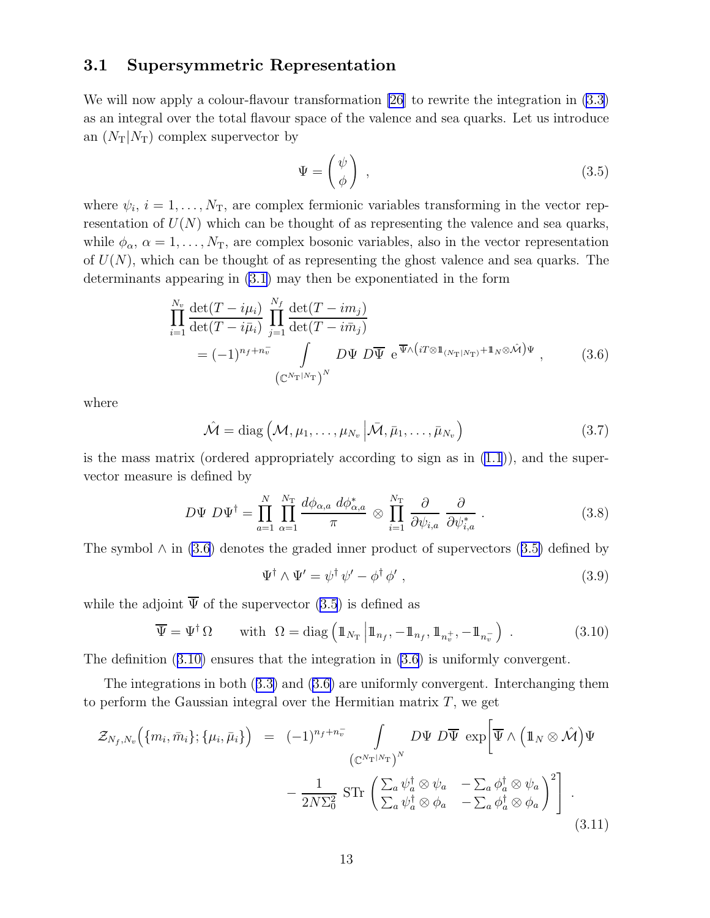### <span id="page-12-0"></span>3.1 Supersymmetric Representation

We will now apply a colour-flavour transformation [\[26](#page-39-0)] to rewrite the integration in  $(3.3)$ as an integral over the total flavour space of the valence and sea quarks. Let us introduce an  $(N_T|N_T)$  complex supervector by

$$
\Psi = \begin{pmatrix} \psi \\ \phi \end{pmatrix} , \qquad (3.5)
$$

where  $\psi_i$ ,  $i = 1, \ldots, N_T$ , are complex fermionic variables transforming in the vector representation of  $U(N)$  which can be thought of as representing the valence and sea quarks, while  $\phi_{\alpha}$ ,  $\alpha = 1, \ldots, N_{\text{T}}$ , are complex bosonic variables, also in the vector representation of  $U(N)$ , which can be thought of as representing the ghost valence and sea quarks. The determinants appearing in [\(3.1](#page-11-0)) may then be exponentiated in the form

$$
\prod_{i=1}^{N_v} \frac{\det(T - i\mu_i)}{\det(T - i\bar{\mu}_i)} \prod_{j=1}^{N_f} \frac{\det(T - i\bar{m}_j)}{\det(T - i\bar{m}_j)}
$$
\n
$$
= (-1)^{n_f + n_v} \int D\Psi D\overline{\Psi} e^{\overline{\Psi}\wedge(iT \otimes \mathbb{1}_{(N_{\text{T}}|N_{\text{T}})} + \mathbb{1}_N \otimes \hat{\mathcal{M}})\Psi}, \qquad (3.6)
$$

where

$$
\hat{\mathcal{M}} = \text{diag}\left(\mathcal{M}, \mu_1, \dots, \mu_{N_v} \middle| \bar{\mathcal{M}}, \bar{\mu}_1, \dots, \bar{\mu}_{N_v}\right)
$$
\n(3.7)

is the mass matrix (ordered appropriately according to sign as in  $(1.1)$ ), and the supervector measure is defined by

$$
D\Psi D\Psi^{\dagger} = \prod_{a=1}^{N} \prod_{\alpha=1}^{N_{\rm T}} \frac{d\phi_{\alpha,a} d\phi_{\alpha,a}^{*}}{\pi} \otimes \prod_{i=1}^{N_{\rm T}} \frac{\partial}{\partial \psi_{i,a}} \frac{\partial}{\partial \psi_{i,a}^{*}}.
$$
 (3.8)

The symbol  $\wedge$  in (3.6) denotes the graded inner product of supervectors (3.5) defined by

$$
\Psi^{\dagger} \wedge \Psi' = \psi^{\dagger} \psi' - \phi^{\dagger} \phi', \qquad (3.9)
$$

while the adjoint  $\overline{\Psi}$  of the supervector (3.5) is defined as

$$
\overline{\Psi} = \Psi^{\dagger} \Omega \quad \text{with} \quad \Omega = \text{diag}\left(\mathbb{1}_{N_{\text{T}}}\left|\mathbb{1}_{n_{f}}, -\mathbb{1}_{n_{f}}, \mathbb{1}_{n_{v}^{+}}, -\mathbb{1}_{n_{v}^{-}}\right.\right) \tag{3.10}
$$

The definition (3.10) ensures that the integration in (3.6) is uniformly convergent.

The integrations in both([3.3\)](#page-11-0) and (3.6) are uniformly convergent. Interchanging them to perform the Gaussian integral over the Hermitian matrix  $T$ , we get

$$
\mathcal{Z}_{N_f, N_v}(\{m_i, \bar{m}_i\}; \{\mu_i, \bar{\mu}_i\}) = (-1)^{n_f + n_v^-} \int_{(\mathbb{C}^{N_{\mathrm{T}}|N_{\mathrm{T}}})^N} D\Psi \, D\overline{\Psi} \, \exp\left[\overline{\Psi} \wedge (\mathbb{1}_N \otimes \hat{\mathcal{M}}) \Psi \right.\left. - \frac{1}{2N\Sigma_0^2} \operatorname{STr} \left( \sum_a \psi_a^\dagger \otimes \psi_a - \sum_a \phi_a^\dagger \otimes \psi_a \right)^2 \right].
$$
\n(3.11)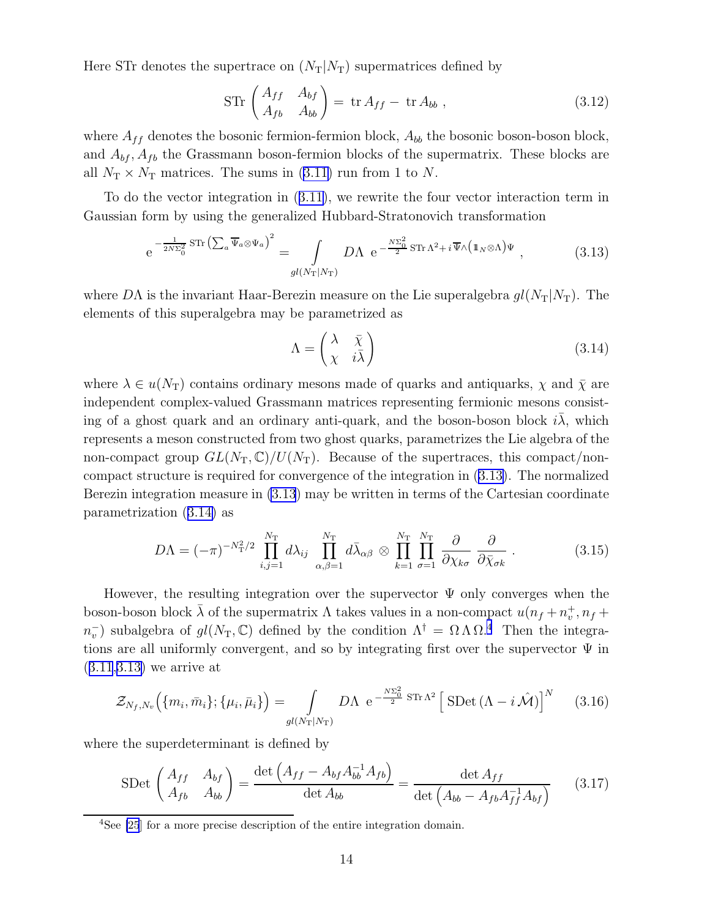<span id="page-13-0"></span>Here STr denotes the supertrace on  $(N_T|N_T)$  supermatrices defined by

$$
\operatorname{STr}\begin{pmatrix} A_{ff} & A_{bf} \ A_{fb} & A_{bb} \end{pmatrix} = \operatorname{tr} A_{ff} - \operatorname{tr} A_{bb} , \qquad (3.12)
$$

where  $A_{ff}$  denotes the bosonic fermion-fermion block,  $A_{bb}$  the bosonic boson-boson block, and  $A_{bf}$ ,  $A_{fb}$  the Grassmann boson-fermion blocks of the supermatrix. These blocks are all $N_T \times N_T$  matrices. The sums in ([3.11\)](#page-12-0) run from 1 to N.

To do the vector integration in([3.11\)](#page-12-0), we rewrite the four vector interaction term in Gaussian form by using the generalized Hubbard-Stratonovich transformation

$$
e^{-\frac{1}{2N\Sigma_0^2}STr\left(\sum_a \overline{\Psi}_a \otimes \Psi_a\right)^2} = \int_{gl(N_T|N_T)} D\Lambda \ e^{-\frac{N\Sigma_0^2}{2}STr\Lambda^2 + i\overline{\Psi}\wedge\left(\mathbb{1}_N \otimes \Lambda\right)\Psi} ,\tag{3.13}
$$

where DA is the invariant Haar-Berezin measure on the Lie superalgebra  $gl(N<sub>T</sub>|N<sub>T</sub>)$ . The elements of this superalgebra may be parametrized as

$$
\Lambda = \begin{pmatrix} \lambda & \bar{\chi} \\ \chi & i\bar{\lambda} \end{pmatrix} \tag{3.14}
$$

where  $\lambda \in u(N_T)$  contains ordinary mesons made of quarks and antiquarks,  $\chi$  and  $\overline{\chi}$  are independent complex-valued Grassmann matrices representing fermionic mesons consisting of a ghost quark and an ordinary anti-quark, and the boson-boson block  $i\lambda$ , which represents a meson constructed from two ghost quarks, parametrizes the Lie algebra of the non-compact group  $GL(N_T,\mathbb{C})/U(N_T)$ . Because of the supertraces, this compact/noncompact structure is required for convergence of the integration in (3.13). The normalized Berezin integration measure in (3.13) may be written in terms of the Cartesian coordinate parametrization (3.14) as

$$
D\Lambda = (-\pi)^{-N_{\rm T}^2/2} \prod_{i,j=1}^{N_{\rm T}} d\lambda_{ij} \prod_{\alpha,\beta=1}^{N_{\rm T}} d\bar{\lambda}_{\alpha\beta} \otimes \prod_{k=1}^{N_{\rm T}} \prod_{\sigma=1}^{N_{\rm T}} \frac{\partial}{\partial \chi_{k\sigma}} \frac{\partial}{\partial \bar{\chi}_{\sigma k}}.
$$
(3.15)

However, the resulting integration over the supervector  $\Psi$  only converges when the boson-boson block  $\bar{\lambda}$  of the supermatrix  $\Lambda$  takes values in a non-compact  $u(n_f + n_v^+, n_f + \bar{n}_v)$  $n_v^-$ ) subalgebra of  $gl(N_T, \mathbb{C})$  defined by the condition  $\Lambda^{\dagger} = \Omega \Lambda \Omega$ <sup>4</sup>. Then the integrations are all uniformly convergent, and so by integrating first over the supervector  $\Psi$  in ([3.11](#page-12-0),3.13) we arrive at

$$
\mathcal{Z}_{N_f,N_v}\Big(\{m_i,\bar{m}_i\};\{\mu_i,\bar{\mu}_i\}\Big) = \int\limits_{gl(N_{\rm T}|N_{\rm T})} D\Lambda \, \, \mathrm{e}^{-\frac{N\Sigma_0^2}{2} \, \mathrm{STr}\,\Lambda^2} \left[\, \mathrm{SDet}\,(\Lambda - i\,\hat{\mathcal{M}})\right]^N \tag{3.16}
$$

where the superdeterminant is defined by

$$
\text{SDet}\begin{pmatrix} A_{ff} & A_{bf} \\ A_{fb} & A_{bb} \end{pmatrix} = \frac{\det\left(A_{ff} - A_{bf}A_{bb}^{-1}A_{fb}\right)}{\det A_{bb}} = \frac{\det A_{ff}}{\det\left(A_{bb} - A_{fb}A_{ff}^{-1}A_{bf}\right)}\tag{3.17}
$$

<sup>&</sup>lt;sup>4</sup>See [\[25](#page-39-0)] for a more precise description of the entire integration domain.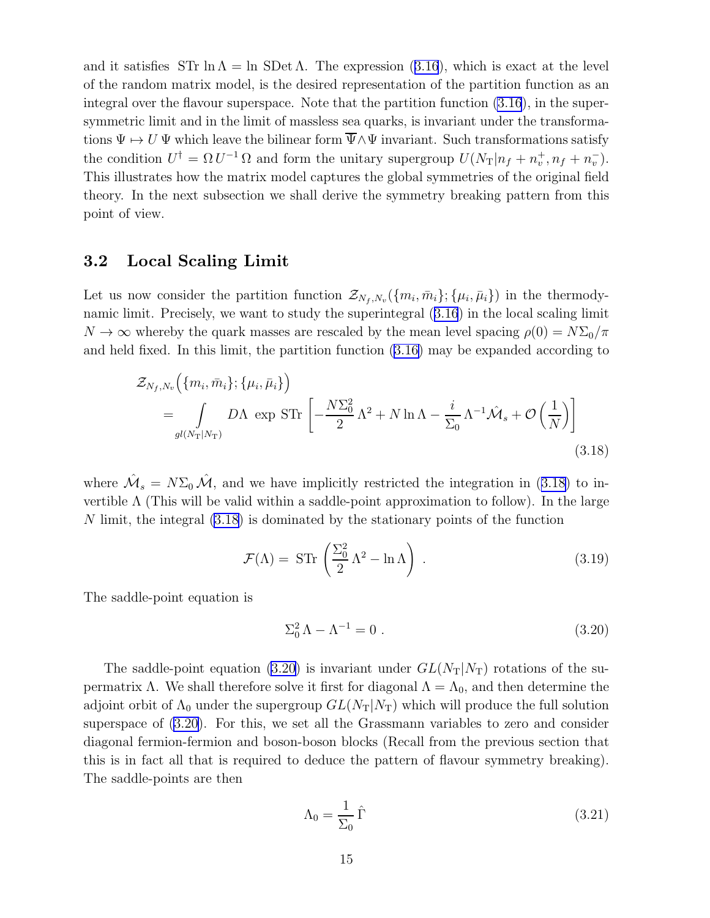<span id="page-14-0"></span>andit satisfies STr  $\ln \Lambda = \ln \text{SDet } \Lambda$ . The expression ([3.16](#page-13-0)), which is exact at the level of the random matrix model, is the desired representation of the partition function as an integral over the flavour superspace. Note that the partition function [\(3.16](#page-13-0)), in the supersymmetric limit and in the limit of massless sea quarks, is invariant under the transformations  $\Psi \mapsto U \Psi$  which leave the bilinear form  $\overline{\Psi} \wedge \Psi$  invariant. Such transformations satisfy the condition  $U^{\dagger} = \Omega U^{-1} \Omega$  and form the unitary supergroup  $U(N_{\rm T} | n_f + n_v^+, n_f + n_v^-)$ . This illustrates how the matrix model captures the global symmetries of the original field theory. In the next subsection we shall derive the symmetry breaking pattern from this point of view.

### 3.2 Local Scaling Limit

Let us now consider the partition function  $\mathcal{Z}_{N_f,N_v}(\{m_i,\bar{m}_i\};\{\mu_i,\bar{\mu}_i\})$  in the thermodynamic limit. Precisely, we want to study the superintegral([3.16](#page-13-0)) in the local scaling limit  $N \to \infty$  whereby the quark masses are rescaled by the mean level spacing  $\rho(0) = N \Sigma_0 / \pi$ and held fixed. In this limit, the partition function [\(3.16\)](#page-13-0) may be expanded according to

$$
\mathcal{Z}_{N_f,N_v}(\{m_i, \bar{m}_i\}; \{\mu_i, \bar{\mu}_i\})
$$
\n
$$
= \int_{gl(N_T|N_T)} D\Lambda \, \exp \, \text{STr} \left[ -\frac{N\Sigma_0^2}{2} \Lambda^2 + N \ln \Lambda - \frac{i}{\Sigma_0} \Lambda^{-1} \hat{\mathcal{M}}_s + \mathcal{O}\left(\frac{1}{N}\right) \right]
$$
\n(3.18)

where  $\hat{\mathcal{M}}_s = N\Sigma_0 \hat{\mathcal{M}}$ , and we have implicitly restricted the integration in (3.18) to invertible  $\Lambda$  (This will be valid within a saddle-point approximation to follow). In the large N limit, the integral (3.18) is dominated by the stationary points of the function

$$
\mathcal{F}(\Lambda) = \operatorname{STr}\left(\frac{\Sigma_0^2}{2}\Lambda^2 - \ln \Lambda\right) \,. \tag{3.19}
$$

The saddle-point equation is

$$
\Sigma_0^2 \Lambda - \Lambda^{-1} = 0 \tag{3.20}
$$

The saddle-point equation (3.20) is invariant under  $GL(N_T|N_T)$  rotations of the supermatrix Λ. We shall therefore solve it first for diagonal  $Λ = Λ_0$ , and then determine the adjoint orbit of  $\Lambda_0$  under the supergroup  $GL(N_T|N_T)$  which will produce the full solution superspace of (3.20). For this, we set all the Grassmann variables to zero and consider diagonal fermion-fermion and boson-boson blocks (Recall from the previous section that this is in fact all that is required to deduce the pattern of flavour symmetry breaking). The saddle-points are then

$$
\Lambda_0 = \frac{1}{\Sigma_0} \hat{\Gamma} \tag{3.21}
$$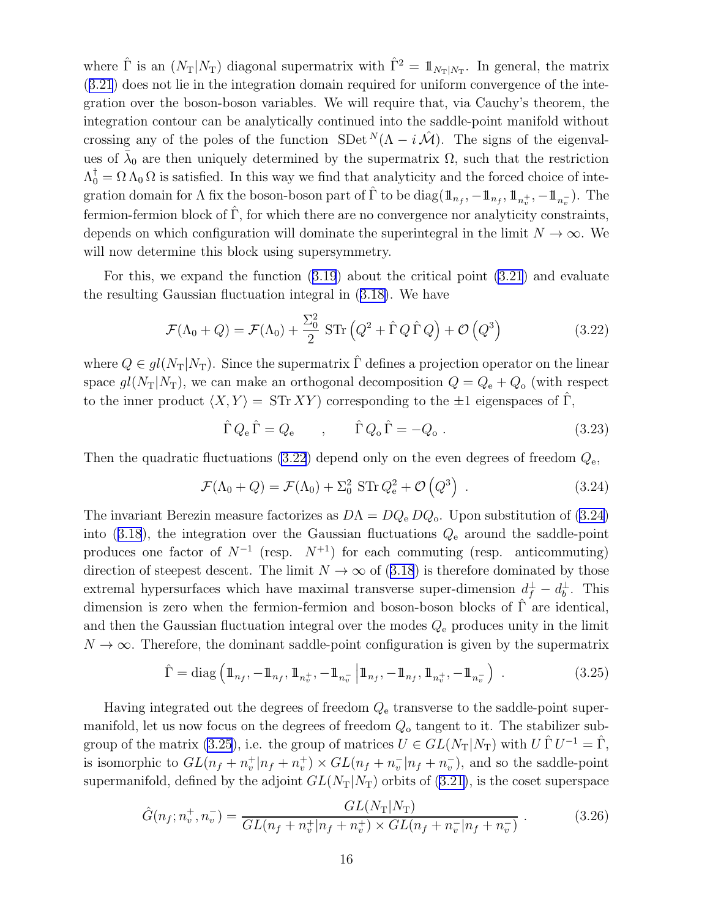<span id="page-15-0"></span>where  $\hat{\Gamma}$  is an  $(N_T|N_T)$  diagonal supermatrix with  $\hat{\Gamma}^2 = 1\!\!1_{N_T|N_T}$ . In general, the matrix ([3.21](#page-14-0)) does not lie in the integration domain required for uniform convergence of the integration over the boson-boson variables. We will require that, via Cauchy's theorem, the integration contour can be analytically continued into the saddle-point manifold without crossing any of the poles of the function SDet  $^{N}(\Lambda - i\mathcal{M})$ . The signs of the eigenvalues of  $\bar{\lambda}_0$  are then uniquely determined by the supermatrix  $\Omega$ , such that the restriction  $\Lambda_0^{\dagger} = \Omega \Lambda_0 \Omega$  is satisfied. In this way we find that analyticity and the forced choice of integration domain for  $\Lambda$  fix the boson-boson part of  $\hat{\Gamma}$  to be  $diag(\mathbb{1}_{n_f}, -\mathbb{1}_{n_f}, \mathbb{1}_{n_v^+}, -\mathbb{1}_{n_v^-})$ . The fermion-fermion block of  $\hat{\Gamma}$ , for which there are no convergence nor analyticity constraints, depends on which configuration will dominate the superintegral in the limit  $N \to \infty$ . We will now determine this block using supersymmetry.

For this, we expand the function([3.19](#page-14-0)) about the critical point [\(3.21](#page-14-0)) and evaluate the resulting Gaussian fluctuation integral in([3.18\)](#page-14-0). We have

$$
\mathcal{F}(\Lambda_0 + Q) = \mathcal{F}(\Lambda_0) + \frac{\Sigma_0^2}{2} \operatorname{STr} (Q^2 + \hat{\Gamma} Q \hat{\Gamma} Q) + \mathcal{O} (Q^3)
$$
 (3.22)

where  $Q \in gl(N_T|N_T)$ . Since the supermatrix  $\hat{\Gamma}$  defines a projection operator on the linear space  $gl(N_T|N_T)$ , we can make an orthogonal decomposition  $Q = Q_e + Q_o$  (with respect to the inner product  $\langle X, Y \rangle = \text{STr } XY$  ) corresponding to the  $\pm 1$  eigenspaces of  $\Gamma$ ,

$$
\hat{\Gamma} Q_{\rm e} \hat{\Gamma} = Q_{\rm e} \qquad , \qquad \hat{\Gamma} Q_{\rm o} \hat{\Gamma} = -Q_{\rm o} \ . \tag{3.23}
$$

Then the quadratic fluctuations (3.22) depend only on the even degrees of freedom  $Q_{e}$ ,

$$
\mathcal{F}(\Lambda_0 + Q) = \mathcal{F}(\Lambda_0) + \Sigma_0^2 \operatorname{STr} Q_e^2 + \mathcal{O}(Q^3) \tag{3.24}
$$

The invariant Berezin measure factorizes as  $D\Lambda = DQ_e DQ_o$ . Upon substitution of (3.24) into([3.18](#page-14-0)), the integration over the Gaussian fluctuations  $Q_{e}$  around the saddle-point produces one factor of  $N^{-1}$  (resp.  $N^{+1}$ ) for each commuting (resp. anticommuting) directionof steepest descent. The limit  $N \to \infty$  of ([3.18](#page-14-0)) is therefore dominated by those extremal hypersurfaces which have maximal transverse super-dimension  $d_f^{\perp} - d_b^{\perp}$ . This dimension is zero when the fermion-fermion and boson-boson blocks of  $\Gamma$  are identical, and then the Gaussian fluctuation integral over the modes  $Q_{e}$  produces unity in the limit  $N \to \infty$ . Therefore, the dominant saddle-point configuration is given by the supermatrix

$$
\hat{\Gamma} = \text{diag}\left(\mathbb{1}_{n_f}, -\mathbb{1}_{n_f}, \mathbb{1}_{n_v^+}, -\mathbb{1}_{n_v^-} \middle| \mathbb{1}_{n_f}, -\mathbb{1}_{n_f}, \mathbb{1}_{n_v^+}, -\mathbb{1}_{n_v^-} \right) \tag{3.25}
$$

Having integrated out the degrees of freedom  $Q_{e}$  transverse to the saddle-point supermanifold, let us now focus on the degrees of freedom  $Q_0$  tangent to it. The stabilizer subgroup of the matrix (3.25), i.e. the group of matrices  $U \in GL(N_T|N_T)$  with  $U \cap U^{-1} = \hat{\Gamma}$ , is isomorphic to  $GL(n_f + n_v^+|n_f + n_v^+) \times GL(n_f + n_v^-|n_f + n_v^-)$ , and so the saddle-point supermanifold, defined by the adjoint  $GL(N_T|N_T)$  orbits of [\(3.21](#page-14-0)), is the coset superspace

$$
\hat{G}(n_f; n_v^+, n_v^-) = \frac{GL(N_T|N_T)}{GL(n_f + n_v^+|n_f + n_v^+) \times GL(n_f + n_v^-|n_f + n_v^-)}.
$$
\n(3.26)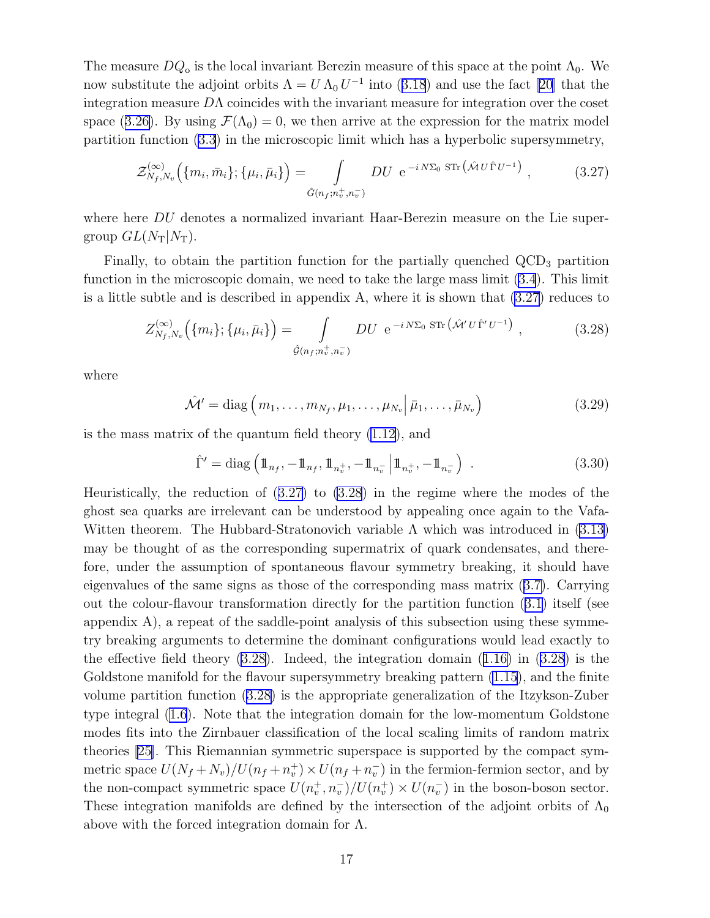<span id="page-16-0"></span>The measure  $DQ_0$  is the local invariant Berezin measure of this space at the point  $\Lambda_0$ . We nowsubstitute the adjoint orbits  $\Lambda = U \Lambda_0 U^{-1}$  into ([3.18](#page-14-0)) and use the fact [\[20\]](#page-38-0) that the integration measure  $D\Lambda$  coincides with the invariant measure for integration over the coset space([3.26\)](#page-15-0). By using  $\mathcal{F}(\Lambda_0) = 0$ , we then arrive at the expression for the matrix model partition function [\(3.3](#page-11-0)) in the microscopic limit which has a hyperbolic supersymmetry,

$$
\mathcal{Z}_{N_f,N_v}^{(\infty)}\left(\{m_i,\bar{m}_i\};\{\mu_i,\bar{\mu}_i\}\right) = \int\limits_{\hat{G}(n_f;n_v^+,n_v^-)} DU \ e^{-i N \Sigma_0 \, \text{STr}\left(\hat{\mathcal{M}} U \hat{\Gamma} U^{-1}\right)},\tag{3.27}
$$

where here DU denotes a normalized invariant Haar-Berezin measure on the Lie supergroup  $GL(N_T|N_T)$ .

Finally, to obtain the partition function for the partially quenched  $\rm{QCD}_3$  partition function in the microscopic domain, we need to take the large mass limit [\(3.4](#page-11-0)). This limit is a little subtle and is described in appendix A, where it is shown that (3.27) reduces to

$$
Z_{N_f,N_v}^{(\infty)}(\{m_i\};\{\mu_i,\bar{\mu}_i\}) = \int\limits_{\hat{\mathcal{G}}(n_f;n_v^+,n_v^-)} DU e^{-i N \Sigma_0 \operatorname{STr}(\hat{\mathcal{M}}' U \hat{\Gamma}' U^{-1})}, \qquad (3.28)
$$

where

$$
\hat{\mathcal{M}}' = \text{diag}\left(m_1, \dots, m_{N_f}, \mu_1, \dots, \mu_{N_v} \middle| \bar{\mu}_1, \dots, \bar{\mu}_{N_v}\right) \tag{3.29}
$$

is the mass matrix of the quantum field theory [\(1.12](#page-4-0)), and

$$
\hat{\Gamma}' = \text{diag}\left(\mathbb{1}_{n_f}, -\mathbb{1}_{n_f}, \mathbb{1}_{n_v^+}, -\mathbb{1}_{n_v^-} \middle| \mathbb{1}_{n_v^+}, -\mathbb{1}_{n_v^-} \right) \tag{3.30}
$$

Heuristically, the reduction of (3.27) to (3.28) in the regime where the modes of the ghost sea quarks are irrelevant can be understood by appealing once again to the Vafa-Witten theorem. The Hubbard-Stratonovich variable  $\Lambda$  which was introduced in [\(3.13](#page-13-0)) may be thought of as the corresponding supermatrix of quark condensates, and therefore, under the assumption of spontaneous flavour symmetry breaking, it should have eigenvalues of the same signs as those of the corresponding mass matrix([3.7\)](#page-12-0). Carrying out the colour-flavour transformation directly for the partition function([3.1\)](#page-11-0) itself (see appendix A), a repeat of the saddle-point analysis of this subsection using these symmetry breaking arguments to determine the dominant configurations would lead exactly to theeffective field theory  $(3.28)$ . Indeed, the integration domain  $(1.16)$  $(1.16)$  in  $(3.28)$  is the Goldstone manifold for the flavour supersymmetry breaking pattern  $(1.15)$ , and the finite volume partition function (3.28) is the appropriate generalization of the Itzykson-Zuber type integral [\(1.6](#page-2-0)). Note that the integration domain for the low-momentum Goldstone modes fits into the Zirnbauer classification of the local scaling limits of random matrix theories[[25\]](#page-39-0). This Riemannian symmetric superspace is supported by the compact symmetric space  $U(N_f + N_v)/U(n_f + n_v^+) \times U(n_f + n_v^-)$  in the fermion-fermion sector, and by the non-compact symmetric space  $U(n_v^+, n_v^-)/U(n_v^+) \times U(n_v^-)$  in the boson-boson sector. These integration manifolds are defined by the intersection of the adjoint orbits of  $\Lambda_0$ above with the forced integration domain for  $\Lambda$ .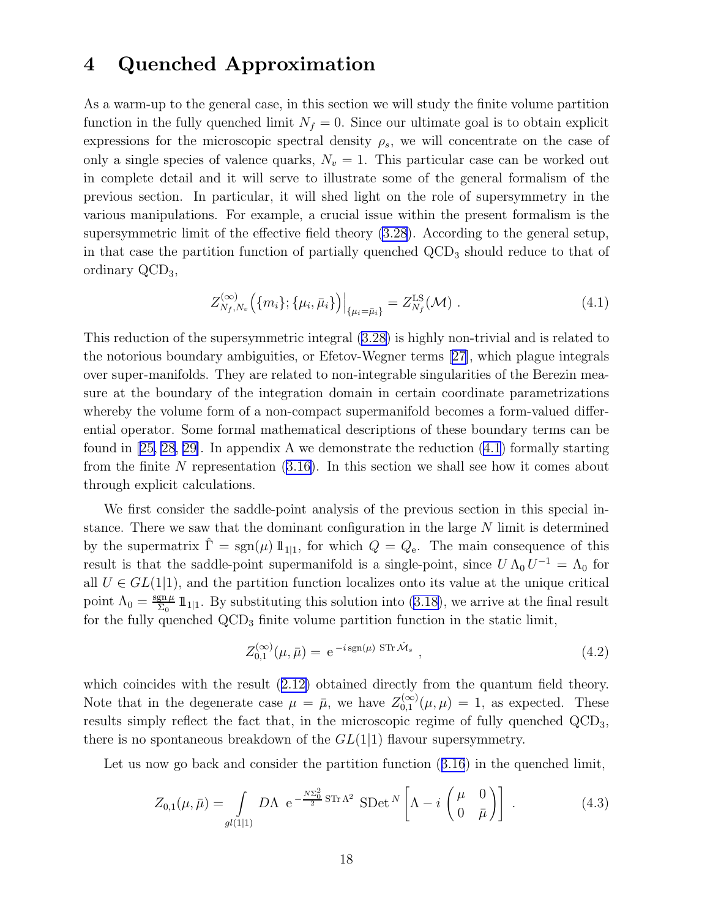### <span id="page-17-0"></span>4 Quenched Approximation

As a warm-up to the general case, in this section we will study the finite volume partition function in the fully quenched limit  $N_f = 0$ . Since our ultimate goal is to obtain explicit expressions for the microscopic spectral density  $\rho_s$ , we will concentrate on the case of only a single species of valence quarks,  $N_v = 1$ . This particular case can be worked out in complete detail and it will serve to illustrate some of the general formalism of the previous section. In particular, it will shed light on the role of supersymmetry in the various manipulations. For example, a crucial issue within the present formalism is the supersymmetric limit of the effective field theory [\(3.28](#page-16-0)). According to the general setup, in that case the partition function of partially quenched  $\text{QCD}_3$  should reduce to that of ordinary QCD3,

$$
Z_{N_f,N_v}^{(\infty)}\big(\{m_i\};\{\mu_i,\bar{\mu}_i\}\big)\Big|_{\{\mu_i=\bar{\mu}_i\}} = Z_{N_f}^{\text{LS}}(\mathcal{M})\ .\tag{4.1}
$$

This reduction of the supersymmetric integral [\(3.28](#page-16-0)) is highly non-trivial and is related to the notorious boundary ambiguities, or Efetov-Wegner terms [\[27\]](#page-39-0), which plague integrals over super-manifolds. They are related to non-integrable singularities of the Berezin measure at the boundary of the integration domain in certain coordinate parametrizations whereby the volume form of a non-compact supermanifold becomes a form-valued differential operator. Some formal mathematical descriptions of these boundary terms can be found in[[25, 28](#page-39-0), [29\]](#page-39-0). In appendix A we demonstrate the reduction (4.1) formally starting from the finite  $N$  representation  $(3.16)$ . In this section we shall see how it comes about through explicit calculations.

We first consider the saddle-point analysis of the previous section in this special instance. There we saw that the dominant configuration in the large N limit is determined by the supermatrix  $\hat{\Gamma} = \text{sgn}(\mu) 1\!\!1_{11}$ , for which  $Q = Q_e$ . The main consequence of this result is that the saddle-point supermanifold is a single-point, since  $U \Lambda_0 U^{-1} = \Lambda_0$  for all  $U \in GL(1,1)$ , and the partition function localizes onto its value at the unique critical point  $\Lambda_0 = \frac{\text{sgn}\,\mu}{\Sigma_0}$  $\frac{\text{gn }\mu}{\Sigma_0}$  $\frac{\text{gn }\mu}{\Sigma_0}$  $\frac{\text{gn }\mu}{\Sigma_0}$  1<sup>1</sup><sub>1</sub>. By substituting this solution into ([3.18\)](#page-14-0), we arrive at the final result for the fully quenched  $\text{QCD}_3$  finite volume partition function in the static limit,

$$
Z_{0,1}^{(\infty)}(\mu,\bar{\mu}) = e^{-i \operatorname{sgn}(\mu) \operatorname{STr} \hat{\mathcal{M}}_s} , \qquad (4.2)
$$

whichcoincides with the result  $(2.12)$  $(2.12)$  obtained directly from the quantum field theory. Note that in the degenerate case  $\mu = \bar{\mu}$ , we have  $Z_{0,1}^{(\infty)}(\mu,\mu) = 1$ , as expected. These results simply reflect the fact that, in the microscopic regime of fully quenched  $\text{QCD}_3$ , there is no spontaneous breakdown of the  $GL(1|1)$  flavour supersymmetry.

Letus now go back and consider the partition function  $(3.16)$  $(3.16)$  $(3.16)$  in the quenched limit,

$$
Z_{0,1}(\mu,\bar{\mu}) = \int\limits_{gl(1|1)} D\Lambda \ e^{-\frac{N\Sigma_0^2}{2} \operatorname{STr}\Lambda^2} \operatorname{SDet}^N\left[\Lambda - i \begin{pmatrix} \mu & 0\\ 0 & \bar{\mu} \end{pmatrix} \right] \ . \tag{4.3}
$$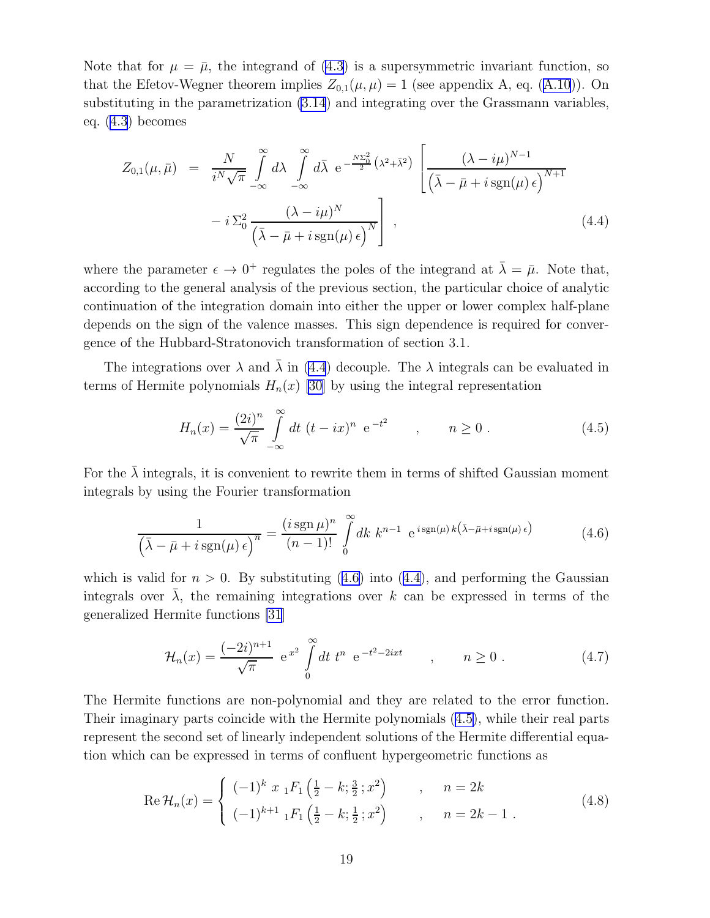Note that for  $\mu = \bar{\mu}$ , the integrand of [\(4.3](#page-17-0)) is a supersymmetric invariant function, so thatthe Efetov-Wegner theorem implies  $Z_{0,1}(\mu,\mu) = 1$  (see appendix A, eq. ([A.10](#page-33-0))). On substituting in the parametrization [\(3.14](#page-13-0)) and integrating over the Grassmann variables, eq. [\(4.3](#page-17-0)) becomes

$$
Z_{0,1}(\mu,\bar{\mu}) = \frac{N}{i^N \sqrt{\pi}} \int_{-\infty}^{\infty} d\lambda \int_{-\infty}^{\infty} d\bar{\lambda} e^{-\frac{N \Sigma_0^2}{2} (\lambda^2 + \bar{\lambda}^2)} \left[ \frac{(\lambda - i\mu)^{N-1}}{(\bar{\lambda} - \bar{\mu} + i \operatorname{sgn}(\mu) \epsilon)^{N+1}} - i \Sigma_0^2 \frac{(\lambda - i\mu)^N}{(\bar{\lambda} - \bar{\mu} + i \operatorname{sgn}(\mu) \epsilon)^N} \right],
$$
\n(4.4)

where the parameter  $\epsilon \to 0^+$  regulates the poles of the integrand at  $\bar{\lambda} = \bar{\mu}$ . Note that, according to the general analysis of the previous section, the particular choice of analytic continuation of the integration domain into either the upper or lower complex half-plane depends on the sign of the valence masses. This sign dependence is required for convergence of the Hubbard-Stratonovich transformation of section 3.1.

The integrations over  $\lambda$  and  $\lambda$  in (4.4) decouple. The  $\lambda$  integrals can be evaluated in terms of Hermite polynomials  $H_n(x)$  [\[30](#page-39-0)] by using the integral representation

$$
H_n(x) = \frac{(2i)^n}{\sqrt{\pi}} \int_{-\infty}^{\infty} dt \ (t - ix)^n \ e^{-t^2} \qquad , \qquad n \ge 0 \ . \tag{4.5}
$$

For the  $\lambda$  integrals, it is convenient to rewrite them in terms of shifted Gaussian moment integrals by using the Fourier transformation

$$
\frac{1}{\left(\bar{\lambda} - \bar{\mu} + i \operatorname{sgn}(\mu) \epsilon\right)^n} = \frac{(i \operatorname{sgn} \mu)^n}{(n-1)!} \int_0^\infty dk \ k^{n-1} \ e^{i \operatorname{sgn}(\mu) k \left(\bar{\lambda} - \bar{\mu} + i \operatorname{sgn}(\mu) \epsilon\right)} \tag{4.6}
$$

which is valid for  $n > 0$ . By substituting (4.6) into (4.4), and performing the Gaussian integrals over  $\overline{\lambda}$ , the remaining integrations over k can be expressed in terms of the generalized Hermite functions [\[31](#page-39-0)]

$$
\mathcal{H}_n(x) = \frac{(-2i)^{n+1}}{\sqrt{\pi}} e^{x^2} \int_0^\infty dt \ t^n \ e^{-t^2 - 2ixt} \qquad , \qquad n \ge 0 \ . \tag{4.7}
$$

The Hermite functions are non-polynomial and they are related to the error function. Their imaginary parts coincide with the Hermite polynomials (4.5), while their real parts represent the second set of linearly independent solutions of the Hermite differential equation which can be expressed in terms of confluent hypergeometric functions as

$$
\operatorname{Re}\mathcal{H}_n(x) = \begin{cases} (-1)^k x \, {}_1F_1\left(\frac{1}{2} - k; \frac{3}{2}; x^2\right) & , & n = 2k\\ (-1)^{k+1} \, {}_1F_1\left(\frac{1}{2} - k; \frac{1}{2}; x^2\right) & , & n = 2k - 1 \; . \end{cases} \tag{4.8}
$$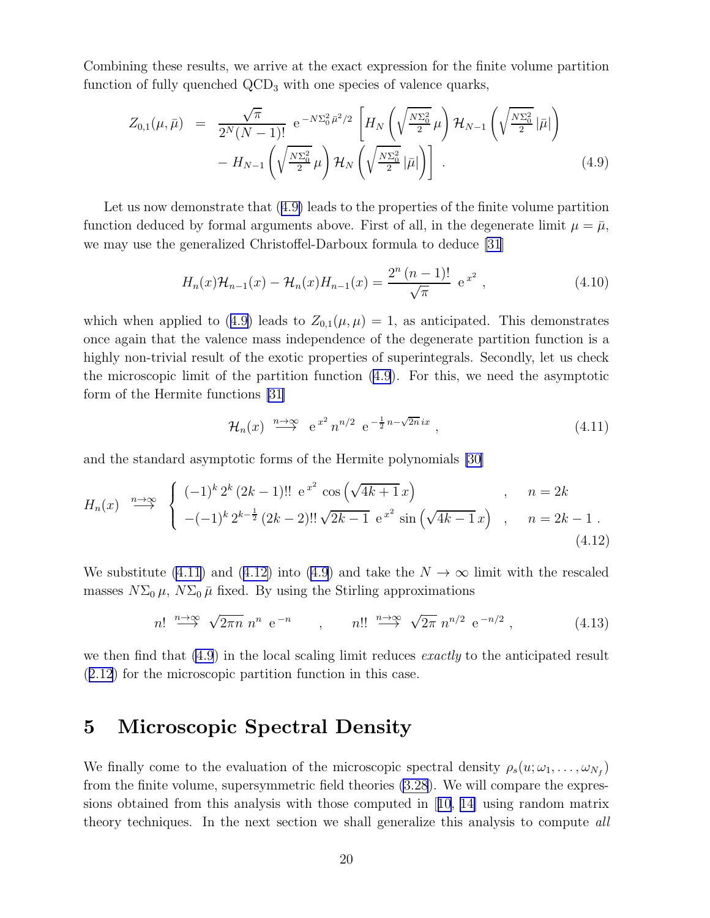Combining these results, we arrive at the exact expression for the finite volume partition function of fully quenched  $\rm{QCD}_3$  with one species of valence quarks,

$$
Z_{0,1}(\mu,\bar{\mu}) = \frac{\sqrt{\pi}}{2^N(N-1)!} e^{-N\Sigma_0^2 \bar{\mu}^2/2} \left[ H_N\left(\sqrt{\frac{N\Sigma_0^2}{2}}\mu\right) \mathcal{H}_{N-1}\left(\sqrt{\frac{N\Sigma_0^2}{2}}|\bar{\mu}|\right) - H_{N-1}\left(\sqrt{\frac{N\Sigma_0^2}{2}}\mu\right) \mathcal{H}_N\left(\sqrt{\frac{N\Sigma_0^2}{2}}|\bar{\mu}|\right) \right] .
$$
 (4.9)

Let us now demonstrate that (4.9) leads to the properties of the finite volume partition function deduced by formal arguments above. First of all, in the degenerate limit  $\mu = \bar{\mu}$ , we may use the generalized Christoffel-Darboux formula to deduce [\[31](#page-39-0)]

$$
H_n(x)\mathcal{H}_{n-1}(x) - \mathcal{H}_n(x)H_{n-1}(x) = \frac{2^n (n-1)!}{\sqrt{\pi}} e^{x^2},
$$
\n(4.10)

which when applied to (4.9) leads to  $Z_{0,1}(\mu,\mu) = 1$ , as anticipated. This demonstrates once again that the valence mass independence of the degenerate partition function is a highly non-trivial result of the exotic properties of superintegrals. Secondly, let us check the microscopic limit of the partition function (4.9). For this, we need the asymptotic form of the Hermite functions [\[31\]](#page-39-0)

$$
\mathcal{H}_n(x) \stackrel{n \to \infty}{\longrightarrow} e^{x^2} n^{n/2} e^{-\frac{1}{2}n - \sqrt{2n}ix}, \qquad (4.11)
$$

and the standard asymptotic forms of the Hermite polynomials [\[30\]](#page-39-0)

$$
H_n(x) \stackrel{n \to \infty}{\longrightarrow} \begin{cases} (-1)^k 2^k (2k-1)!! \, e^{x^2} \cos\left(\sqrt{4k+1} \, x\right) & , \quad n = 2k\\ -(-1)^k 2^{k-\frac{1}{2}} (2k-2)!! \sqrt{2k-1} \, e^{x^2} \sin\left(\sqrt{4k-1} \, x\right) & , \quad n = 2k-1 \, . \end{cases} \tag{4.12}
$$

We substitute (4.11) and (4.12) into (4.9) and take the  $N \to \infty$  limit with the rescaled masses  $N\Sigma_0 \mu$ ,  $N\Sigma_0 \bar{\mu}$  fixed. By using the Stirling approximations

$$
n! \stackrel{n \to \infty}{\longrightarrow} \sqrt{2\pi n} \; n^n \; e^{-n} \qquad , \qquad n!! \stackrel{n \to \infty}{\longrightarrow} \sqrt{2\pi} \; n^{n/2} \; e^{-n/2} \; , \tag{4.13}
$$

we then find that  $(4.9)$  in the local scaling limit reduces *exactly* to the anticipated result ([2.12](#page-10-0)) for the microscopic partition function in this case.

## 5 Microscopic Spectral Density

We finally come to the evaluation of the microscopic spectral density  $\rho_s(u; \omega_1, \ldots, \omega_{N_f})$ from the finite volume, supersymmetric field theories [\(3.28](#page-16-0)). We will compare the expressions obtained from this analysis with those computed in[[10](#page-38-0), [14\]](#page-38-0) using random matrix theory techniques. In the next section we shall generalize this analysis to compute all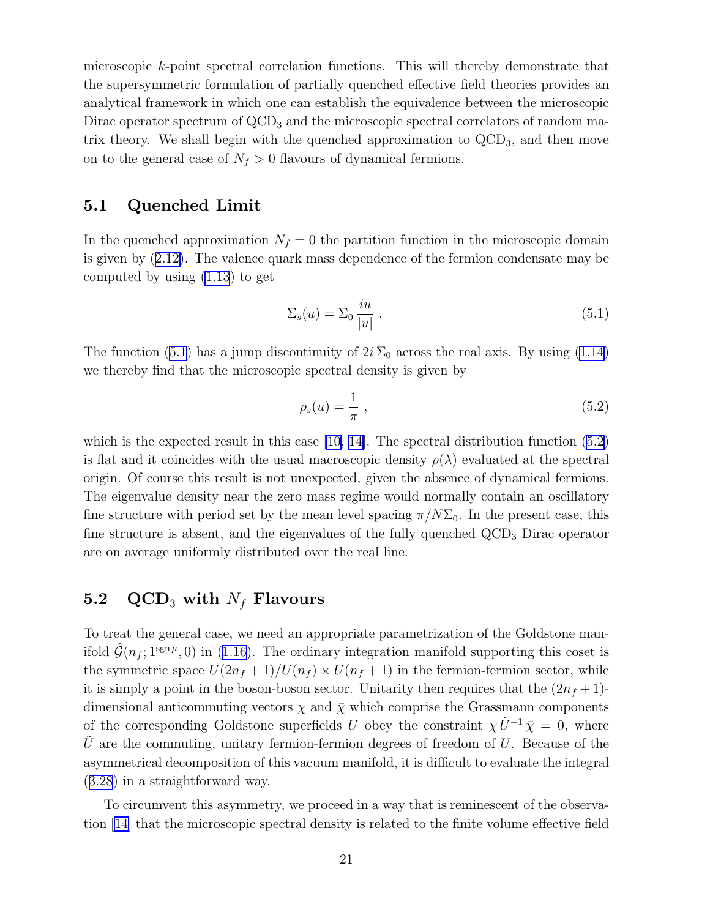microscopic k-point spectral correlation functions. This will thereby demonstrate that the supersymmetric formulation of partially quenched effective field theories provides an analytical framework in which one can establish the equivalence between the microscopic Dirac operator spectrum of  $\rm{QCD}_3$  and the microscopic spectral correlators of random matrix theory. We shall begin with the quenched approximation to  $\text{QCD}_3$ , and then move on to the general case of  $N_f > 0$  flavours of dynamical fermions.

### 5.1 Quenched Limit

In the quenched approximation  $N_f = 0$  the partition function in the microscopic domain is given by([2.12\)](#page-10-0). The valence quark mass dependence of the fermion condensate may be computed by using [\(1.13](#page-4-0)) to get

$$
\Sigma_s(u) = \Sigma_0 \frac{iu}{|u|} \tag{5.1}
$$

The function (5.1) has a jump discontinuity of  $2i \Sigma_0$  across the real axis. By using [\(1.14](#page-4-0)) we thereby find that the microscopic spectral density is given by

$$
\rho_s(u) = \frac{1}{\pi} \,,\tag{5.2}
$$

which is the expected result in this case  $[10, 14]$ . The spectral distribution function  $(5.2)$ is flat and it coincides with the usual macroscopic density  $\rho(\lambda)$  evaluated at the spectral origin. Of course this result is not unexpected, given the absence of dynamical fermions. The eigenvalue density near the zero mass regime would normally contain an oscillatory fine structure with period set by the mean level spacing  $\pi/N\Sigma_0$ . In the present case, this fine structure is absent, and the eigenvalues of the fully quenched  $\rm{QCD}_3$  Dirac operator are on average uniformly distributed over the real line.

### 5.2 QCD<sub>3</sub> with  $N_f$  Flavours

To treat the general case, we need an appropriate parametrization of the Goldstone man-ifold $\hat{\mathcal{G}}(n_f; 1^{\text{sgn}\mu}, 0)$  in ([1.16\)](#page-5-0). The ordinary integration manifold supporting this coset is the symmetric space  $U(2n_f + 1)/U(n_f) \times U(n_f + 1)$  in the fermion-fermion sector, while it is simply a point in the boson-boson sector. Unitarity then requires that the  $(2n_f + 1)$ dimensional anticommuting vectors  $\chi$  and  $\bar{\chi}$  which comprise the Grassmann components of the corresponding Goldstone superfields U obey the constraint  $\chi \tilde{U}^{-1} \bar{\chi} = 0$ , where  $\tilde{U}$  are the commuting, unitary fermion-fermion degrees of freedom of U. Because of the asymmetrical decomposition of this vacuum manifold, it is difficult to evaluate the integral ([3.28](#page-16-0)) in a straightforward way.

To circumvent this asymmetry, we proceed in a way that is reminescent of the observation[[14\]](#page-38-0) that the microscopic spectral density is related to the finite volume effective field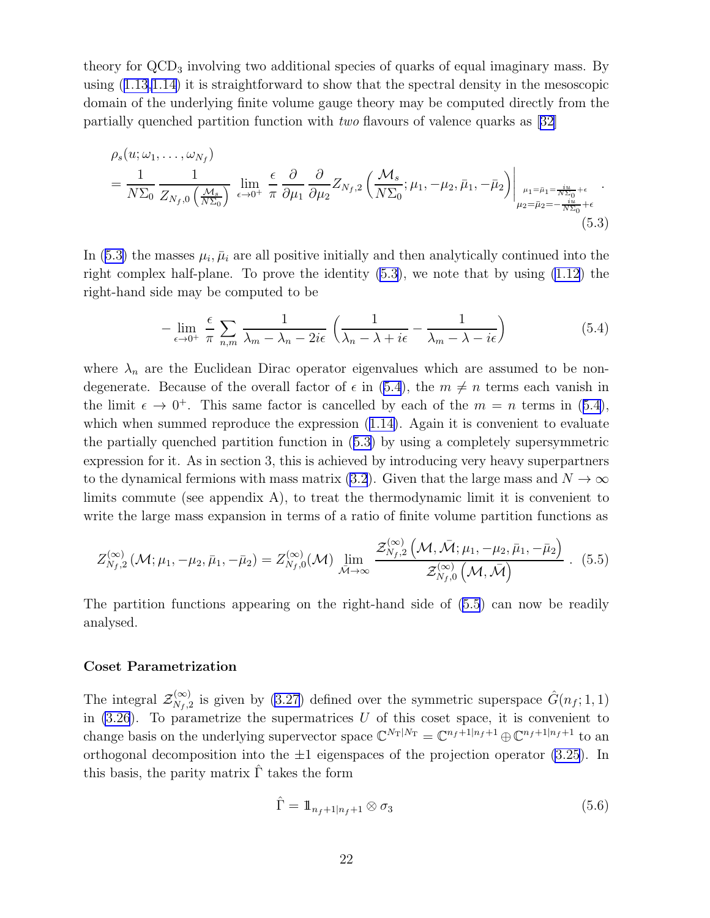<span id="page-21-0"></span>theory for  $\rm{QCD}_3$  involving two additional species of quarks of equal imaginary mass. By using([1.13,1.14\)](#page-4-0) it is straightforward to show that the spectral density in the mesoscopic domain of the underlying finite volume gauge theory may be computed directly from the partially quenched partition function with two flavours of valence quarks as [\[32\]](#page-39-0)

$$
\rho_s(u; \omega_1, \dots, \omega_{N_f})
$$
\n
$$
= \frac{1}{N\Sigma_0} \frac{1}{Z_{N_f,0} \left(\frac{\mathcal{M}_s}{N\Sigma_0}\right)} \lim_{\epsilon \to 0^+} \frac{\epsilon}{\pi} \frac{\partial}{\partial \mu_1} \frac{\partial}{\partial \mu_2} Z_{N_f,2} \left(\frac{\mathcal{M}_s}{N\Sigma_0}; \mu_1, -\mu_2, \bar{\mu}_1, -\bar{\mu}_2\right) \Big|_{\mu_1 = \bar{\mu}_1 = \frac{i\bar{u}}{N\Sigma_0} + \epsilon} \dots
$$
\n
$$
(5.3)
$$

In (5.3) the masses  $\mu_i$ ,  $\bar{\mu}_i$  are all positive initially and then analytically continued into the right complex half-plane. To prove the identity (5.3), we note that by using [\(1.12](#page-4-0)) the right-hand side may be computed to be

$$
-\lim_{\epsilon \to 0^+} \frac{\epsilon}{\pi} \sum_{n,m} \frac{1}{\lambda_m - \lambda_n - 2i\epsilon} \left( \frac{1}{\lambda_n - \lambda + i\epsilon} - \frac{1}{\lambda_m - \lambda - i\epsilon} \right) \tag{5.4}
$$

where  $\lambda_n$  are the Euclidean Dirac operator eigenvalues which are assumed to be nondegenerate. Because of the overall factor of  $\epsilon$  in (5.4), the  $m \neq n$  terms each vanish in the limit  $\epsilon \to 0^+$ . This same factor is cancelled by each of the  $m = n$  terms in (5.4), whichwhen summed reproduce the expression  $(1.14)$  $(1.14)$ . Again it is convenient to evaluate the partially quenched partition function in (5.3) by using a completely supersymmetric expression for it. As in section 3, this is achieved by introducing very heavy superpartners to the dynamical fermions with mass matrix [\(3.2](#page-11-0)). Given that the large mass and  $N \to \infty$ limits commute (see appendix A), to treat the thermodynamic limit it is convenient to write the large mass expansion in terms of a ratio of finite volume partition functions as

$$
Z_{N_f,2}^{(\infty)}(\mathcal{M}; \mu_1, -\mu_2, \bar{\mu}_1, -\bar{\mu}_2) = Z_{N_f,0}^{(\infty)}(\mathcal{M}) \lim_{\bar{\mathcal{M}} \to \infty} \frac{\mathcal{Z}_{N_f,2}^{(\infty)}(\mathcal{M}, \bar{\mathcal{M}}; \mu_1, -\mu_2, \bar{\mu}_1, -\bar{\mu}_2)}{\mathcal{Z}_{N_f,0}^{(\infty)}(\mathcal{M}, \bar{\mathcal{M}})} \ . \tag{5.5}
$$

The partition functions appearing on the right-hand side of (5.5) can now be readily analysed.

#### Coset Parametrization

The integral  $\mathcal{Z}_{N_f,2}^{(\infty)}$  is given by [\(3.27](#page-16-0)) defined over the symmetric superspace  $\hat{G}(n_f;1,1)$ in  $(3.26)$ . To parametrize the supermatrices U of this coset space, it is convenient to change basis on the underlying supervector space  $\mathbb{C}^{N_{\text{T}}|N_{\text{T}}} = \mathbb{C}^{n_f+1|n_f+1} \oplus \mathbb{C}^{n_f+1|n_f+1}$  to an orthogonal decomposition into the  $\pm 1$  eigenspaces of the projection operator [\(3.25](#page-15-0)). In this basis, the parity matrix  $\hat{\Gamma}$  takes the form

$$
\hat{\Gamma} = \mathbb{1}_{n_f+1|n_f+1} \otimes \sigma_3 \tag{5.6}
$$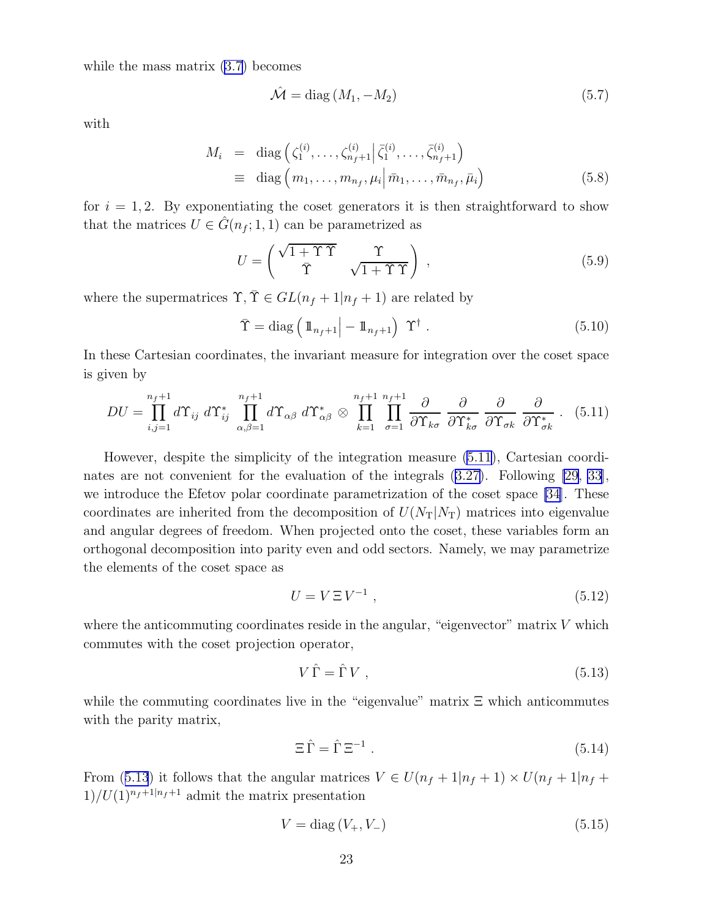<span id="page-22-0"></span>while the mass matrix [\(3.7](#page-12-0)) becomes

$$
\hat{\mathcal{M}} = \text{diag}(M_1, -M_2) \tag{5.7}
$$

with

$$
M_{i} = \text{diag}\left(\zeta_{1}^{(i)}, \ldots, \zeta_{n_{f}+1}^{(i)} | \bar{\zeta}_{1}^{(i)}, \ldots, \bar{\zeta}_{n_{f}+1}^{(i)}\right)
$$
  

$$
\equiv \text{diag}\left(m_{1}, \ldots, m_{n_{f}}, \mu_{i} | \bar{m}_{1}, \ldots, \bar{m}_{n_{f}}, \bar{\mu}_{i}\right)
$$
(5.8)

for  $i = 1, 2$ . By exponentiating the coset generators it is then straightforward to show that the matrices  $U \in \hat{G}(n_f; 1, 1)$  can be parametrized as

$$
U = \begin{pmatrix} \sqrt{1 + \Upsilon \overline{\Upsilon}} & \Upsilon \\ \overline{\Upsilon} & \sqrt{1 + \Upsilon \Upsilon} \end{pmatrix} , \qquad (5.9)
$$

where the supermatrices  $\Upsilon, \overline{\Upsilon} \in GL(n_f + 1|n_f + 1)$  are related by

$$
\bar{\Upsilon} = \text{diag}\left(\mathbb{1}_{n_f+1} \middle| - \mathbb{1}_{n_f+1}\right) \Upsilon^{\dagger} . \tag{5.10}
$$

In these Cartesian coordinates, the invariant measure for integration over the coset space is given by

$$
DU = \prod_{i,j=1}^{n_f+1} d\Upsilon_{ij} d\Upsilon_{ij}^* \prod_{\alpha,\beta=1}^{n_f+1} d\Upsilon_{\alpha\beta} d\Upsilon_{\alpha\beta}^* \otimes \prod_{k=1}^{n_f+1} \prod_{\sigma=1}^{n_f+1} \frac{\partial}{\partial \Upsilon_{k\sigma}} \frac{\partial}{\partial \Upsilon_{k\sigma}^*} \frac{\partial}{\partial \Upsilon_{\sigma k}} \frac{\partial}{\partial \Upsilon_{\sigma k}^*} . \quad (5.11)
$$

However, despite the simplicity of the integration measure (5.11), Cartesian coordinates are not convenient for the evaluation of the integrals([3.27\)](#page-16-0). Following [\[29, 33](#page-39-0)], we introduce the Efetov polar coordinate parametrization of the coset space [\[34](#page-39-0)]. These coordinates are inherited from the decomposition of  $U(N_T|N_T)$  matrices into eigenvalue and angular degrees of freedom. When projected onto the coset, these variables form an orthogonal decomposition into parity even and odd sectors. Namely, we may parametrize the elements of the coset space as

$$
U = V \Xi V^{-1} , \qquad (5.12)
$$

where the anticommuting coordinates reside in the angular, "eigenvector" matrix  $V$  which commutes with the coset projection operator,

$$
V\,\hat{\Gamma} = \hat{\Gamma}\,V\,,\tag{5.13}
$$

while the commuting coordinates live in the "eigenvalue" matrix  $\Xi$  which anticommutes with the parity matrix,

$$
\Xi \,\hat{\Gamma} = \hat{\Gamma} \,\Xi^{-1} \,. \tag{5.14}
$$

From (5.13) it follows that the angular matrices  $V \in U(n_f + 1|n_f + 1) \times U(n_f + 1|n_f + 1)$  $1)/U(1)^{n_f+1|n_f+1}$  admit the matrix presentation

$$
V = \text{diag}(V_+, V_-) \tag{5.15}
$$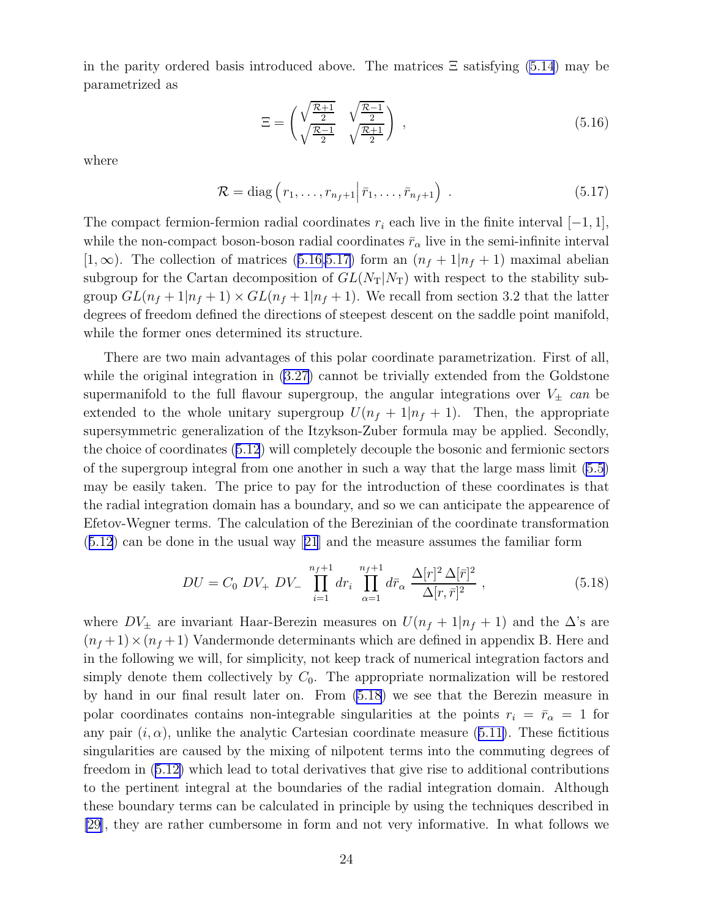<span id="page-23-0"></span>in the parity ordered basis introduced above. The matrices  $\Xi$  satisfying [\(5.14](#page-22-0)) may be parametrized as

$$
\Xi = \begin{pmatrix} \sqrt{\frac{\mathcal{R}+1}{2}} & \sqrt{\frac{\mathcal{R}-1}{2}}\\ \sqrt{\frac{\mathcal{R}-1}{2}} & \sqrt{\frac{\mathcal{R}+1}{2}} \end{pmatrix} , \qquad (5.16)
$$

where

$$
\mathcal{R} = \text{diag}\left(r_1, \dots, r_{n_f+1} \middle| \bar{r}_1, \dots, \bar{r}_{n_f+1}\right) \tag{5.17}
$$

The compact fermion-fermion radial coordinates  $r_i$  each live in the finite interval  $[-1, 1]$ , while the non-compact boson-boson radial coordinates  $\bar{r}_{\alpha}$  live in the semi-infinite interval [1,  $\infty$ ). The collection of matrices (5.16,5.17) form an  $(n_f + 1|n_f + 1)$  maximal abelian subgroup for the Cartan decomposition of  $GL(N_T|N_T)$  with respect to the stability subgroup  $GL(n_f+1|n_f+1) \times GL(n_f+1|n_f+1)$ . We recall from section 3.2 that the latter degrees of freedom defined the directions of steepest descent on the saddle point manifold, while the former ones determined its structure.

There are two main advantages of this polar coordinate parametrization. First of all, while the original integration in  $(3.27)$  cannot be trivially extended from the Goldstone supermanifold to the full flavour supergroup, the angular integrations over  $V_{\pm}$  can be extended to the whole unitary supergroup  $U(n_f + 1|n_f + 1)$ . Then, the appropriate supersymmetric generalization of the Itzykson-Zuber formula may be applied. Secondly, the choice of coordinates([5.12](#page-22-0)) will completely decouple the bosonic and fermionic sectors of the supergroup integral from one another in such a way that the large mass limit [\(5.5](#page-21-0)) may be easily taken. The price to pay for the introduction of these coordinates is that the radial integration domain has a boundary, and so we can anticipate the appearence of Efetov-Wegner terms. The calculation of the Berezinian of the coordinate transformation ([5.12](#page-22-0)) can be done in the usual way[[21](#page-39-0)] and the measure assumes the familiar form

$$
DU = C_0 \; DV_+ \; DV_- \; \prod_{i=1}^{n_f+1} dr_i \; \prod_{\alpha=1}^{n_f+1} d\bar{r}_\alpha \; \frac{\Delta[r]^2 \; \Delta[\bar{r}]^2}{\Delta[r,\bar{r}]^2} \; , \tag{5.18}
$$

where  $DV_{\pm}$  are invariant Haar-Berezin measures on  $U(n_f + 1|n_f + 1)$  and the  $\Delta$ 's are  $(n_f+1)\times(n_f+1)$  Vandermonde determinants which are defined in appendix B. Here and in the following we will, for simplicity, not keep track of numerical integration factors and simply denote them collectively by  $C_0$ . The appropriate normalization will be restored by hand in our final result later on. From (5.18) we see that the Berezin measure in polar coordinates contains non-integrable singularities at the points  $r_i = \bar{r}_{\alpha} = 1$  for anypair  $(i, \alpha)$ , unlike the analytic Cartesian coordinate measure ([5.11\)](#page-22-0). These fictitious singularities are caused by the mixing of nilpotent terms into the commuting degrees of freedom in([5.12\)](#page-22-0) which lead to total derivatives that give rise to additional contributions to the pertinent integral at the boundaries of the radial integration domain. Although these boundary terms can be calculated in principle by using the techniques described in [\[29](#page-39-0)], they are rather cumbersome in form and not very informative. In what follows we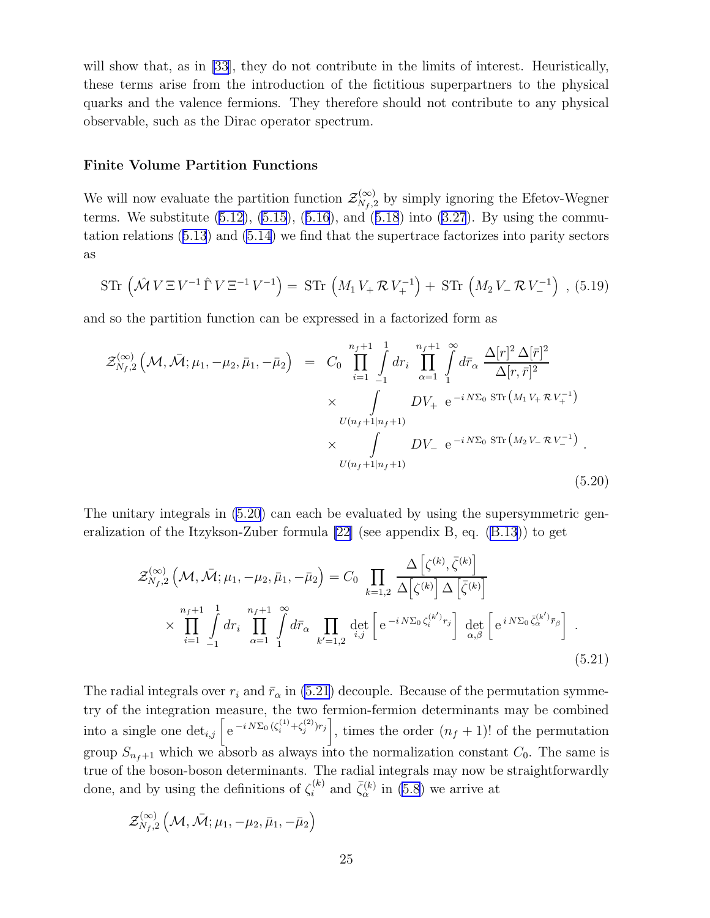will show that, as in [\[33](#page-39-0)], they do not contribute in the limits of interest. Heuristically, these terms arise from the introduction of the fictitious superpartners to the physical quarks and the valence fermions. They therefore should not contribute to any physical observable, such as the Dirac operator spectrum.

#### Finite Volume Partition Functions

We will now evaluate the partition function  $\mathcal{Z}_{N_f,2}^{(\infty)}$  by simply ignoring the Efetov-Wegner terms.We substitute  $(5.12)$ ,  $(5.15)$ ,  $(5.16)$  $(5.16)$  $(5.16)$ , and  $(5.18)$  $(5.18)$  $(5.18)$  into  $(3.27)$ . By using the commutation relations([5.13](#page-22-0)) and [\(5.14\)](#page-22-0) we find that the supertrace factorizes into parity sectors as

$$
\text{STr}\,\left(\hat{\mathcal{M}}\,V\,\Xi\,V^{-1}\,\hat{\Gamma}\,V\,\Xi^{-1}\,V^{-1}\right) = \text{STr}\,\left(M_1\,V_+\,\mathcal{R}\,V_+^{-1}\right) + \text{STr}\,\left(M_2\,V_-\,\mathcal{R}\,V_-^{-1}\right) \,,\,\text{(5.19)}
$$

and so the partition function can be expressed in a factorized form as

$$
\mathcal{Z}_{N_f,2}^{(\infty)}\left(\mathcal{M},\bar{\mathcal{M}};\mu_1,-\mu_2,\bar{\mu}_1,-\bar{\mu}_2\right) = C_0 \prod_{i=1}^{n_f+1} \int_{-1}^{1} dr_i \prod_{\alpha=1}^{n_f+1} \int_{1}^{\infty} d\bar{r}_{\alpha} \frac{\Delta[r]^2 \Delta[\bar{r}]^2}{\Delta[r,\bar{r}]^2} \times \int_{U(n_f+1|n_f+1)} DV_+ e^{-i N \Sigma_0 \operatorname{STr}\left(M_1 V_+ \mathcal{R} V_+^{-1}\right)} \times \int_{U(n_f+1|n_f+1)} DV_- e^{-i N \Sigma_0 \operatorname{STr}\left(M_2 V_- \mathcal{R} V_-^{-1}\right)}.
$$
\n(5.20)

The unitary integrals in  $(5.20)$  can each be evaluated by using the supersymmetric generalization of the Itzykson-Zuber formula [\[22\]](#page-39-0) (see appendix B, eq. [\(B.13](#page-37-0))) to get

$$
\mathcal{Z}_{N_f,2}^{(\infty)}\left(\mathcal{M},\bar{\mathcal{M}};\mu_1,-\mu_2,\bar{\mu}_1,-\bar{\mu}_2\right) = C_0 \prod_{k=1,2} \frac{\Delta\left[\zeta^{(k)},\bar{\zeta}^{(k)}\right]}{\Delta\left[\zeta^{(k)}\right] \Delta\left[\bar{\zeta}^{(k)}\right]} \times \prod_{i=1}^{n_f+1} \int_{-1}^{1} dr_i \prod_{\alpha=1}^{n_f+1} \int_{1}^{2\pi} d\bar{r}_{\alpha} \prod_{k'=1,2} \det_{i,j} \left[e^{-i N \Sigma_0 \zeta_i^{(k')} r_j}\right] \det_{\alpha,\beta} \left[e^{i N \Sigma_0 \bar{\zeta}_{\alpha}^{(k')} \bar{r}_{\beta}}\right].
$$
\n(5.21)

The radial integrals over  $r_i$  and  $\bar{r}_{\alpha}$  in (5.21) decouple. Because of the permutation symmetry of the integration measure, the two fermion-fermion determinants may be combined into a single one  $\det_{i,j} \left[ e^{-i N \Sigma_0 (\zeta_i^{(1)} + \zeta_j^{(2)}) r_j} \right]$ , times the order  $(n_f + 1)!$  of the permutation group  $S_{n_f+1}$  which we absorb as always into the normalization constant  $C_0$ . The same is true of the boson-boson determinants. The radial integrals may now be straightforwardly done, and by using the definitions of  $\zeta_i^{(k)}$  and  $\bar{\zeta}_\alpha^{(k)}$  in [\(5.8](#page-22-0)) we arrive at

$$
\mathcal{Z}^{(\infty)}_{N_f,2}\left(\mathcal{M},\bar{\mathcal{M}};\mu_1,-\mu_2,\bar\mu_1,-\bar\mu_2\right)
$$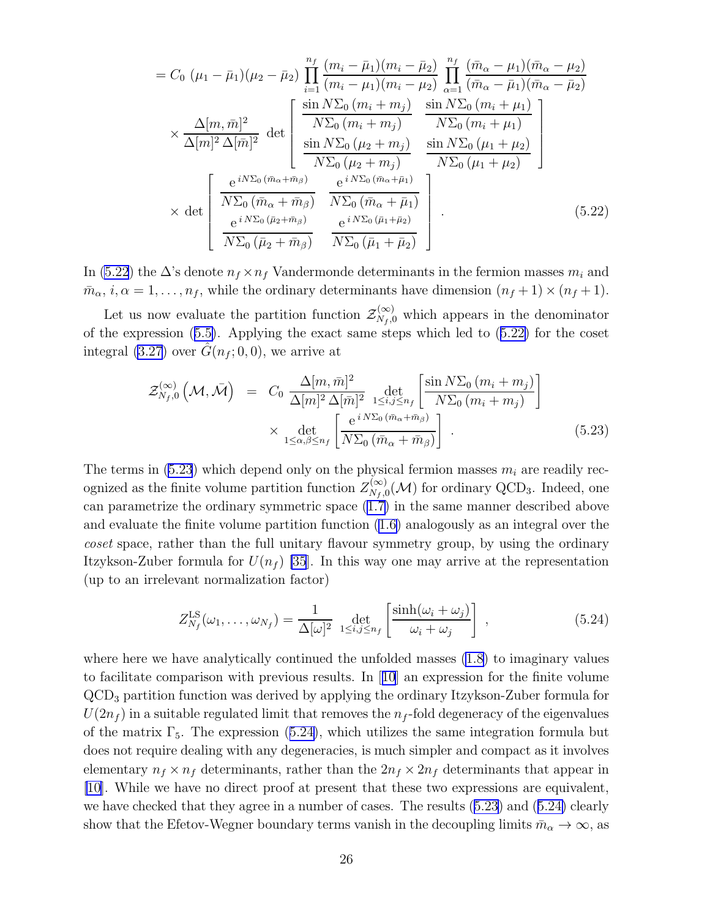<span id="page-25-0"></span>
$$
= C_{0} \ (\mu_{1} - \bar{\mu}_{1})(\mu_{2} - \bar{\mu}_{2}) \prod_{i=1}^{n_{f}} \frac{(m_{i} - \bar{\mu}_{1})(m_{i} - \bar{\mu}_{2})}{(m_{i} - \mu_{1})(m_{i} - \mu_{2})} \prod_{\alpha=1}^{n_{f}} \frac{(\bar{m}_{\alpha} - \mu_{1})(\bar{m}_{\alpha} - \mu_{2})}{(\bar{m}_{\alpha} - \bar{\mu}_{1})(\bar{m}_{\alpha} - \bar{\mu}_{2})}
$$

$$
\times \frac{\Delta[m, \bar{m}]^{2}}{\Delta[m]^{2} \Delta[\bar{m}]^{2}} \det \begin{bmatrix} \frac{\sin N\Sigma_{0} (m_{i} + m_{j})}{N\Sigma_{0} (m_{i} + m_{j})} & \frac{\sin N\Sigma_{0} (m_{i} + \mu_{1})}{N\Sigma_{0} (m_{i} + \mu_{1})} \\ \frac{\sin N\Sigma_{0} (m_{i} + m_{j})}{N\Sigma_{0} (m_{i} + m_{j})} & \frac{\sin N\Sigma_{0} (\mu_{1} + \mu_{2})}{N\Sigma_{0} (m_{1} + \mu_{2})} \end{bmatrix}
$$

$$
\times \det \begin{bmatrix} e^{iN\Sigma_{0} (\bar{m}_{\alpha} + \bar{m}_{\beta})} & \frac{e^{iN\Sigma_{0} (\bar{m}_{\alpha} + \bar{\mu}_{1})}}{N\Sigma_{0} (\bar{m}_{\alpha} + \bar{\mu}_{1})} \\ \frac{e^{iN\Sigma_{0} (\bar{m}_{\alpha} + \bar{m}_{\beta})}}{N\Sigma_{0} (\bar{\mu}_{1} + \bar{\mu}_{2})} & \frac{e^{iN\Sigma_{0} (\bar{\mu}_{1} + \bar{\mu}_{2})}}{N\Sigma_{0} (\bar{\mu}_{1} + \bar{\mu}_{2})} \end{bmatrix} (5.22)
$$

In (5.22) the  $\Delta$ 's denote  $n_f \times n_f$  Vandermonde determinants in the fermion masses  $m_i$  and  $\bar{m}_{\alpha}$ ,  $i, \alpha = 1, \ldots, n_f$ , while the ordinary determinants have dimension  $(n_f + 1) \times (n_f + 1)$ .

Let us now evaluate the partition function  $\mathcal{Z}_{N_f,0}^{(\infty)}$  which appears in the denominator of the expression([5.5\)](#page-21-0). Applying the exact same steps which led to (5.22) for the coset integral [\(3.27](#page-16-0)) over  $\hat{G}(n_f; 0, 0)$ , we arrive at

$$
\mathcal{Z}_{N_f,0}^{(\infty)}\left(\mathcal{M},\bar{\mathcal{M}}\right) = C_0 \frac{\Delta[m,\bar{m}]^2}{\Delta[m]^2 \Delta[\bar{m}]^2} \det_{1 \le i,j \le n_f} \left[\frac{\sin N\Sigma_0 \left(m_i + m_j\right)}{N\Sigma_0 \left(m_i + m_j\right)}\right] \times \det_{1 \le \alpha,\beta \le n_f} \left[\frac{e^{i N\Sigma_0 \left(\bar{m}_\alpha + \bar{m}_\beta\right)}}{N\Sigma_0 \left(\bar{m}_\alpha + \bar{m}_\beta\right)}\right].
$$
\n(5.23)

The terms in (5.23) which depend only on the physical fermion masses  $m_i$  are readily recognized as the finite volume partition function  $Z_{N_f,0}^{(\infty)}(\mathcal{M})$  for ordinary QCD<sub>3</sub>. Indeed, one can parametrize the ordinary symmetric space([1.7\)](#page-2-0) in the same manner described above and evaluate the finite volume partition function([1.6\)](#page-2-0) analogously as an integral over the coset space, rather than the full unitary flavour symmetry group, by using the ordinary Itzykson-Zuber formula for  $U(n_f)$  [\[35](#page-39-0)]. In this way one may arrive at the representation (up to an irrelevant normalization factor)

$$
Z_{N_f}^{\text{LS}}(\omega_1, \dots, \omega_{N_f}) = \frac{1}{\Delta[\omega]^2} \det_{1 \le i, j \le n_f} \left[ \frac{\sinh(\omega_i + \omega_j)}{\omega_i + \omega_j} \right] , \qquad (5.24)
$$

where here we have analytically continued the unfolded masses  $(1.8)$  to imaginary values to facilitate comparison with previous results. In[[10](#page-38-0)] an expression for the finite volume QCD<sup>3</sup> partition function was derived by applying the ordinary Itzykson-Zuber formula for  $U(2n_f)$  in a suitable regulated limit that removes the  $n_f$ -fold degeneracy of the eigenvalues of the matrix  $\Gamma_5$ . The expression (5.24), which utilizes the same integration formula but does not require dealing with any degeneracies, is much simpler and compact as it involves elementary  $n_f \times n_f$  determinants, rather than the  $2n_f \times 2n_f$  determinants that appear in [\[10\]](#page-38-0). While we have no direct proof at present that these two expressions are equivalent, we have checked that they agree in a number of cases. The results (5.23) and (5.24) clearly show that the Efetov-Wegner boundary terms vanish in the decoupling limits  $\bar{m}_{\alpha} \to \infty$ , as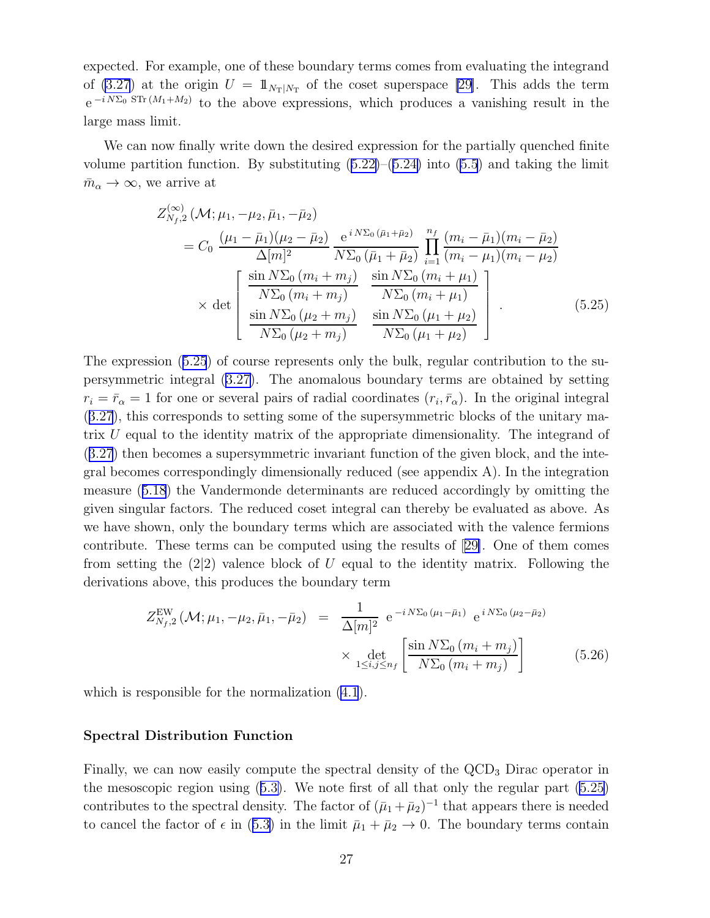<span id="page-26-0"></span>expected. For example, one of these boundary terms comes from evaluating the integrand of  $(3.27)$  at the origin  $U = \mathbb{1}_{N_T|N_T}$  of the coset superspace [\[29\]](#page-39-0). This adds the term  $e^{-i N \Sigma_0 STr(M_1+M_2)}$  to the above expressions, which produces a vanishing result in the large mass limit.

We can now finally write down the desired expression for the partially quenched finite volumepartition function. By substituting  $(5.22)$  $(5.22)$ – $(5.24)$  $(5.24)$  into  $(5.5)$  and taking the limit  $\bar{m}_{\alpha} \to \infty$ , we arrive at

$$
Z_{N_f,2}^{(\infty)}(\mathcal{M}; \mu_1, -\mu_2, \bar{\mu}_1, -\bar{\mu}_2)
$$
  
=  $C_0 \frac{(\mu_1 - \bar{\mu}_1)(\mu_2 - \bar{\mu}_2)}{\Delta[m]^2} \frac{e^{i N \Sigma_0 (\bar{\mu}_1 + \bar{\mu}_2)}}{N \Sigma_0 (\bar{\mu}_1 + \bar{\mu}_2)} \prod_{i=1}^{n_f} \frac{(m_i - \bar{\mu}_1)(m_i - \bar{\mu}_2)}{(m_i - \mu_1)(m_i - \mu_2)}$   

$$
\times \det \begin{bmatrix} \frac{\sin N \Sigma_0 (m_i + m_j)}{N \Sigma_0 (m_i + m_j)} & \frac{\sin N \Sigma_0 (m_i + \mu_1)}{N \Sigma_0 (m_i + \mu_1)}\\ \frac{\sin N \Sigma_0 (\mu_2 + m_j)}{N \Sigma_0 (\mu_2 + m_j)} & \frac{\sin N \Sigma_0 (\mu_1 + \mu_2)}{N \Sigma_0 (\mu_1 + \mu_2)} \end{bmatrix}
$$
(5.25)

The expression (5.25) of course represents only the bulk, regular contribution to the supersymmetric integral([3.27\)](#page-16-0). The anomalous boundary terms are obtained by setting  $r_i = \bar{r}_{\alpha} = 1$  for one or several pairs of radial coordinates  $(r_i, \bar{r}_{\alpha})$ . In the original integral ([3.27](#page-16-0)), this corresponds to setting some of the supersymmetric blocks of the unitary matrix U equal to the identity matrix of the appropriate dimensionality. The integrand of ([3.27](#page-16-0)) then becomes a supersymmetric invariant function of the given block, and the integral becomes correspondingly dimensionally reduced (see appendix A). In the integration measure([5.18](#page-23-0)) the Vandermonde determinants are reduced accordingly by omitting the given singular factors. The reduced coset integral can thereby be evaluated as above. As we have shown, only the boundary terms which are associated with the valence fermions contribute. These terms can be computed using the results of[[29\]](#page-39-0). One of them comes from setting the  $(2|2)$  valence block of U equal to the identity matrix. Following the derivations above, this produces the boundary term

$$
Z_{N_f,2}^{\text{EW}}\left(\mathcal{M};\mu_1,-\mu_2,\bar{\mu}_1,-\bar{\mu}_2\right) = \frac{1}{\Delta[m]^2} e^{-i N \Sigma_0 \left(\mu_1 - \bar{\mu}_1\right)} e^{i N \Sigma_0 \left(\mu_2 - \bar{\mu}_2\right)} \times \det_{1 \le i,j \le n_f} \left[\frac{\sin N \Sigma_0 \left(m_i + m_j\right)}{N \Sigma_0 \left(m_i + m_j\right)}\right]
$$
(5.26)

which is responsible for the normalization  $(4.1)$ .

#### Spectral Distribution Function

Finally, we can now easily compute the spectral density of the QCD<sub>3</sub> Dirac operator in the mesoscopic region using([5.3\)](#page-21-0). We note first of all that only the regular part (5.25) contributes to the spectral density. The factor of  $(\bar{\mu}_1 + \bar{\mu}_2)^{-1}$  that appears there is needed tocancel the factor of  $\epsilon$  in ([5.3\)](#page-21-0) in the limit  $\bar{\mu}_1 + \bar{\mu}_2 \rightarrow 0$ . The boundary terms contain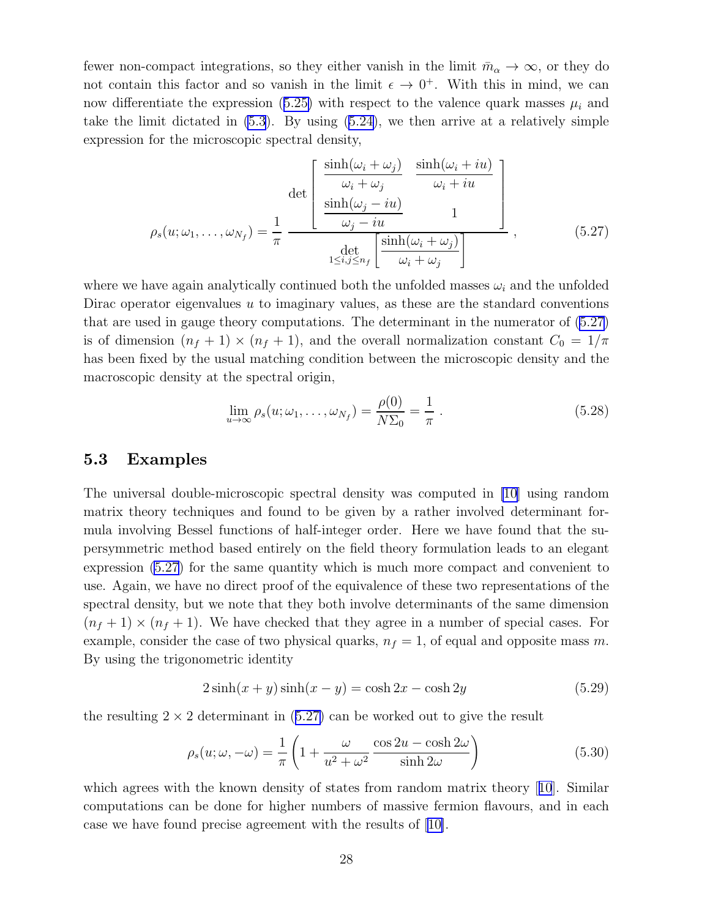<span id="page-27-0"></span>fewer non-compact integrations, so they either vanish in the limit  $\bar{m}_{\alpha} \to \infty$ , or they do not contain this factor and so vanish in the limit  $\epsilon \to 0^+$ . With this in mind, we can nowdifferentiate the expression ([5.25\)](#page-26-0) with respect to the valence quark masses  $\mu_i$  and takethe limit dictated in  $(5.3)$ . By using  $(5.24)$  $(5.24)$ , we then arrive at a relatively simple expression for the microscopic spectral density,

$$
\rho_s(u; \omega_1, \dots, \omega_{N_f}) = \frac{1}{\pi} \frac{\det \begin{bmatrix} \frac{\sinh(\omega_i + \omega_j)}{\omega_i + \omega_j} & \frac{\sinh(\omega_i + iu)}{\omega_i + iu} \\ \frac{\sinh(\omega_j - iu)}{\omega_j - iu} & 1 \end{bmatrix}}{\det \begin{bmatrix} \frac{\sinh(\omega_i + \omega_j)}{\omega_i + \omega_j} \end{bmatrix}}, \qquad (5.27)
$$

where we have again analytically continued both the unfolded masses  $\omega_i$  and the unfolded Dirac operator eigenvalues  $u$  to imaginary values, as these are the standard conventions that are used in gauge theory computations. The determinant in the numerator of (5.27) is of dimension  $(n_f + 1) \times (n_f + 1)$ , and the overall normalization constant  $C_0 = 1/\pi$ has been fixed by the usual matching condition between the microscopic density and the macroscopic density at the spectral origin,

$$
\lim_{u \to \infty} \rho_s(u; \omega_1, \dots, \omega_{N_f}) = \frac{\rho(0)}{N\Sigma_0} = \frac{1}{\pi} . \tag{5.28}
$$

### 5.3 Examples

The universal double-microscopic spectral density was computed in [\[10](#page-38-0)] using random matrix theory techniques and found to be given by a rather involved determinant formula involving Bessel functions of half-integer order. Here we have found that the supersymmetric method based entirely on the field theory formulation leads to an elegant expression (5.27) for the same quantity which is much more compact and convenient to use. Again, we have no direct proof of the equivalence of these two representations of the spectral density, but we note that they both involve determinants of the same dimension  $(n_f + 1) \times (n_f + 1)$ . We have checked that they agree in a number of special cases. For example, consider the case of two physical quarks,  $n_f = 1$ , of equal and opposite mass m. By using the trigonometric identity

$$
2\sinh(x+y)\sinh(x-y) = \cosh 2x - \cosh 2y \tag{5.29}
$$

the resulting  $2 \times 2$  determinant in (5.27) can be worked out to give the result

$$
\rho_s(u; \omega, -\omega) = \frac{1}{\pi} \left( 1 + \frac{\omega}{u^2 + \omega^2} \frac{\cos 2u - \cosh 2\omega}{\sinh 2\omega} \right) \tag{5.30}
$$

whichagrees with the known density of states from random matrix theory [[10](#page-38-0)]. Similar computations can be done for higher numbers of massive fermion flavours, and in each case we have found precise agreement with the results of [\[10\]](#page-38-0).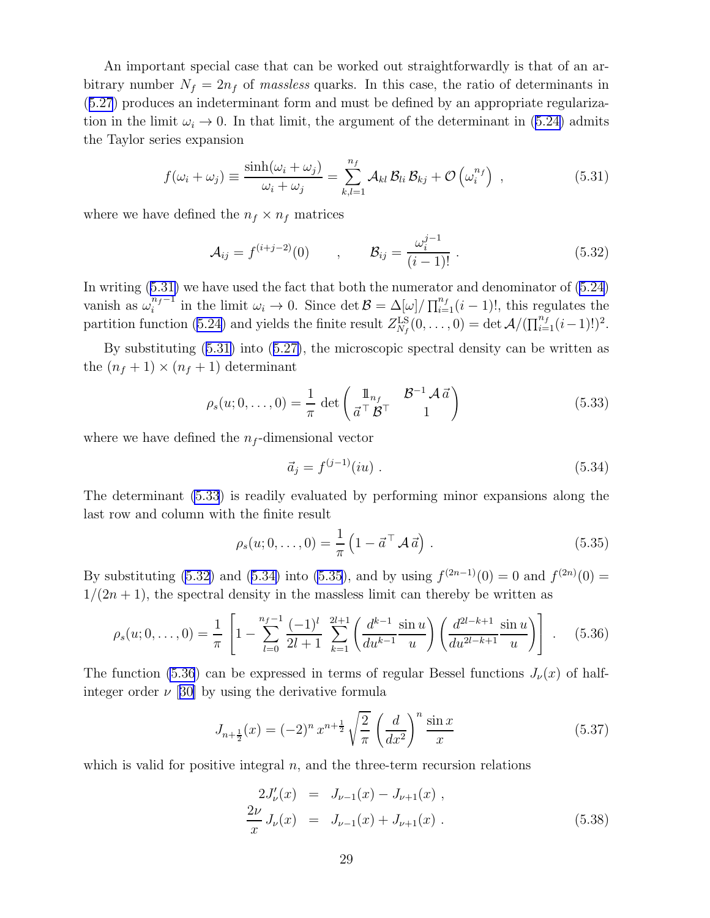<span id="page-28-0"></span>An important special case that can be worked out straightforwardly is that of an arbitrary number  $N_f = 2n_f$  of massless quarks. In this case, the ratio of determinants in ([5.27](#page-27-0)) produces an indeterminant form and must be defined by an appropriate regularizationin the limit  $\omega_i \rightarrow 0$ . In that limit, the argument of the determinant in ([5.24\)](#page-25-0) admits the Taylor series expansion

$$
f(\omega_i + \omega_j) \equiv \frac{\sinh(\omega_i + \omega_j)}{\omega_i + \omega_j} = \sum_{k,l=1}^{n_f} \mathcal{A}_{kl} \mathcal{B}_{li} \mathcal{B}_{kj} + \mathcal{O}\left(\omega_i^{n_f}\right) , \qquad (5.31)
$$

where we have defined the  $n_f \times n_f$  matrices

$$
\mathcal{A}_{ij} = f^{(i+j-2)}(0) \qquad , \qquad \mathcal{B}_{ij} = \frac{\omega_i^{j-1}}{(i-1)!} \ . \tag{5.32}
$$

In writing (5.31) we have used the fact that both the numerator and denominator of [\(5.24](#page-25-0)) vanish as  $\omega_i^{n_f-1}$  in the limit  $\omega_i \to 0$ . Since  $\det \mathcal{B} = \Delta[\omega]/\prod_{i=1}^{n_f} (i-1)!$ , this regulates the partition function [\(5.24\)](#page-25-0) and yields the finite result  $Z_{N_f}^{\text{LS}}(0,\ldots,0) = \det \mathcal{A}/(\prod_{i=1}^{n_f} (i-1)!)^2$ .

By substituting (5.31) into([5.27\)](#page-27-0), the microscopic spectral density can be written as the  $(n_f + 1) \times (n_f + 1)$  determinant

$$
\rho_s(u; 0, \dots, 0) = \frac{1}{\pi} \det \begin{pmatrix} \mathbb{1}_{n_f} & \mathcal{B}^{-1} \mathcal{A} \, \vec{a} \\ \vec{a}^\top \mathcal{B}^\top & 1 \end{pmatrix} \tag{5.33}
$$

where we have defined the  $n_f$ -dimensional vector

$$
\vec{a}_j = f^{(j-1)}(iu) \tag{5.34}
$$

The determinant (5.33) is readily evaluated by performing minor expansions along the last row and column with the finite result

$$
\rho_s(u; 0, \dots, 0) = \frac{1}{\pi} \left( 1 - \vec{a}^\top \mathcal{A} \, \vec{a} \right) \,. \tag{5.35}
$$

By substituting (5.32) and (5.34) into (5.35), and by using  $f^{(2n-1)}(0) = 0$  and  $f^{(2n)}(0) =$  $1/(2n+1)$ , the spectral density in the massless limit can thereby be written as

$$
\rho_s(u; 0, \dots, 0) = \frac{1}{\pi} \left[ 1 - \sum_{l=0}^{n_f - 1} \frac{(-1)^l}{2l+1} \sum_{k=1}^{2l+1} \left( \frac{d^{k-1}}{du^{k-1}} \frac{\sin u}{u} \right) \left( \frac{d^{2l-k+1}}{du^{2l-k+1}} \frac{\sin u}{u} \right) \right] . \tag{5.36}
$$

The function (5.36) can be expressed in terms of regular Bessel functions  $J_{\nu}(x)$  of halfinteger order  $\nu$  [[30\]](#page-39-0) by using the derivative formula

$$
J_{n+\frac{1}{2}}(x) = (-2)^n x^{n+\frac{1}{2}} \sqrt{\frac{2}{\pi}} \left(\frac{d}{dx^2}\right)^n \frac{\sin x}{x}
$$
(5.37)

which is valid for positive integral  $n$ , and the three-term recursion relations

$$
2J'_{\nu}(x) = J_{\nu-1}(x) - J_{\nu+1}(x) ,
$$
  
\n
$$
\frac{2\nu}{x} J_{\nu}(x) = J_{\nu-1}(x) + J_{\nu+1}(x) .
$$
\n(5.38)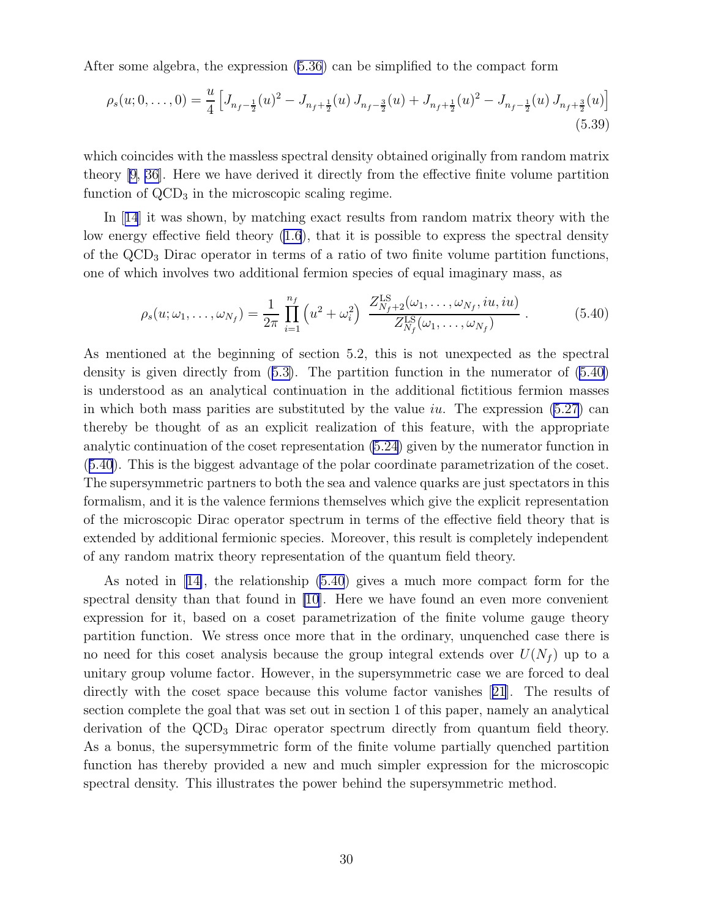After some algebra, the expression [\(5.36](#page-28-0)) can be simplified to the compact form

$$
\rho_s(u; 0, \dots, 0) = \frac{u}{4} \left[ J_{n_f - \frac{1}{2}}(u)^2 - J_{n_f + \frac{1}{2}}(u) J_{n_f - \frac{3}{2}}(u) + J_{n_f + \frac{1}{2}}(u)^2 - J_{n_f - \frac{1}{2}}(u) J_{n_f + \frac{3}{2}}(u) \right]
$$
(5.39)

which coincides with the massless spectral density obtained originally from random matrix theory [\[9,](#page-38-0) [36\]](#page-39-0). Here we have derived it directly from the effective finite volume partition function of  $\text{QCD}_3$  in the microscopic scaling regime.

In[[14](#page-38-0)] it was shown, by matching exact results from random matrix theory with the low energy effective field theory [\(1.6](#page-2-0)), that it is possible to express the spectral density of the  $\text{QCD}_3$  Dirac operator in terms of a ratio of two finite volume partition functions, one of which involves two additional fermion species of equal imaginary mass, as

$$
\rho_s(u; \omega_1, \dots, \omega_{N_f}) = \frac{1}{2\pi} \prod_{i=1}^{n_f} \left( u^2 + \omega_i^2 \right) \frac{Z_{N_f+2}^{\text{LS}}(\omega_1, \dots, \omega_{N_f}, iu, iu)}{Z_{N_f}^{\text{LS}}(\omega_1, \dots, \omega_{N_f})} \,. \tag{5.40}
$$

As mentioned at the beginning of section 5.2, this is not unexpected as the spectral density is given directly from([5.3\)](#page-21-0). The partition function in the numerator of (5.40) is understood as an analytical continuation in the additional fictitious fermion masses in which both mass parities are substituted by the value iu. The expression  $(5.27)$  can thereby be thought of as an explicit realization of this feature, with the appropriate analytic continuation of the coset representation [\(5.24](#page-25-0)) given by the numerator function in (5.40). This is the biggest advantage of the polar coordinate parametrization of the coset. The supersymmetric partners to both the sea and valence quarks are just spectators in this formalism, and it is the valence fermions themselves which give the explicit representation of the microscopic Dirac operator spectrum in terms of the effective field theory that is extended by additional fermionic species. Moreover, this result is completely independent of any random matrix theory representation of the quantum field theory.

As noted in[[14\]](#page-38-0), the relationship (5.40) gives a much more compact form for the spectral density than that found in [\[10](#page-38-0)]. Here we have found an even more convenient expression for it, based on a coset parametrization of the finite volume gauge theory partition function. We stress once more that in the ordinary, unquenched case there is no need for this coset analysis because the group integral extends over  $U(N_f)$  up to a unitary group volume factor. However, in the supersymmetric case we are forced to deal directly with the coset space because this volume factor vanishes[[21](#page-39-0)]. The results of section complete the goal that was set out in section 1 of this paper, namely an analytical derivation of the  $\angle QCD_3$  Dirac operator spectrum directly from quantum field theory. As a bonus, the supersymmetric form of the finite volume partially quenched partition function has thereby provided a new and much simpler expression for the microscopic spectral density. This illustrates the power behind the supersymmetric method.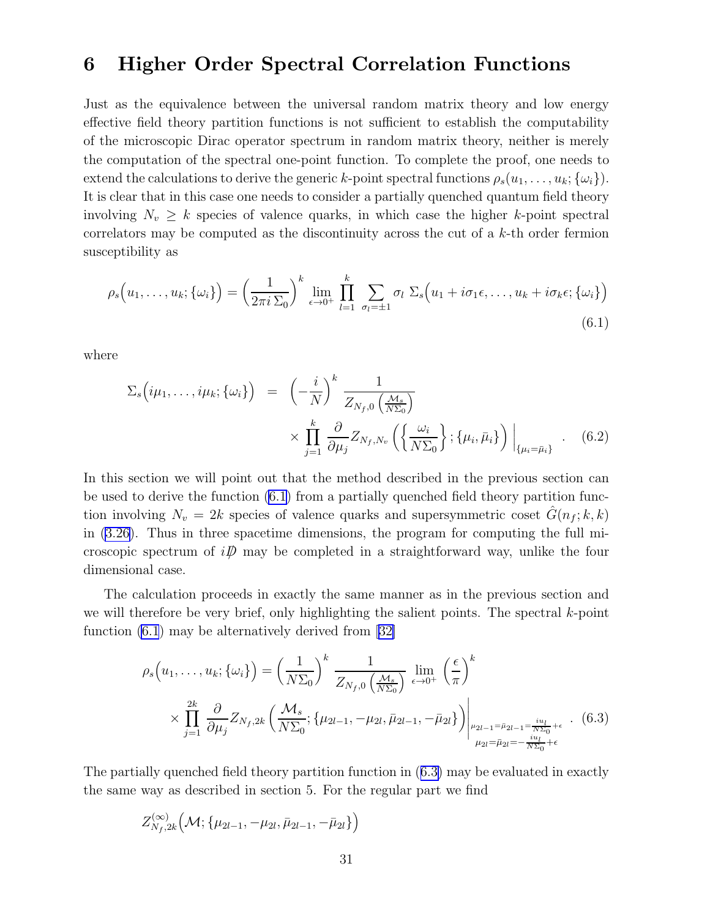### <span id="page-30-0"></span>6 Higher Order Spectral Correlation Functions

Just as the equivalence between the universal random matrix theory and low energy effective field theory partition functions is not sufficient to establish the computability of the microscopic Dirac operator spectrum in random matrix theory, neither is merely the computation of the spectral one-point function. To complete the proof, one needs to extend the calculations to derive the generic k-point spectral functions  $\rho_s(u_1, \ldots, u_k; {\omega_i})$ . It is clear that in this case one needs to consider a partially quenched quantum field theory involving  $N_v \geq k$  species of valence quarks, in which case the higher k-point spectral correlators may be computed as the discontinuity across the cut of a k-th order fermion susceptibility as

$$
\rho_s\Big(u_1,\ldots,u_k;\{\omega_i\}\Big) = \left(\frac{1}{2\pi i\,\Sigma_0}\right)^k \lim_{\epsilon \to 0^+} \prod_{l=1}^k \sum_{\sigma_l=\pm 1} \sigma_l \,\Sigma_s\Big(u_1 + i\sigma_1\epsilon,\ldots,u_k + i\sigma_k\epsilon;\{\omega_i\}\Big) \tag{6.1}
$$

where

$$
\Sigma_s \left( i\mu_1, \ldots, i\mu_k; \{\omega_i\} \right) = \left( -\frac{i}{N} \right)^k \frac{1}{Z_{N_f,0} \left( \frac{M_s}{N \Sigma_0} \right)}
$$

$$
\times \prod_{j=1}^k \frac{\partial}{\partial \mu_j} Z_{N_f, N_v} \left( \left\{ \frac{\omega_i}{N \Sigma_0} \right\} ; \{\mu_i, \bar{\mu}_i\} \right) \Big|_{\{\mu_i = \bar{\mu}_i\}} . \quad (6.2)
$$

In this section we will point out that the method described in the previous section can be used to derive the function (6.1) from a partially quenched field theory partition function involving  $N_v = 2k$  species of valence quarks and supersymmetric coset  $\tilde{G}(n_f; k, k)$ in([3.26\)](#page-15-0). Thus in three spacetime dimensions, the program for computing the full microscopic spectrum of  $i\mathcal{D}$  may be completed in a straightforward way, unlike the four dimensional case.

The calculation proceeds in exactly the same manner as in the previous section and we will therefore be very brief, only highlighting the salient points. The spectral  $k$ -point function (6.1) may be alternatively derived from[[32\]](#page-39-0)

$$
\rho_s(u_1,\ldots,u_k;\{\omega_i\}) = \left(\frac{1}{N\Sigma_0}\right)^k \frac{1}{Z_{N_f,0}\left(\frac{\mathcal{M}_s}{N\Sigma_0}\right)} \lim_{\epsilon \to 0^+} \left(\frac{\epsilon}{\pi}\right)^k
$$

$$
\times \prod_{j=1}^{2k} \frac{\partial}{\partial \mu_j} Z_{N_f,2k} \left(\frac{\mathcal{M}_s}{N\Sigma_0}; \{\mu_{2l-1}, -\mu_{2l}, \bar{\mu}_{2l-1}, -\bar{\mu}_{2l}\}\right) \Big|_{\substack{\mu_{2l-1} = \bar{\mu}_{2l-1} = \frac{iu_l}{N\Sigma_0} + \epsilon \\ \mu_{2l} = \bar{\mu}_{2l} = -\frac{iu_l}{N\Sigma_0} + \epsilon}} (6.3)
$$

The partially quenched field theory partition function in (6.3) may be evaluated in exactly the same way as described in section 5. For the regular part we find

$$
Z_{N_f,2k}^{(\infty)}\left(\mathcal{M}; \{\mu_{2l-1}, -\mu_{2l}, \bar{\mu}_{2l-1}, -\bar{\mu}_{2l}\}\right)
$$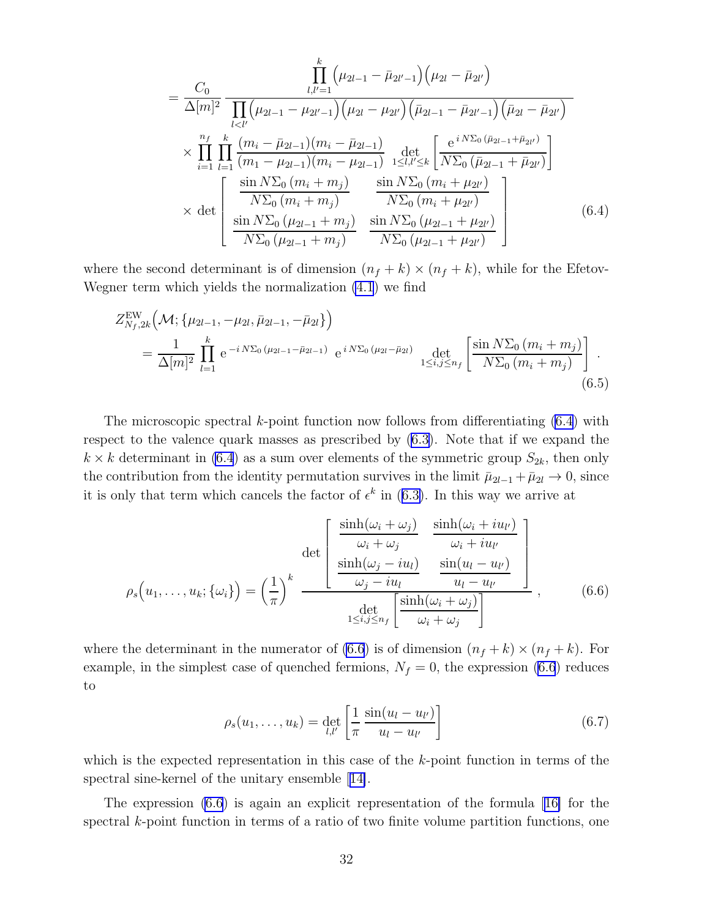<span id="page-31-0"></span>
$$
= \frac{C_0}{\Delta[m]^2} \frac{\prod\limits_{l,l'=1}^k (\mu_{2l-1} - \bar{\mu}_{2l'-1}) (\mu_{2l} - \bar{\mu}_{2l'})}{\prod\limits_{l  
 
$$
\times \prod_{i=1}^{n_f} \prod_{l=1}^k \frac{(m_i - \bar{\mu}_{2l-1})(m_i - \bar{\mu}_{2l-1})}{(m_1 - \mu_{2l-1})(m_i - \mu_{2l-1})} \frac{\det}{\det N\Sigma_0 (\bar{\mu}_{2l-1} + \bar{\mu}_{2l'})}
$$
  
 
$$
\times \det \left[ \frac{\frac{\sin N\Sigma_0 (m_i + m_j)}{N\Sigma_0 (m_i + m_j)}}{\frac{\sin N\Sigma_0 (m_i + \mu_{2l'})}{N\Sigma_0 (\mu_{2l-1} + \mu_{2l'})}} \frac{\sin N\Sigma_0 (m_i + \mu_{2l'})}{N\Sigma_0 (\mu_{2l-1} + \mu_{2l'})} \right]
$$
(6.4)
$$

where the second determinant is of dimension  $(n_f + k) \times (n_f + k)$ , while for the Efetov-Wegner term which yields the normalization [\(4.1](#page-17-0)) we find

$$
Z_{N_f,2k}^{\text{EW}}\Big(\mathcal{M}; \{\mu_{2l-1}, -\mu_{2l}, \bar{\mu}_{2l-1}, -\bar{\mu}_{2l}\}\Big) = \frac{1}{\Delta[m]^2} \prod_{l=1}^k e^{-i N \Sigma_0 (\mu_{2l-1} - \bar{\mu}_{2l-1})} e^{i N \Sigma_0 (\mu_{2l} - \bar{\mu}_{2l})} \det_{1 \le i,j \le n_f} \left[ \frac{\sin N \Sigma_0 (m_i + m_j)}{N \Sigma_0 (m_i + m_j)} \right].
$$
\n(6.5)

The microscopic spectral k-point function now follows from differentiating (6.4) with respect to the valence quark masses as prescribed by([6.3\)](#page-30-0). Note that if we expand the  $k \times k$  determinant in (6.4) as a sum over elements of the symmetric group  $S_{2k}$ , then only the contribution from the identity permutation survives in the limit  $\bar{\mu}_{2l-1} + \bar{\mu}_{2l} \rightarrow 0$ , since itis only that term which cancels the factor of  $\epsilon^k$  in ([6.3\)](#page-30-0). In this way we arrive at

$$
\rho_s(u_1,\ldots,u_k;\{\omega_i\}) = \left(\frac{1}{\pi}\right)^k \frac{\det\begin{bmatrix} \frac{\sinh(\omega_i + \omega_j)}{\omega_i + \omega_j} & \frac{\sinh(\omega_i + i u_{l'})}{\omega_i + i u_{l'}}\\ \frac{\sinh(\omega_j - i u_l)}{\omega_j - i u_l} & \frac{\sin(u_l - u_{l'})}{u_l - u_{l'}} \end{bmatrix}}{\det\begin{bmatrix} \frac{\sinh(\omega_i + \omega_j)}{\omega_i + \omega_j} \end{bmatrix}},\qquad(6.6)
$$

where the determinant in the numerator of (6.6) is of dimension  $(n_f + k) \times (n_f + k)$ . For example, in the simplest case of quenched fermions,  $N_f = 0$ , the expression (6.6) reduces to

$$
\rho_s(u_1, \dots, u_k) = \det_{l,l'} \left[ \frac{1}{\pi} \frac{\sin(u_l - u_{l'})}{u_l - u_{l'}} \right]
$$
(6.7)

which is the expected representation in this case of the  $k$ -point function in terms of the spectral sine-kernel of the unitary ensemble[[14\]](#page-38-0).

The expression (6.6) is again an explicit representation of the formula[[16\]](#page-38-0) for the spectral k-point function in terms of a ratio of two finite volume partition functions, one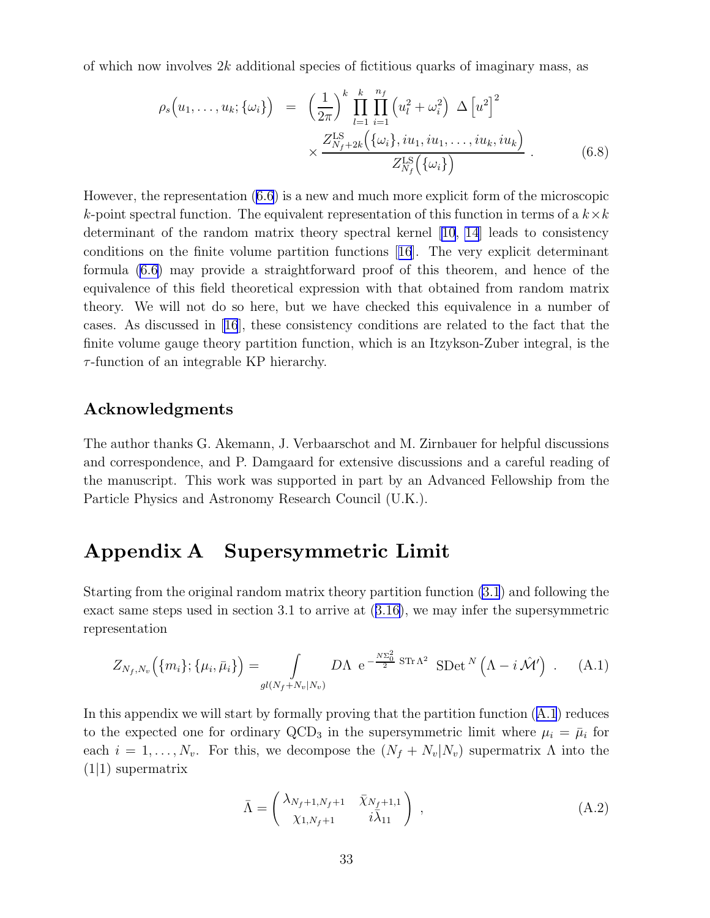<span id="page-32-0"></span>of which now involves  $2k$  additional species of fictitious quarks of imaginary mass, as

$$
\rho_s(u_1,\ldots,u_k;\{\omega_i\}) = \left(\frac{1}{2\pi}\right)^k \prod_{l=1}^k \prod_{i=1}^{n_f} \left(u_l^2 + \omega_i^2\right) \Delta \left[u^2\right]^2
$$

$$
\times \frac{Z_{N_f+2k}^{\text{LS}}\left(\{\omega_i\},i u_1,i u_1,\ldots,i u_k,i u_k\right)}{Z_{N_f}^{\text{LS}}\left(\{\omega_i\}\right)} \,. \tag{6.8}
$$

However, the representation [\(6.6](#page-31-0)) is a new and much more explicit form of the microscopic k-point spectral function. The equivalent representation of this function in terms of a  $k \times k$ determinant of the random matrix theory spectral kernel [\[10](#page-38-0), [14](#page-38-0)] leads to consistency conditions on the finite volume partition functions[[16](#page-38-0)]. The very explicit determinant formula [\(6.6](#page-31-0)) may provide a straightforward proof of this theorem, and hence of the equivalence of this field theoretical expression with that obtained from random matrix theory. We will not do so here, but we have checked this equivalence in a number of cases. As discussed in[[16](#page-38-0)], these consistency conditions are related to the fact that the finite volume gauge theory partition function, which is an Itzykson-Zuber integral, is the  $\tau$ -function of an integrable KP hierarchy.

#### Acknowledgments

The author thanks G. Akemann, J. Verbaarschot and M. Zirnbauer for helpful discussions and correspondence, and P. Damgaard for extensive discussions and a careful reading of the manuscript. This work was supported in part by an Advanced Fellowship from the Particle Physics and Astronomy Research Council (U.K.).

## Appendix A Supersymmetric Limit

Starting from the original random matrix theory partition function [\(3.1](#page-11-0)) and following the exact same steps used in section 3.1 to arrive at([3.16\)](#page-13-0), we may infer the supersymmetric representation

$$
Z_{N_f,N_v}(\{m_i\};\{\mu_i,\bar{\mu}_i\}) = \int\limits_{gl(N_f+N_v|N_v)} D\Lambda \, \mathrm{e}^{-\frac{N\Sigma_0^2}{2}\,\mathrm{STr}\,\Lambda^2} \, \mathrm{SDet}^{\,N}\left(\Lambda - i\,\hat{\mathcal{M}}'\right) \, . \tag{A.1}
$$

In this appendix we will start by formally proving that the partition function (A.1) reduces to the expected one for ordinary QCD<sub>3</sub> in the supersymmetric limit where  $\mu_i = \bar{\mu}_i$  for each  $i = 1, \ldots, N_v$ . For this, we decompose the  $(N_f + N_v|N_v)$  supermatrix  $\Lambda$  into the  $(1|1)$  supermatrix

$$
\bar{\Lambda} = \begin{pmatrix} \lambda_{N_f+1,N_f+1} & \bar{\chi}_{N_f+1,1} \\ \chi_{1,N_f+1} & i\bar{\lambda}_{11} \end{pmatrix} , \qquad (A.2)
$$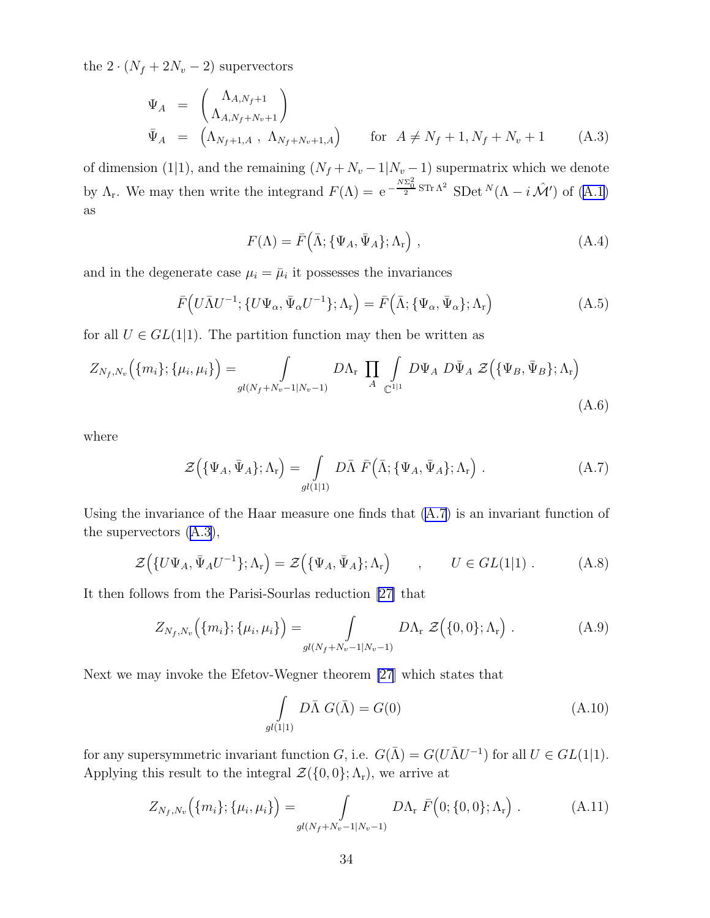<span id="page-33-0"></span>the  $2 \cdot (N_f + 2N_v - 2)$  supervectors

$$
\Psi_A = \begin{pmatrix} \Lambda_{A,N_f+1} \\ \Lambda_{A,N_f+N_v+1} \end{pmatrix} \n\bar{\Psi}_A = \begin{pmatrix} \Lambda_{N_f+1,A} & \Lambda_{N_f+N_v+1,A} \end{pmatrix} \quad \text{for } A \neq N_f+1, N_f+N_v+1
$$
\n(A.3)

of dimension (1|1), and the remaining  $(N_f + N_v - 1|N_v - 1)$  supermatrix which we denote by  $\Lambda_r$ . We may then write the integrand  $F(\Lambda) = e^{-\frac{N\Sigma_0^2}{2}ST_r\Lambda^2}$  SDet  $N(\Lambda - i\mathcal{M}')$  of  $(A.1)$ as

$$
F(\Lambda) = \bar{F}(\bar{\Lambda}; \{\Psi_A, \bar{\Psi}_A\}; \Lambda_r), \qquad (A.4)
$$

and in the degenerate case  $\mu_i = \bar{\mu}_i$  it possesses the invariances

$$
\bar{F}\left(U\bar{\Lambda}U^{-1}; \{U\Psi_{\alpha}, \bar{\Psi}_{\alpha}U^{-1}\}; \Lambda_{\mathbf{r}}\right) = \bar{F}\left(\bar{\Lambda}; \{\Psi_{\alpha}, \bar{\Psi}_{\alpha}\}; \Lambda_{\mathbf{r}}\right) \tag{A.5}
$$

for all  $U \in GL(1|1)$ . The partition function may then be written as

$$
Z_{N_f,N_v}(\lbrace m_i \rbrace; \lbrace \mu_i, \mu_i \rbrace) = \int_{gl(N_f+N_v-1|N_v-1)} DA_r \prod_A \int_{\mathbb{C}^{1|1}} D\Psi_A \ D\bar{\Psi}_A \ \mathcal{Z}(\lbrace \Psi_B, \bar{\Psi}_B \rbrace; \Lambda_r)
$$
\n(A.6)

where

$$
\mathcal{Z}(\{\Psi_A, \bar{\Psi}_A\}; \Lambda_r) = \int\limits_{gl(1|1)} D\bar{\Lambda} \ \bar{F}(\bar{\Lambda}; \{\Psi_A, \bar{\Psi}_A\}; \Lambda_r) . \tag{A.7}
$$

Using the invariance of the Haar measure one finds that (A.7) is an invariant function of the supervectors (A.3),

$$
\mathcal{Z}(\lbrace U\Psi_A, \bar{\Psi}_A U^{-1}\rbrace; \Lambda_r) = \mathcal{Z}(\lbrace \Psi_A, \bar{\Psi}_A \rbrace; \Lambda_r) \qquad , \qquad U \in GL(1|1) . \tag{A.8}
$$

It then follows from the Parisi-Sourlas reduction[[27\]](#page-39-0) that

$$
Z_{N_f,N_v}(\{m_i\};\{\mu_i,\mu_i\}) = \int\limits_{gl(N_f+N_v-1|N_v-1)} D\Lambda_r \, \mathcal{Z}(\{0,0\};\Lambda_r) \,.
$$
 (A.9)

Next we may invoke the Efetov-Wegner theorem [\[27](#page-39-0)] which states that

$$
\int_{gl(1|1)} D\overline{\Lambda} G(\overline{\Lambda}) = G(0)
$$
\n(A.10)

for any supersymmetric invariant function G, i.e.  $G(\bar{\Lambda}) = G(U\bar{\Lambda}U^{-1})$  for all  $U \in GL(1|1)$ . Applying this result to the integral  $\mathcal{Z}(\{0,0\};\Lambda_r)$ , we arrive at

$$
Z_{N_f,N_v}(\{m_i\};\{\mu_i,\mu_i\}) = \int\limits_{gl(N_f+N_v-1|N_v-1)} D\Lambda_r \ \bar{F}\big(0;\{0,0\};\Lambda_r\big) \ . \tag{A.11}
$$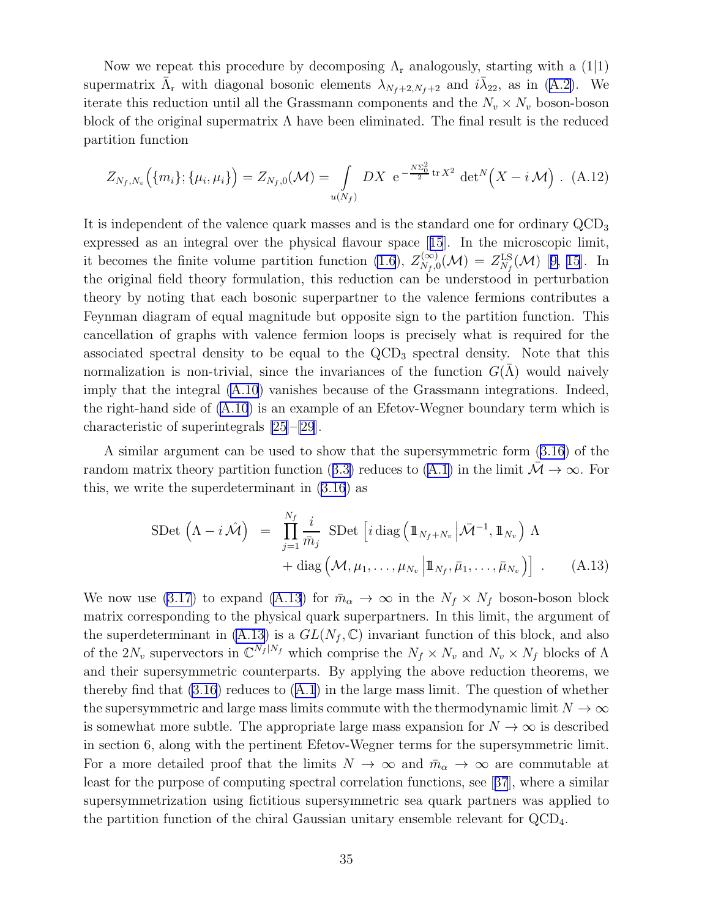Now we repeat this procedure by decomposing  $\Lambda_{r}$  analogously, starting with a (1|1) supermatrix $\bar{\Lambda}_{r}$  with diagonal bosonic elements  $\lambda_{N_f+2,N_f+2}$  and  $i\bar{\lambda}_{22}$ , as in ([A.2\)](#page-32-0). We iterate this reduction until all the Grassmann components and the  $N_v \times N_v$  boson-boson block of the original supermatrix  $\Lambda$  have been eliminated. The final result is the reduced partition function

$$
Z_{N_f,N_v}(\{m_i\};\{\mu_i,\mu_i\}) = Z_{N_f,0}(\mathcal{M}) = \int_{u(N_f)} DX \ e^{-\frac{N\Sigma_0^2}{2}\text{tr }X^2} \ \det^N(X - i\mathcal{M}) \ . \tag{A.12}
$$

It is independent of the valence quark masses and is the standard one for ordinary  $\text{QCD}_3$ expressed as an integral over the physical flavour space[[15](#page-38-0)]. In the microscopic limit, it becomes the finite volume partition function [\(1.6](#page-2-0)), $Z_{N_f,0}^{(\infty)}(\mathcal{M}) = Z_{N_f}^{\text{LS}}(\mathcal{M})$  [[9, 15](#page-38-0)]. In the original field theory formulation, this reduction can be understood in perturbation theory by noting that each bosonic superpartner to the valence fermions contributes a Feynman diagram of equal magnitude but opposite sign to the partition function. This cancellation of graphs with valence fermion loops is precisely what is required for the associated spectral density to be equal to the  $\rm{QCD}_3$  spectral density. Note that this normalization is non-trivial, since the invariances of the function  $G(\Lambda)$  would naively imply that the integral [\(A.10](#page-33-0)) vanishes because of the Grassmann integrations. Indeed, the right-hand side of  $(A.10)$  is an example of an Efetov-Wegner boundary term which is characteristic of superintegrals [\[25](#page-39-0)]–[\[29](#page-39-0)].

A similar argument can be used to show that the supersymmetric form [\(3.16](#page-13-0)) of the randommatrix theory partition function ([3.3\)](#page-11-0) reduces to ([A.1\)](#page-32-0) in the limit  $\overline{\mathcal{M}} \to \infty$ . For this, we write the superdeterminant in [\(3.16](#page-13-0)) as

$$
\text{SDet}\,\left(\Lambda - i\,\hat{\mathcal{M}}\right) = \prod_{j=1}^{N_f} \frac{i}{\bar{m}_j} \text{ SDet}\left[i\,\text{diag}\left(\mathbb{1}_{N_f + N_v} \left|\bar{\mathcal{M}}^{-1}, \mathbb{1}_{N_v}\right)\right]\,\Lambda + \text{diag}\left(\mathcal{M}, \mu_1, \dots, \mu_{N_v} \left|\mathbb{1}_{N_f}, \bar{\mu}_1, \dots, \bar{\mu}_{N_v}\right|\right) \right] \,.
$$
 (A.13)

We now use [\(3.17](#page-13-0)) to expand (A.13) for  $\bar{m}_{\alpha} \to \infty$  in the  $N_f \times N_f$  boson-boson block matrix corresponding to the physical quark superpartners. In this limit, the argument of the superdeterminant in (A.13) is a  $GL(N_f, \mathbb{C})$  invariant function of this block, and also of the  $2N_v$  supervectors in  $\mathbb{C}^{N_f|N_f}$  which comprise the  $N_f \times N_v$  and  $N_v \times N_f$  blocks of  $\Lambda$ and their supersymmetric counterparts. By applying the above reduction theorems, we therebyfind that  $(3.16)$  reduces to  $(A.1)$  $(A.1)$  $(A.1)$  in the large mass limit. The question of whether the supersymmetric and large mass limits commute with the thermodynamic limit  $N \to \infty$ is somewhat more subtle. The appropriate large mass expansion for  $N \to \infty$  is described in section 6, along with the pertinent Efetov-Wegner terms for the supersymmetric limit. For a more detailed proof that the limits  $N \to \infty$  and  $\bar{m}_{\alpha} \to \infty$  are commutable at least for the purpose of computing spectral correlation functions, see[[37](#page-39-0)], where a similar supersymmetrization using fictitious supersymmetric sea quark partners was applied to the partition function of the chiral Gaussian unitary ensemble relevant for QCD4.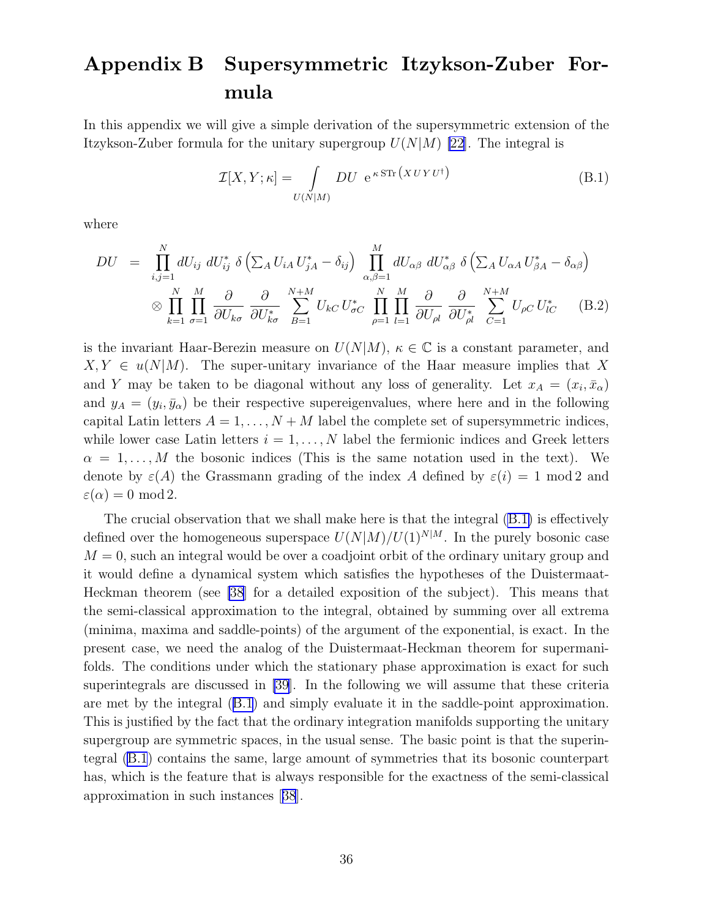# <span id="page-35-0"></span>Appendix B Supersymmetric Itzykson-Zuber Formula

In this appendix we will give a simple derivation of the supersymmetric extension of the Itzykson-Zuber formula for the unitary supergroup  $U(N|M)$  [\[22](#page-39-0)]. The integral is

$$
\mathcal{I}[X,Y;\kappa] = \int_{U(N|M)} DU \, e^{\kappa \, \text{STr} \, \left(XUVU^{\dagger}\right)} \tag{B.1}
$$

where

$$
DU = \prod_{i,j=1}^{N} dU_{ij} dU_{ij}^* \delta \left( \sum_A U_{iA} U_{jA}^* - \delta_{ij} \right) \prod_{\alpha,\beta=1}^{M} dU_{\alpha\beta} dU_{\alpha\beta}^* \delta \left( \sum_A U_{\alpha A} U_{\beta A}^* - \delta_{\alpha\beta} \right)
$$
  

$$
\otimes \prod_{k=1}^{N} \prod_{\sigma=1}^{M} \frac{\partial}{\partial U_{k\sigma}} \frac{\partial}{\partial U_{k\sigma}^*} \sum_{B=1}^{N+M} U_{kC} U_{\sigma C}^* \prod_{\rho=1}^{N} \prod_{l=1}^{M} \frac{\partial}{\partial U_{\rho l}} \frac{\partial}{\partial U_{\rho l}^*} \sum_{C=1}^{N+M} U_{\rho C} U_{lC}^* \qquad (B.2)
$$

is the invariant Haar-Berezin measure on  $U(N|M)$ ,  $\kappa \in \mathbb{C}$  is a constant parameter, and  $X, Y \in u(N|M)$ . The super-unitary invariance of the Haar measure implies that X and Y may be taken to be diagonal without any loss of generality. Let  $x_A = (x_i, \bar{x}_{\alpha})$ and  $y_A = (y_i, \bar{y}_\alpha)$  be their respective supereigenvalues, where here and in the following capital Latin letters  $A = 1, \ldots, N + M$  label the complete set of supersymmetric indices, while lower case Latin letters  $i = 1, \ldots, N$  label the fermionic indices and Greek letters  $\alpha = 1, \ldots, M$  the bosonic indices (This is the same notation used in the text). We denote by  $\varepsilon(A)$  the Grassmann grading of the index A defined by  $\varepsilon(i) = 1 \mod 2$  and  $\varepsilon(\alpha) = 0 \mod 2.$ 

The crucial observation that we shall make here is that the integral (B.1) is effectively defined over the homogeneous superspace  $U(N|M)/U(1)^{N|M}$ . In the purely bosonic case  $M = 0$ , such an integral would be over a coadjoint orbit of the ordinary unitary group and it would define a dynamical system which satisfies the hypotheses of the Duistermaat-Heckman theorem (see [\[38](#page-39-0)] for a detailed exposition of the subject). This means that the semi-classical approximation to the integral, obtained by summing over all extrema (minima, maxima and saddle-points) of the argument of the exponential, is exact. In the present case, we need the analog of the Duistermaat-Heckman theorem for supermanifolds. The conditions under which the stationary phase approximation is exact for such superintegrals are discussed in [\[39](#page-39-0)]. In the following we will assume that these criteria are met by the integral (B.1) and simply evaluate it in the saddle-point approximation. This is justified by the fact that the ordinary integration manifolds supporting the unitary supergroup are symmetric spaces, in the usual sense. The basic point is that the superintegral (B.1) contains the same, large amount of symmetries that its bosonic counterpart has, which is the feature that is always responsible for the exactness of the semi-classical approximation in such instances[[38](#page-39-0)].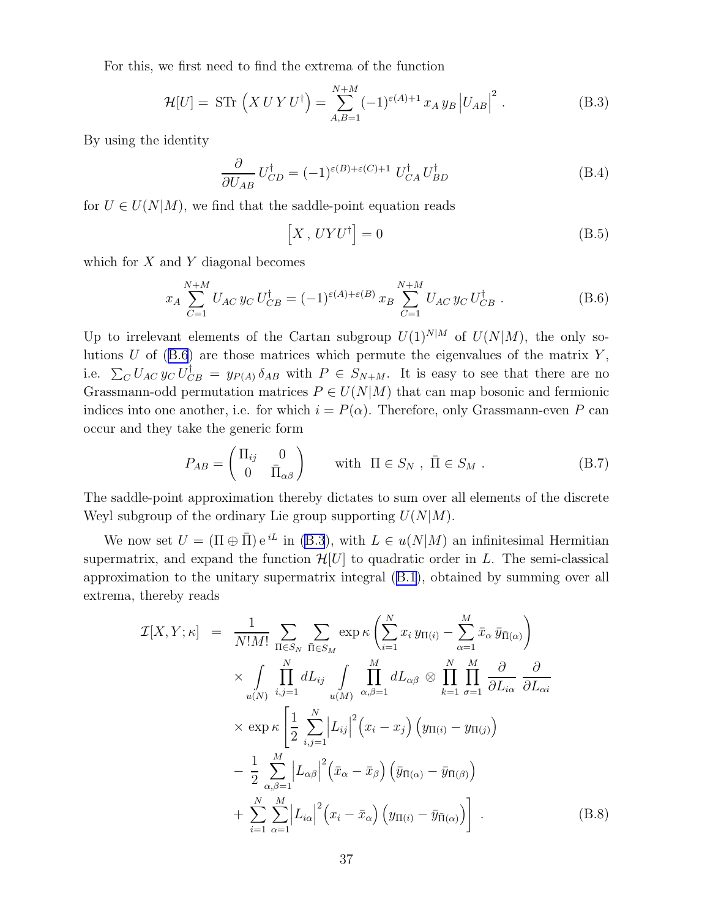For this, we first need to find the extrema of the function

$$
\mathcal{H}[U] = \text{STr}\,\left(X \, U \, Y \, U^{\dagger}\right) = \sum_{A,B=1}^{N+M} (-1)^{\varepsilon(A)+1} \, x_A \, y_B \, \left|U_{AB}\right|^2. \tag{B.3}
$$

By using the identity

$$
\frac{\partial}{\partial U_{AB}} U_{CD}^{\dagger} = (-1)^{\varepsilon(B) + \varepsilon(C) + 1} U_{CA}^{\dagger} U_{BD}^{\dagger}
$$
 (B.4)

for  $U \in U(N|M)$ , we find that the saddle-point equation reads

$$
\[X, \, UYU^{\dagger}\] = 0 \tag{B.5}
$$

which for  $X$  and  $Y$  diagonal becomes

$$
x_A \sum_{C=1}^{N+M} U_{AC} y_C U_{CB}^{\dagger} = (-1)^{\varepsilon(A)+\varepsilon(B)} x_B \sum_{C=1}^{N+M} U_{AC} y_C U_{CB}^{\dagger} . \tag{B.6}
$$

Up to irrelevant elements of the Cartan subgroup  $U(1)^{N|M}$  of  $U(N|M)$ , the only solutions  $U$  of (B.6) are those matrices which permute the eigenvalues of the matrix  $Y$ , i.e.  $\sum_{C} U_{AC} y_C U_{CB}^{\dagger} = y_{P(A)} \delta_{AB}$  with  $P \in S_{N+M}$ . It is easy to see that there are no Grassmann-odd permutation matrices  $P \in U(N|M)$  that can map bosonic and fermionic indices into one another, i.e. for which  $i = P(\alpha)$ . Therefore, only Grassmann-even P can occur and they take the generic form

$$
P_{AB} = \begin{pmatrix} \Pi_{ij} & 0 \\ 0 & \bar{\Pi}_{\alpha\beta} \end{pmatrix} \quad \text{with } \Pi \in S_N , \ \bar{\Pi} \in S_M .
$$
 (B.7)

The saddle-point approximation thereby dictates to sum over all elements of the discrete Weyl subgroup of the ordinary Lie group supporting  $U(N|M)$ .

We now set  $U = (\Pi \oplus \overline{\Pi}) e^{iL}$  in (B.3), with  $L \in u(N|M)$  an infinitesimal Hermitian supermatrix, and expand the function  $\mathcal{H}[U]$  to quadratic order in L. The semi-classical approximation to the unitary supermatrix integral([B.1](#page-35-0)), obtained by summing over all extrema, thereby reads

$$
\mathcal{I}[X, Y; \kappa] = \frac{1}{N!M!} \sum_{\Pi \in S_N} \sum_{\bar{\Pi} \in S_M} \exp \kappa \left( \sum_{i=1}^N x_i y_{\Pi(i)} - \sum_{\alpha=1}^M \bar{x}_{\alpha} \bar{y}_{\bar{\Pi}(\alpha)} \right) \times \int_{u(N)} \prod_{i,j=1}^N dL_{ij} \int_{u(M)} \prod_{\alpha,\beta=1}^M dL_{\alpha\beta} \otimes \prod_{k=1}^N \prod_{\sigma=1}^M \frac{\partial}{\partial L_{i\alpha}} \frac{\partial}{\partial L_{\alpha i}} \times \exp \kappa \left[ \frac{1}{2} \sum_{i,j=1}^N \left| L_{ij} \right|^2 \left( x_i - x_j \right) \left( y_{\Pi(i)} - y_{\Pi(j)} \right) \right. \left. - \frac{1}{2} \sum_{\alpha,\beta=1}^M \left| L_{\alpha\beta} \right|^2 \left( \bar{x}_{\alpha} - \bar{x}_{\beta} \right) \left( \bar{y}_{\bar{\Pi}(\alpha)} - \bar{y}_{\bar{\Pi}(\beta)} \right) \right. \left. + \sum_{i=1}^N \sum_{\alpha=1}^M \left| L_{i\alpha} \right|^2 \left( x_i - \bar{x}_{\alpha} \right) \left( y_{\Pi(i)} - \bar{y}_{\bar{\Pi}(\alpha)} \right) \right] .
$$
\n(B.8)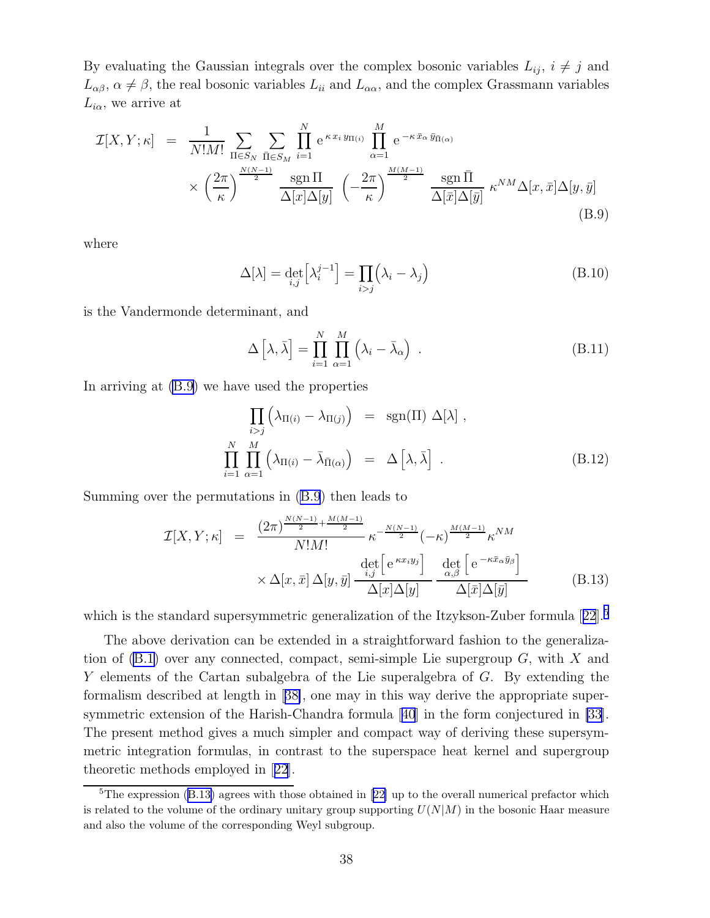<span id="page-37-0"></span>By evaluating the Gaussian integrals over the complex bosonic variables  $L_{ij}$ ,  $i \neq j$  and  $L_{\alpha\beta}$ ,  $\alpha \neq \beta$ , the real bosonic variables  $L_{ii}$  and  $L_{\alpha\alpha}$ , and the complex Grassmann variables  $L_{i\alpha}$ , we arrive at

$$
\mathcal{I}[X,Y;\kappa] = \frac{1}{N!M!} \sum_{\Pi \in S_N} \sum_{\bar{\Pi} \in S_M} \prod_{i=1}^N e^{\kappa x_i y_{\Pi(i)}} \prod_{\alpha=1}^M e^{-\kappa \bar{x}_\alpha \bar{y}_{\bar{\Pi}(\alpha)}}
$$

$$
\times \left(\frac{2\pi}{\kappa}\right)^{\frac{N(N-1)}{2}} \frac{\text{sgn}\,\Pi}{\Delta[x]\Delta[y]} \left(-\frac{2\pi}{\kappa}\right)^{\frac{M(M-1)}{2}} \frac{\text{sgn}\,\bar{\Pi}}{\Delta[\bar{x}]\Delta[\bar{y}]} \,\,\kappa^{NM}\Delta[x,\bar{x}]\Delta[y,\bar{y}] \tag{B.9}
$$

where

$$
\Delta[\lambda] = \det_{i,j} \left[ \lambda_i^{j-1} \right] = \prod_{i>j} \left( \lambda_i - \lambda_j \right) \tag{B.10}
$$

is the Vandermonde determinant, and

$$
\Delta\left[\lambda,\bar{\lambda}\right] = \prod_{i=1}^{N} \prod_{\alpha=1}^{M} \left(\lambda_i - \bar{\lambda}_{\alpha}\right) . \tag{B.11}
$$

In arriving at (B.9) we have used the properties

$$
\prod_{i>j} \left( \lambda_{\Pi(i)} - \lambda_{\Pi(j)} \right) = \operatorname{sgn}(\Pi) \Delta[\lambda],
$$
\n
$$
\prod_{i=1}^{N} \prod_{\alpha=1}^{M} \left( \lambda_{\Pi(i)} - \bar{\lambda}_{\bar{\Pi}(\alpha)} \right) = \Delta[\lambda, \bar{\lambda}].
$$
\n(B.12)

Summing over the permutations in (B.9) then leads to

$$
\mathcal{I}[X, Y; \kappa] = \frac{(2\pi)^{\frac{N(N-1)}{2} + \frac{M(M-1)}{2}}}{N!M!} \kappa^{-\frac{N(N-1)}{2}} (-\kappa)^{\frac{M(M-1)}{2}} \kappa^{NM} \times \Delta[x, \bar{x}] \Delta[y, \bar{y}] \frac{\det\left[e^{\kappa x_i y_j}\right]}{\Delta[x] \Delta[y]} \frac{\det\left[e^{-\kappa \bar{x}_{\alpha} \bar{y}_{\beta}}\right]}{\Delta[\bar{x}] \Delta[\bar{y}]}
$$
(B.13)

whichis the standard supersymmetric generalization of the Itzykson-Zuber formula  $[22]$  $[22]$  $[22]$ <sup>5</sup>

The above derivation can be extended in a straightforward fashion to the generalization of  $(B.1)$  over any connected, compact, semi-simple Lie supergroup  $G$ , with X and Y elements of the Cartan subalgebra of the Lie superalgebra of G. By extending the formalism described at length in[[38\]](#page-39-0), one may in this way derive the appropriate supersymmetric extension of the Harish-Chandra formula[[40](#page-39-0)] in the form conjectured in [\[33](#page-39-0)]. The present method gives a much simpler and compact way of deriving these supersymmetric integration formulas, in contrast to the superspace heat kernel and supergroup theoretic methods employed in[[22](#page-39-0)].

<sup>&</sup>lt;sup>5</sup>Theexpression  $(B.13)$  agrees with those obtained in [[22\]](#page-39-0) up to the overall numerical prefactor which is related to the volume of the ordinary unitary group supporting  $U(N|M)$  in the bosonic Haar measure and also the volume of the corresponding Weyl subgroup.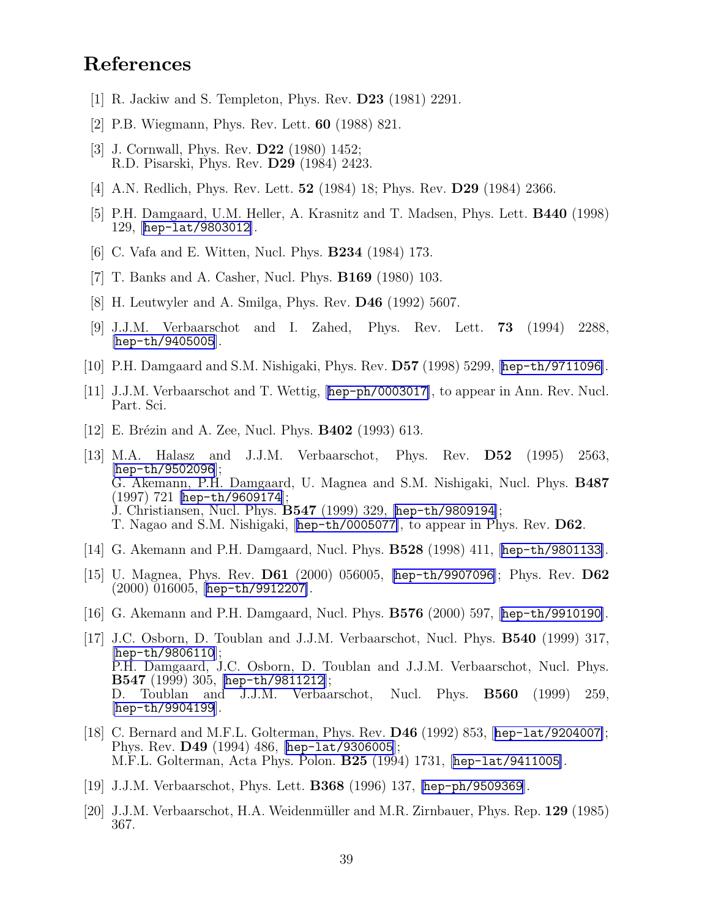## <span id="page-38-0"></span>References

- [1] R. Jackiw and S. Templeton, Phys. Rev. D23 (1981) 2291.
- [2] P.B. Wiegmann, Phys. Rev. Lett. 60 (1988) 821.
- [3] J. Cornwall, Phys. Rev. D22 (1980) 1452; R.D. Pisarski, Phys. Rev. D29 (1984) 2423.
- [4] A.N. Redlich, Phys. Rev. Lett. 52 (1984) 18; Phys. Rev. D29 (1984) 2366.
- [5] P.H. Damgaard, U.M. Heller, A. Krasnitz and T. Madsen, Phys. Lett. B440 (1998) 129, [[hep-lat/9803012](http://arxiv.org/abs/hep-lat/9803012)].
- [6] C. Vafa and E. Witten, Nucl. Phys. B234 (1984) 173.
- [7] T. Banks and A. Casher, Nucl. Phys. B169 (1980) 103.
- [8] H. Leutwyler and A. Smilga, Phys. Rev. D46 (1992) 5607.
- [9] J.J.M. Verbaarschot and I. Zahed, Phys. Rev. Lett. 73 (1994) 2288,  $[hep-th/9405005]$  $[hep-th/9405005]$  $[hep-th/9405005]$ .
- [10] P.H. Damgaard and S.M. Nishigaki, Phys. Rev. D57 (1998) 5299, [[hep-th/9711096](http://arxiv.org/abs/hep-th/9711096)].
- [11] J.J.M. Verbaarschot and T. Wettig, [[hep-ph/0003017](http://arxiv.org/abs/hep-ph/0003017)], to appear in Ann. Rev. Nucl. Part. Sci.
- [12] E. Brézin and A. Zee, Nucl. Phys.  $B402$  (1993) 613.
- [13] M.A. Halasz and J.J.M. Verbaarschot, Phys. Rev. D52 (1995) 2563, [[hep-th/9502096](http://arxiv.org/abs/hep-th/9502096)]; G. Akemann, P.H. Damgaard, U. Magnea and S.M. Nishigaki, Nucl. Phys. B487 (1997) 721 [[hep-th/9609174](http://arxiv.org/abs/hep-th/9609174)]; J. Christiansen, Nucl. Phys. B547 (1999) 329, [[hep-th/9809194](http://arxiv.org/abs/hep-th/9809194)]; T. Nagao and S.M. Nishigaki, [[hep-th/0005077](http://arxiv.org/abs/hep-th/0005077)], to appear in Phys. Rev. D62.
- [14] G. Akemann and P.H. Damgaard, Nucl. Phys. B528 (1998) 411, [[hep-th/9801133](http://arxiv.org/abs/hep-th/9801133)].
- [15] U. Magnea, Phys. Rev. D61 (2000) 056005, [[hep-th/9907096](http://arxiv.org/abs/hep-th/9907096)]; Phys. Rev. D62 (2000) 016005, [[hep-th/9912207](http://arxiv.org/abs/hep-th/9912207)].
- [16] G. Akemann and P.H. Damgaard, Nucl. Phys. B576 (2000) 597, [[hep-th/9910190](http://arxiv.org/abs/hep-th/9910190)].
- [17] J.C. Osborn, D. Toublan and J.J.M. Verbaarschot, Nucl. Phys. B540 (1999) 317,  $[hep-th/9806110];$  $[hep-th/9806110];$  $[hep-th/9806110];$ P.H. Damgaard, J.C. Osborn, D. Toublan and J.J.M. Verbaarschot, Nucl. Phys. B547 (1999) 305, [[hep-th/9811212](http://arxiv.org/abs/hep-th/9811212)]; D. Toublan and J.J.M. Verbaarschot, Nucl. Phys. B560 (1999) 259, [[hep-th/9904199](http://arxiv.org/abs/hep-th/9904199)].
- [18] C. Bernard and M.F.L. Golterman, Phys. Rev. D46 (1992) 853, [[hep-lat/9204007](http://arxiv.org/abs/hep-lat/9204007)]; Phys. Rev. D49 (1994) 486, [[hep-lat/9306005](http://arxiv.org/abs/hep-lat/9306005)]; M.F.L. Golterman, Acta Phys. Polon. B25 (1994) 1731, [[hep-lat/9411005](http://arxiv.org/abs/hep-lat/9411005)].
- [19] J.J.M. Verbaarschot, Phys. Lett. **B368** (1996) 137, [[hep-ph/9509369](http://arxiv.org/abs/hep-ph/9509369)].
- [20] J.J.M. Verbaarschot, H.A. Weidenmüller and M.R. Zirnbauer, Phys. Rep.  $129$  (1985) 367.